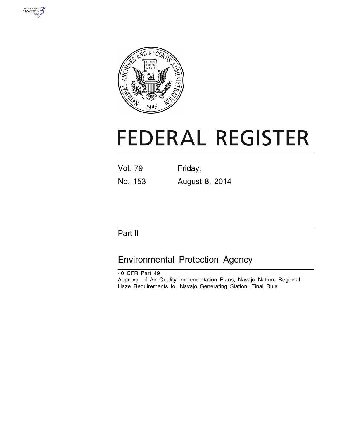



# **FEDERAL REGISTER**

| Vol. 79 | Friday, |
|---------|---------|
|         |         |

No. 153 August 8, 2014

# Part II

# Environmental Protection Agency

40 CFR Part 49 Approval of Air Quality Implementation Plans; Navajo Nation; Regional Haze Requirements for Navajo Generating Station; Final Rule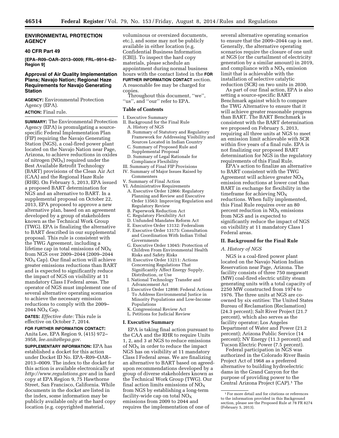#### **ENVIRONMENTAL PROTECTION AGENCY**

#### **40 CFR Part 49**

**[EPA–R09–OAR–2013–0009; FRL–9914–62– Region 9]** 

# **Approval of Air Quality Implementation Plans; Navajo Nation; Regional Haze Requirements for Navajo Generating Station**

**AGENCY:** Environmental Protection Agency (EPA). **ACTION:** Final rule.

**SUMMARY:** The Environmental Protection Agency (EPA) is promulgating a sourcespecific Federal Implementation Plan (FIP) requiring the Navajo Generating Station (NGS), a coal-fired power plant located on the Navajo Nation near Page, Arizona, to achieve reductions in oxides of nitrogen  $(NO<sub>X</sub>)$  required under the Best Available Retrofit Technology (BART) provisions of the Clean Air Act (CAA) and the Regional Haze Rule (RHR). On February 5, 2013, EPA issued a proposed BART determination for NGS and an alternative to BART. In a supplemental proposal on October 22, 2013, EPA proposed to approve a new alternative plan, based on an agreement developed by a group of stakeholders known as the Technical Work Group (TWG). EPA is finalizing the alternative to BART described in our supplemental proposal. This rule is consistent with the TWG Agreement, including a lifetime cap in total emissions of  $NO<sub>x</sub>$ from NGS over 2009–2044 (2009–2044  $NO<sub>X</sub>$  Cap). Our final action will achieve greater emissions reductions than BART and is expected to significantly reduce the impact of NGS on visibility at 11 mandatory Class I Federal areas. The operator of NGS must implement one of several alternative operating scenarios to achieve the necessary emission reductions to comply with the 2009–  $2044$  NO<sub>X</sub> Cap.

**DATES:** *Effective date:* This rule is effective on October 7, 2014.

# **FOR FURTHER INFORMATION CONTACT:**

Anita Lee, EPA Region 9, (415) 972– 3958, *[lee.anita@epa.gov.](mailto:lee.anita@epa.gov)* 

**SUPPLEMENTARY INFORMATION:** EPA has established a docket for this action under Docket ID No. EPA–R09–OAR– 2013–0009. The index to the docket for this action is available electronically at *<http://www.regulations.gov>* and in hard copy at EPA Region 9, 75 Hawthorne Street, San Francisco, California. While documents in the docket are listed in the index, some information may be publicly available only at the hard copy location (e.g. copyrighted material,

voluminous or oversized documents, etc.), and some may not be publicly available in either location (e.g. Confidential Business Information (CBI)). To inspect the hard copy materials, please schedule an appointment during normal business hours with the contact listed in the **FOR FURTHER INFORMATION CONTACT** section. A reasonable fee may be charged for copies.

Throughout this document, ''we'', ''us'', and ''our'' refer to EPA.

# **Table of Contents**

- I. Executive Summary
- II. Background for the Final Rule
	- A. History of NGS B. Summary of Statutory and Regulatory
	- Framework for Addressing Visibility and Sources Located in Indian Country C. Summary of Proposed Rule and
- Supplemental Proposal
- D. Summary of Legal Rationale for Compliance Flexibility III. Summary of Final FIP Provisions
- IV. Summary of Major Issues Raised by Commenters
- V. Summary of Final Action
- VI. Administrative Requirements
- A. Executive Order 12866: Regulatory Planning and Review and Executive Order 13563: Improving Regulation and Regulatory Review
- B. Paperwork Reduction Act
- C. Regulatory Flexibility Act
- D. Unfunded Mandates Reform Act
- E. Executive Order 13132: Federalism
- F. Executive Order 13175: Consultation and Coordination With Indian Tribal Governments
- G. Executive Order 13045: Protection of Children From Environmental Health Risks and Safety Risks
- H. Executive Order 13211: Actions Concerning Regulations That Significantly Affect Energy Supply, Distribution, or Use
- I. National Technology Transfer and Advancement Act
- J. Executive Order 12898: Federal Actions To Address Environmental Justice in Minority Populations and Low-Income Populations
- K. Congressional Review Act
- L. Petitions for Judicial Review

#### **I. Executive Summary**

EPA is taking final action pursuant to the CAA and the RHR to require Units 1, 2, and 3 at NGS to reduce emissions of  $NO<sub>X</sub>$  in order to reduce the impact NGS has on visibility at 11 mandatory Class I Federal areas. We are finalizing an alternative to BART based on agreedupon recommendations developed by a group of diverse stakeholders known as the Technical Work Group (TWG). Our final action limits emissions of  $NO<sub>x</sub>$ from NGS by establishing a long-term facility-wide cap on total  $NO_X$ emissions from 2009 to 2044 and requires the implementation of one of

several alternative operating scenarios to ensure that the 2009–2044 cap is met. Generally, the alternative operating scenarios require the closure of one unit at NGS (or the curtailment of electricity generation by a similar amount) in 2019, and compliance with a  $NO<sub>X</sub>$  emission limit that is achievable with the installation of selective catalytic reduction (SCR) on two units in 2030.

As part of our final action, EPA is also setting a source-specific BART Benchmark against which to compare the TWG Alternative to ensure that it will achieve greater reasonable progress than BART. The BART Benchmark is consistent with the BART determination we proposed on February 5, 2013, requiring all three units at NGS to meet an emission limit achievable with SCR within five years of a final rule. EPA is not finalizing our proposed BART determination for NGS in the regulatory requirements of this Final Rule.

EPA's action to finalize an alternative to BART consistent with the TWG Agreement will achieve greater  $NO<sub>x</sub>$ emission reductions at lower cost than BART in exchange for flexibility in the timeframe for achieving  $NO<sub>x</sub>$ reductions. When fully implemented, this Final Rule requires over an 80 percent reduction in  $NO<sub>x</sub>$  emissions from NGS and is expected to significantly reduce the impact of NGS on visibility at 11 mandatory Class I Federal areas.

#### **II. Background for the Final Rule**

#### *A. History of NGS*

NGS is a coal-fired power plant located on the Navajo Nation Indian Reservation near Page, Arizona. The facility consists of three 750 megawatt (MW) coal-fired electric utility steam generating units with a total capacity of 2250 MW constructed from 1974 to 1976. The three units at NGS are coowned by six entities: The United States Bureau of Reclamation (Reclamation) (24.3 percent); Salt River Project (21.7 percent), which also serves as the facility operator; Los Angeles Department of Water and Power (21.2 percent); Arizona Public Service (14 percent); NV Energy (11.3 percent); and Tucson Electric Power (7.5 percent).

Federal participation in NGS was authorized in the Colorado River Basin Project Act of 1968 as a preferred alternative to building hydroelectric dams in the Grand Canyon for the purpose of providing power to the Central Arizona Project (CAP).<sup>1</sup> The

<sup>1</sup>For more detail and for citations or references to the information provided in this Background section, please see the Proposed Rule at 78 FR 8274 (February 5, 2013).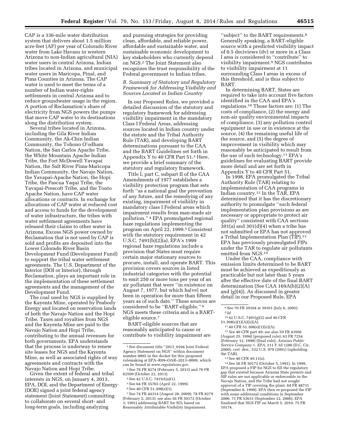CAP is a 336-mile water distribution system that delivers about 1.5 million acre-feet (AF) per year of Colorado River water from Lake Havasu in western Arizona to non-Indian agricultural (NIA) water users in central Arizona, Indian tribes located in Arizona, and municipal water users in Maricopa, Pinal, and Pima Counties in Arizona. The CAP water is used to meet the terms of a number of Indian water-rights settlements in central Arizona and to reduce groundwater usage in the region. A portion of Reclamation's share of electricity from NGS powers the pumps that move CAP water to its destinations along the distribution system.

Several tribes located in Arizona, including the Gila River Indian Community, the Ak-Chin Indian Community, the Tohono O'odham Nation, the San Carlos Apache Tribe, the White Mountain Apache Indian Tribe, the Fort McDowell Yavapai Nation, the Salt River Pima-Maricopa Indian Community, the Navajo Nation, the Yavapai-Apache Nation, the Hopi Tribe, the Pascua Yaqui Tribe, the Yavapai-Prescott Tribe, and the Tonto Apache Nation, have CAP water allocations or contracts. In exchange for allocations of CAP water at reduced cost and access to funds for the development of water infrastructure, the tribes with water settlement agreements have released their claims to other water in Arizona. Excess NGS power owned by Reclamation that is not used by CAP is sold and profits are deposited into the Lower Colorado River Basin Development Fund (Development Fund) to support the tribal water settlement agreements. The U.S. Department of the Interior (DOI or Interior), through Reclamation, plays an important role in the implementation of these settlement agreements and the management of the Development Fund.

The coal used by NGS is supplied by the Kayenta Mine, operated by Peabody Energy and located on reservation lands of both the Navajo Nation and the Hopi Tribe. Taxes and royalties from NGS and the Kayenta Mine are paid to the Navajo Nation and Hopi Tribe, contributing to the annual revenues for both governments. EPA understands that the process is underway to renew site leases for NGS and the Kayenta Mine, as well as associated rights of way agreements and contracts with the Navajo Nation and Hopi Tribe.

Given the extent of federal and tribal interests in NGS, on January 4, 2013, EPA, DOI, and the Department of Energy (DOE) signed a joint federal agency statement (Joint Statement) committing to collaborate on several short- and long-term goals, including analyzing

and pursuing strategies for providing clean, affordable, and reliable power, affordable and sustainable water, and sustainable economic development to key stakeholders who currently depend on NGS.2 The Joint Statement also recognizes the trust responsibility of the Federal government to Indian tribes.

# *B. Summary of Statutory and Regulatory Framework for Addressing Visibility and Sources Located in Indian Country*

In our Proposed Rules, we provided a detailed discussion of the statutory and regulatory framework for addressing visibility impairment in the mandatory Class I Federal Areas, addressing sources located in Indian country under the statute and the Tribal Authority Rule (TAR), and developing BART determinations pursuant to the CAA and the BART Guidelines set forth in Appendix Y to 40 CFR Part 51.3 Here, we provide a brief summary of the statutory and regulatory framework.

Title I, part C, subpart II of the CAA Amendments of 1977 establishes a visibility protection program that sets forth ''as a national goal the prevention of any future, and the remedying of any existing, impairment of visibility in mandatory class I Federal areas which impairment results from man-made air pollution.'' 4 EPA promulgated regional haze regulations implementing the program on April 22, 1999.5 Consistent with the statutory requirement in 42 U.S.C. 7491(b)(2)(a), EPA's 1999 regional haze regulations include a provision that States must require certain major stationary sources to procure, install, and operate BART. This provision covers sources in listed industrial categories with the potential to emit 250 or more tons per year of an air pollutant that were ''in existence on August 7, 1977, but which ha[ve] not been in operation for more than fifteen years as of such date.'' These sources are considered to be ''BART-eligible.'' 6 NGS meets these criteria and is a BARTeligible source.7

BART-eligible sources that are reasonably anticipated to cause or contribute to visibility impairment are

5See 64 FR 35765 (April 22, 1999). 6See 40 CFR 51.308(e)(1).

"subject" to the BART requirements.<sup>8</sup> Generally speaking, a BART-eligible source with a predicted visibility impact of 0.5 deciviews (dv) or more in a Class I area is considered to ''contribute'' to visibility impairment.9 NGS contributes to visibility impairment at 11 surrounding Class I areas in excess of this threshold, and is thus subject to BART.

In determining BART, States are required to take into account five factors identified in the CAA and EPA's regulations.10 Those factors are: (1) The costs of compliance, (2) the energy and non-air quality environmental impacts of compliance, (3) any pollution control equipment in use or in existence at the source, (4) the remaining useful life of the source, and (5) the degree of improvement in visibility which may reasonably be anticipated to result from the use of such technology.11 EPA's guidelines for evaluating BART provide more detail and are set forth in Appendix Y to 40 CFR Part 51.

In 1998, EPA promulgated the Tribal Authority Rule (TAR) relating to implementation of CAA programs in Indian country.12 In the TAR, EPA determined that it has the discretionary authority to promulgate ''such federal implementation plan provisions as are necessary or appropriate to protect air quality'' consistent with CAA sections  $301(a)$  and  $301(d)(4)$  when a tribe has not submitted or EPA has not approved a Tribal Implementation Plan (TIP).13 EPA has previously promulgated FIPs under the TAR to regulate air pollutants emitted from NGS.14

Under the CAA, compliance with emission limits determined to be BART must be achieved as expeditiously as practicable but not later than 5 years after the effective date of the final BART determination (See CAA 169A(b)(2)(A) and (g)(4)). As discussed in greater detail in our Proposed Rule, EPA

12*See* 40 CFR part 49; *see* also 59 FR 43956 (August 25, 1994) (proposed rule); 63 FR 7254 (February 12, 1998) (final rule); *Arizona Public Service Company* v. *EPA,* 211 F.3d 1280 (D.C. Cir. 2000), *cert. den.,* 532 U.S. 970 (2001) (upholding the TAR).

13See 40 CFR 49.11(a).

14See 56 FR 50172 (October 3, 1991). In 1999, EPA proposed a FIP for NGS to fill the regulatory gap that existed because Arizona State permits and SIP rules are not applicable or enforceable in the Navajo Nation, and the Tribe had not sought approval of a TIP covering the plant. 64 FR 48731 (September 8, 1999). EPA then re-proposed the FIP with some additional conditions in September 2006. 71 FR 53631 (September 12, 2006). EPA finalized that NGS FIP on March 5, 2010. 75 FR 10174.

<sup>2</sup>See document title ''2013\_0104 Joint Federal Agency Statement on NGS'' within document number 0005 in the docket for this proposed rulemaking at EPA–R09–OAR–2013–0009, which can be found at *[www.regulations.gov.](http://www.regulations.gov)* 

<sup>3</sup>See 78 FR 8274 (February 5, 2013) and 78 FR 62509 (October 22, 2013).

<sup>4</sup>See 42 U.S.C. 7419A(a)(1).

<sup>7</sup>See 74 FR 44314 (August 28, 2009); 78 FR 8279 (February 5, 2013); see also 56 FR 50172 (October 3, 1991) addressing BART for SO<sub>2</sub> based on Reasonably Attributable Visibility Impairment.

<sup>8</sup>See 70 FR 39104 at 39161 (July 6, 2005). 9 *Id.* 

 $^{10}$  42 U.S.C. 7491(g)(2) and 40 CFR 51.308(e)(1)(A)(ii)(A).

 $1140$  CFR 51.308(e)(1)(ii)(A).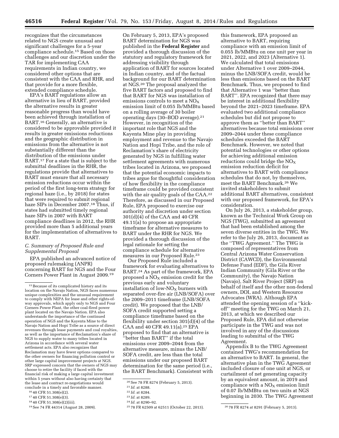recognizes that the circumstances related to NGS create unusual and significant challenges for a 5-year compliance schedule.15 Based on those challenges and our discretion under the TAR for implementing CAA requirements in Indian country, we considered other options that are consistent with the CAA and RHR, and that provide for a more flexible, extended compliance schedule.

EPA's BART regulations allow an alternative in lieu of BART, provided the alternative results in greater reasonable progress than would have been achieved through installation of BART.16 Generally, an alternative is considered to be approvable provided it results in greater emissions reductions and the geographic distribution in emissions from the alternative is not substantially different than the distribution of the emissions under BART.17 For a state that is subject to the submittal deadlines in the RHR, the regulations provide that alternatives to BART must ensure that all necessary emission reductions occur within the period of the first long-term strategy for regional haze (i.e., by 2018) for states that were required to submit regional haze SIPs in December 2007.18 Thus, if states had submitted timely regional haze SIPs in 2007 with BART compliance deadlines in 2012, the RHR provided more than 5 additional years for the implementation of alternatives to BART.

# *C. Summary of Proposed Rule and Supplemental Proposal*

EPA published an advanced notice of proposed rulemaking (ANPR) concerning BART for NGS and the Four Corners Power Plant in August 2009.19

On February 5, 2013, EPA's proposed BART determination for NGS was published in the **Federal Register** and provided a thorough discussion of the statutory and regulatory framework for addressing visibility through application of BART for sources located in Indian country, and of the factual background for our BART determination at NGS.20 The proposal analyzed the five BART factors and proposed to find that BART for NGS was installation of emissions controls to meet a  $NO<sub>x</sub>$ emission limit of 0.055 lb/MMBtu based on a rolling average of 30 boiler operating days (30–BOD average).21 However, in recognition of the important role that NGS and the Kayenta Mine play in providing employment and revenue to the Navajo Nation and Hopi Tribe, and the role of Reclamation's share of electricity generated by NGS in fulfilling water settlement agreements with numerous tribes located in Arizona, we proposed that the potential economic impacts to tribes argue for thoughtful consideration of how flexibility in the compliance timeframe could be provided consistent with the air quality goals of the CAA.<sup>22</sup> Therefore, as discussed in our Proposed Rule, EPA proposed to exercise our authority and discretion under section 301(d)(4) of the CAA and 40 CFR 49.11(a) to propose an appropriate timeframe for alternative measures to BART under the RHR for NGS. We provided a thorough discussion of the legal rationale for setting the compliance schedule for alternative measures in our Proposed Rule.23

Our Proposed Rule included a framework for evaluating alternatives to BART.24 As part of the framework, EPA proposed a  $NO<sub>X</sub>$  emission credit for the previous early and voluntary installation of low- $NO_X$  burners with separated over-fire air (LNB/SOFA) over the 2009–2011 timeframe (LNB/SOFA credit). We proposed that the LNB/ SOFA credit supported setting a compliance timeframe based on the flexibility under section 301(d)(4) of the CAA and 40 CFR 49.11(a).25 EPA proposed to find that an alternative is ''better than BART'' if the total emissions over 2009–2044 from the alternative measure, minus the LNB/ SOFA credit, are less than the total emissions under our proposed BART determination for the same period (i.e., the BART Benchmark). Consistent with

this framework, EPA proposed an alternative to BART, requiring compliance with an emission limit of 0.055 lb/MMBtu on one unit per year in 2021, 2022, and 2023 (Alternative 1). We calculated that total emissions under Alternative 1 over 2009–2044, minus the LNB/SOFA credit, would be less than emissions based on the BART Benchmark. Thus, we proposed to find that Alternative 1 was ''better than BART''. EPA recognized that there may be interest in additional flexibility beyond the 2021–2023 timeframe. EPA evaluated two additional compliance schedules but did not propose to approve them as ''better than BART'' alternatives because total emissions over 2009–2044 under these compliance schedules exceeded the BART Benchmark. However, we noted that potential technologies or other options for achieving additional emission reductions could bridge the  $NO<sub>x</sub>$ emission reduction deficit for alternatives to BART with compliance schedules that do not, by themselves, meet the BART Benchmark.26 We invited stakeholders to submit additional BART alternatives, consistent with our proposed framework, for EPA's consideration.

On July 26, 2013, a stakeholder group, known as the Technical Work Group on NGS (TWG), submitted an agreement that had been established among the seven diverse entities in the TWG. We refer to the July 26, 2013, document as the ''TWG Agreement.'' The TWG is composed of representatives from Central Arizona Water Conservation District (CAWCD), the Environmental Defense Fund (EDF), the Gila River Indian Community (Gila River or the Community), the Navajo Nation (Navajo), Salt River Project (SRP) on behalf of itself and the other non-federal owners, DOI, and Western Resource Advocates (WRA). Although EPA attended the opening session of a ''kickoff'' meeting for the TWG on March 21, 2013, at which we described our Proposed Rule, EPA did not otherwise participate in the TWG and was not involved in any of the discussions leading to submittal of the TWG Agreement.

Appendix B to the TWG Agreement contained TWG's recommendation for an alternative to BART. In general, the alternative plan in the TWG Agreement included closure of one unit at NGS, or curtailment of net generating capacity by an equivalent amount, in 2019 and compliance with a  $NO<sub>X</sub>$  emission limit of 0.07 lb/MMBtu on two units at NGS beginning in 2030. The TWG Agreement

<sup>&</sup>lt;sup>15</sup> Because of its complicated history and its location on the Navajo Nation, NGS faces numerous unique complexities and the unusual requirement to comply with NEPA for lease and other rights-ofway approvals, which apply only to NGS and Four Corners Power Plant, the other coal-fired power plant located on the Navajo Nation. EPA also understands the importance of the continued operation of NGS and the Kayenta Mine to the Navajo Nation and Hopi Tribe as a source of direct revenues through lease payments and coal royalties, as well as the importance of Reclamation's share of NGS to supply water to many tribes located in Arizona in accordance with several water settlement acts. EPA also recognizes that Reclamation may have fewer options compared to the other owners for financing pollution control or other large capital improvement projects at NGS. SRP expressed concern that the owners of NGS may choose to retire the facility if faced with the financial risk of making a large capital investment within 5 years without also having certainty that the lease and contract re-negotiations would conclude in a timely and favorable manner.

<sup>16</sup> 40 CFR 51.308(e)(2).

<sup>17</sup> 40 CFR 51.308(e)(3).

<sup>18</sup> 40 CFR 51.308(e)(2)(iii).

<sup>19</sup>See 74 FR 44314 (August 28, 2009).

<sup>20</sup>See 78 FR 8274 (February 5, 2013).

<sup>21</sup> *Id.* at 8288.

<sup>22</sup> *Id.* at 8284.

<sup>23</sup> *Id.* at 8289.

<sup>24</sup> *Id.* at 8290–92.

<sup>25</sup> 78 FR 62509 at 62511 (October 22, 2013). 26 78 FR 8274 at 8291 (February 5, 2013).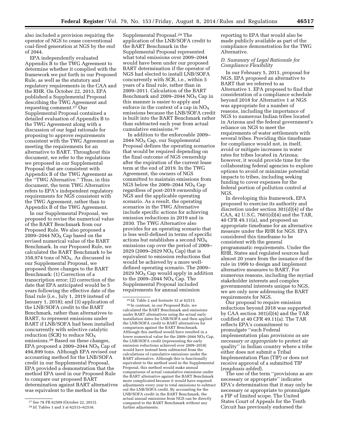also included a provision requiring the operator of NGS to cease conventional coal-fired generation at NGS by the end of 2044.

EPA independently evaluated Appendix B to the TWG Agreement to determine whether it complied with the framework we put forth in our Proposed Rule, as well as the statutory and regulatory requirements in the CAA and the RHR. On October 22, 2013, EPA published a Supplemental Proposal describing the TWG Agreement and requesting comment.27 Our Supplemental Proposal contained a detailed evaluation of Appendix B to the TWG Agreement along with a discussion of our legal rationale for proposing to approve requirements consistent with the TWG Agreement as meeting the requirements for an alternative to BART. Throughout this document, we refer to the regulations we proposed in our Supplemental Proposal that are consistent with Appendix B of the TWG Agreement as the ''TWG Alternative.'' Thus, in this document, the term TWG Alternative refers to EPA's independent regulatory requirements for NGS consistent with the TWG Agreement, rather than to Appendix B of the TWG Agreement.

In our Supplemental Proposal, we proposed to revise the numerical value of the BART Benchmark from our Proposed Rule. We also proposed a 2009–2044  $NO<sub>x</sub>$  Cap based on the revised numerical value of the BART Benchmark. In our Proposed Rule, we calculated the BART Benchmark to be 358,974 tons of  $NO<sub>X</sub>$ . As discussed in our Supplemental Proposal, we proposed three changes to the BART Benchmark: (1) Correction of a transcription error; (2) correction of the date that EPA anticipated would be 5 years following the effective date of the final rule (i.e., July 1, 2019 instead of January 1, 2018); and (3) application of the LNB/SOFA credit to the BART Benchmark, rather than alternatives to BART, to represent emissions under BART if LNB/SOFA had been installed concurrently with selective catalytic reduction (SCR) to reduce  $NO_X$ emissions.28 Based on these changes, EPA proposed a 2009–2044  $NO<sub>X</sub>$  Cap of 494,899 tons. Although EPA revised our accounting method for the LNB/SOFA credit in our Supplemental Proposal, EPA provided a demonstration that the method EPA used in our Proposed Rule to compare our proposed BART determination against BART alternatives was equivalent to the method in the

Supplemental Proposal.29 The application of the LNB/SOFA credit to the BART Benchmark in the Supplemental Proposal represented what total emissions over 2009–2044 would have been under our proposed BART determination if the operator of NGS had elected to install LNB/SOFA concurrently with SCR, i.e., within 5 years of a final rule, rather than in 2009–2011. Calculation of the BART Benchmark and 2009–2044  $NO<sub>x</sub> Cap in$ this manner is easier to apply and enforce in the context of a cap in  $NO_X$ emissions because the LNB/SOFA credit is built into the BART Benchmark rather than subtracted each year from actual cumulative emissions.30

In addition to the enforceable 2009– 2044  $NO<sub>x</sub> Cap$ , our Supplemental Proposal defines the operating scenarios that would be required depending on the final outcome of NGS ownership after the expiration of the current lease term at the end of 2019. In the TWG Agreement, the owners of NGS committed to maintain emissions from NGS below the 2009–2044  $NO<sub>x</sub> Cap$ regardless of post-2019 ownership of NGS and the applicable operating scenario. As a result, the operating scenarios in the TWG Alternative include specific actions for achieving emission reductions in 2019 and in 2030. The TWG Alternative also provides for an operating scenario that is less well-defined in terms of specific actions but establishes a second  $NO<sub>x</sub>$ emissions cap over the period of 2009– 2029 (2009–2029 NO<sub>x</sub> Cap) that is equivalent to emission reductions that would be achieved by a more welldefined operating scenario. The 2009– 2029  $NO_X$  Cap would apply in addition to the 2009–2044  $NO<sub>x</sub> Cap$ . The Supplemental Proposal included requirements for annual emission

29 Id. Table 2 and footnote 32 at 62515. 30 In contrast, in our Proposed Rule, we calculated the BART Benchmark and emissions under BART alternatives using the actual early installation dates for LNB/SOFA and then applied the LNB/SOFA credit to BART alternatives for comparison against the BART Benchmark. Although this method would have resulted in a lower numerical value for the 2009–2044  $NO<sub>x</sub> Cap$ , the LNB/SOFA credit (representing the early emission reductions achieved over 2009–2018) would have instead been subtracted from the calculations of cumulative emissions under the BART alternative. Although this is functionally equivalent to the method used in the Supplemental Proposal, this method would make annual comparisons of actual cumulative emissions under the BART alternative against the BART Benchmark more complicated because it would have required adjustments every year to total emissions to subtract out the LNB/SOFA credit. By accounting for the LNB/SOFA credit in the BART Benchmark, the actual annual emissions from NGS can be directly compared to the BART Benchmark without any further adjustments.

reporting to EPA that would also be made publicly available as part of the compliance demonstration for the TWG Alternative.

# *D. Summary of Legal Rationale for Compliance Flexibility*

In our February 5, 2013, proposal for NGS, EPA proposed an alternative to BART that we referred to as Alternative 1. EPA proposed to find that consideration of a compliance schedule beyond 2018 for Alternative 1 at NGS was appropriate for a number of reasons, including the importance of NGS to numerous Indian tribes located in Arizona and the federal government's reliance on NGS to meet the requirements of water settlements with several tribes. Providing this timeframe for compliance would not, in itself, avoid or mitigate increases in water rates for tribes located in Arizona; however, it would provide time for the collaborating federal agencies to explore options to avoid or minimize potential impacts to tribes, including seeking funding to cover expenses for the federal portion of pollution control at NGS.

In developing this framework, EPA proposed to exercise its authority and discretion under section 301(d)(4) of the CAA, 42 U.S.C. 7601(d)(4) and the TAR, 40 CFR 49.11(a), and proposed an appropriate timeframe for an alternative measure under the RHR for NGS. EPA considered this timeframe to be consistent with the general programmatic requirements. Under the RHR, States and regulated sources had almost 20 years from the issuance of the rule in 1999 to design and implement alternative measures to BART. For numerous reasons, including the myriad stakeholder interests and complex governmental interests unique to NGS, we are only now addressing the BART requirements for NGS.

Our proposal to require emission reductions beyond 2018 was supported by CAA section 301(d)(4) and the TAR codified at 40 CFR 49.11(a). The TAR reflects EPA's commitment to promulgate ''such Federal implementation plan *provisions as are necessary or appropriate* to protect air quality'' in Indian country where a tribe either does not submit a Tribal Implementation Plan (TIP) or does not receive approval of a submitted TIP (*emphasis added*).

The use of the term ''provisions as are necessary or appropriate'' indicates EPA's determination that it may only be necessary or appropriate to promulgate a FIP of limited scope. The United States Court of Appeals for the Tenth Circuit has previously endorsed the

<sup>27</sup>See 78 FR 62509 (October 22, 2013).

<sup>28</sup> *Id.* Tables 1 and 3 at 62515–62516.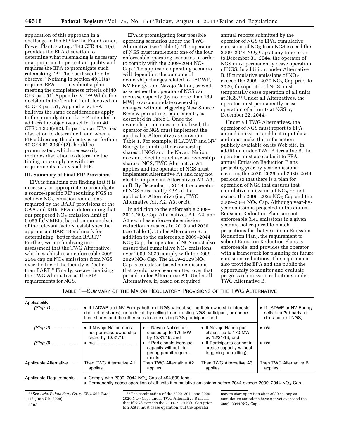application of this approach in a challenge to the FIP for the Four Corners Power Plant, stating: ''[40 CFR 49.11(a)] provides the EPA discretion to determine what rulemaking is necessary or appropriate to protect air quality and requires the EPA to promulgate such rulemaking.'' 31 The court went on to observe: ''Nothing in section 49.11(a) requires EPA . . . to submit a plan meeting the completeness criteria of [40 CFR part 51] Appendix V.'' 32 While the decision in the Tenth Circuit focused on 40 CFR part 51, Appendix V, EPA believes the same considerations apply to the promulgation of a FIP intended to address the objectives set forth in 40 CFR 51.308(e)(2). In particular, EPA has discretion to determine if and when a FIP addressing the objectives set forth in 40 CFR 51.308(e)(2) should be promulgated, which necessarily includes discretion to determine the timing for complying with the requirements of any such FIP.

#### **III. Summary of Final FIP Provisions**

EPA is finalizing our finding that it is necessary or appropriate to promulgate a source-specific FIP requiring NGS to achieve  $NO<sub>x</sub>$  emission reductions required by the BART provisions of the CAA and RHR. EPA is determining that our proposed  $NO<sub>x</sub>$  emission limit of 0.055 lb/MMBtu, based on our analysis of the relevant factors, establishes the appropriate BART Benchmark for determining ''better than BART.'' Further, we are finalizing our assessment that the TWG Alternative, which establishes an enforceable 2009– 2044 cap on  $NO<sub>X</sub>$  emissions from NGS over the life of the facility is ''better than BART.'' Finally, we are finalizing the TWG Alternative as the FIP requirements for NGS.

EPA is promulgating four possible operating scenarios under the TWG Alternative (see Table 1). The operator of NGS must implement one of the four enforceable operating scenarios in order to comply with the 2009–2044  $NO<sub>x</sub>$ Cap. The applicable operating scenario will depend on the outcome of ownership changes related to LADWP, NV Energy, and Navajo Nation, as well as whether the operator of NGS can increase capacity (by no more than 189 MW) to accommodate ownership changes, without triggering New Source Review permitting requirements, as described in Table 1. Once the ownership outcomes are finalized, the operator of NGS must implement the applicable Alternative as shown in Table 1. For example, if LADWP and NV Energy both retire their ownership shares of NGS and the Navajo Nation does not elect to purchase an ownership share of NGS, TWG Alternative A1 applies and the operator of NGS must implement Alternative A1 and may not elect to implement Alternatives A2, A3, or B. By December 1, 2019, the operator of NGS must notify EPA of the applicable Alternative (i.e., TWG Alternative A1, A2, A3, or B).

In addition to the enforceable 2009– 2044  $NO<sub>X</sub> Cap$ , Alternatives A1, A2, and A3 each has enforceable emission reduction measures in 2019 and 2030 (see Table 1). Under Alternative B, in addition to the enforceable 2009–2044 NOX Cap, the operator of NGS must also ensure that cumulative  $NO<sub>x</sub>$  emissions over 2009–2029 comply with the 2009– 2029 NO<sub>X</sub> Cap. The 2009–2029 NO<sub>X</sub> Cap is calculated based on emissions that would have been emitted over that period under Alternative A1. Under all Alternatives, if, based on required

annual reports submitted by the operator of NGS to EPA, cumulative emissions of  $NO<sub>x</sub>$  from  $NGS$  exceed the 2009–2044  $NO<sub>X</sub>$  Cap at any time prior to December 31, 2044, the operator of NGS must permanently cease operation of NGS. In addition, under Alternative B, if cumulative emissions of  $NO<sub>x</sub>$ exceed the 2009–2029  $NO<sub>x</sub>$  Cap prior to 2029, the operator of NGS must temporarily cease operation of all units at NGS.33 Under all Alternatives, the operator must permanently cease operation of all units at NGS by December 22, 2044.

Under all TWG Alternatives, the operator of NGS must report to EPA annual emissions and heat input data and must make this information publicly available on its Web site. In addition, under TWG Alternative B, the operator must also submit to EPA annual Emission Reduction Plans projecting year-by-year emissions covering the 2020–2029 and 2030–2044 periods so that there is a plan for operation of NGS that ensures that cumulative emissions of  $NO<sub>x</sub>$  do not exceed the 2009–2029  $NO<sub>X</sub>$  Cap and the 2009–2044  $NO<sub>X</sub>$  Cap. Although year-byyear emissions projected in the annual Emission Reduction Plans are not enforceable (i.e., emissions in a given year are not required to match projections for that year in an Emission Reduction Plan), the requirement to submit Emission Reduction Plans is enforceable, and provides the operator with a framework for planning for future emissions reductions. The requirement also provides EPA and the public the opportunity to monitor and evaluate progress of emission reductions under TWG Alternative B.

TABLE 1—SUMMARY OF THE MAJOR REGULATORY PROVISIONS OF THE TWG ALTERNATIVE

| Applicability           | • If LADWP and NV Energy both exit NGS without selling their ownership interests<br>(i.e., retire shares), or both exit by selling to an existing NGS participant; or one re-<br>tires shares and the other sells to an existing NGS participant; and |                                                                                          |                                                                                                           | • If LADWP or NV Energy<br>sells to a 3rd party, or<br>does not exit NGS; |  |
|-------------------------|-------------------------------------------------------------------------------------------------------------------------------------------------------------------------------------------------------------------------------------------------------|------------------------------------------------------------------------------------------|-----------------------------------------------------------------------------------------------------------|---------------------------------------------------------------------------|--|
|                         | • If Navajo Nation does<br>not purchase ownership<br>share by 12/31/19;                                                                                                                                                                               | • If Navajo Nation pur-<br>chases up to 170 MW<br>by 12/31/19; and                       | • If Navajo Nation pur-<br>chases up to 170 MW<br>by 12/31/19; and                                        | $\bullet$ n/a.                                                            |  |
|                         | , • n/a ……………………………                                                                                                                                                                                                                                   | • If Participants increase<br>capacity without trig-<br>gering permit require-<br>ments: | • If Participants cannot in-<br>crease capacity without<br>triggering permitting);                        | $\bullet$ n/a.                                                            |  |
| Applicable Alternative  | Then TWG Alternative A1<br>applies.                                                                                                                                                                                                                   | Then TWG Alternative A2<br>applies.                                                      | Then TWG Alternative A3<br>applies.                                                                       | Then TWG Alternative B<br>applies.                                        |  |
| Applicable Requirements | • Comply with 2009–2044 $NO_x$ Cap of 494,899 tons.                                                                                                                                                                                                   |                                                                                          | Democratic cases consider of all units if consulative applications before 0044 superal 0000, 0044 NO. Osp |                                                                           |  |

 $\, \vdash$  Permanently cease operation of all units if cumulative emissions before 2044 exceed 2009–2044 NO<sub>X</sub> Cap.

31See *Ariz. Public Serv. Co.* v. *EPA,* 562 F.3d 1116 (10th Cir. 2009). 32 *Id.* 

33The combination of the 2009–2044 and 2009– 2029  $NO<sub>x</sub> Caps under TWG Alternative B means$ that if NGS exceeds the  $2009-2029$  NO<sub>x</sub> Cap prior to 2029 it must cease operation, but the operator

may re-start operation after 2030 as long as cumulative emissions have not yet exceeded the 2009-2044 NO<sub>x</sub> Cap.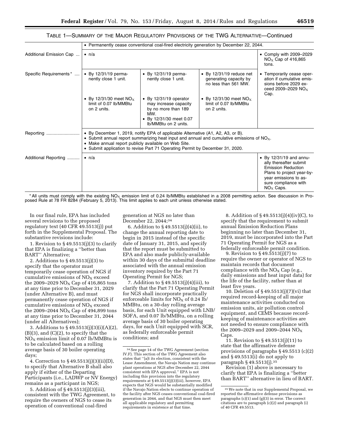# TABLE 1—SUMMARY OF THE MAJOR REGULATORY PROVISIONS OF THE TWG ALTERNATIVE—Continued

|                         | • Permanently cease conventional coal-fired electricity generation by December 22, 2044.                                                                                                                                                                                                                                 |                                                                                                                                          |                                                                                    |                                                                                                                                                                                     |  |
|-------------------------|--------------------------------------------------------------------------------------------------------------------------------------------------------------------------------------------------------------------------------------------------------------------------------------------------------------------------|------------------------------------------------------------------------------------------------------------------------------------------|------------------------------------------------------------------------------------|-------------------------------------------------------------------------------------------------------------------------------------------------------------------------------------|--|
| Additional Emission Cap | $\bullet$ n/a                                                                                                                                                                                                                                                                                                            |                                                                                                                                          |                                                                                    | • Comply with 2009-2029<br>$NOx$ Cap of 416,865<br>tons.                                                                                                                            |  |
| Specific Requirements*  | $\bullet$ By 12/31/19 perma-<br>nently close 1 unit.                                                                                                                                                                                                                                                                     | $\bullet$ By 12/31/19 perma-<br>nently close 1 unit.                                                                                     | $\bullet$ By 12/31/19 reduce net<br>generating capacity by<br>no less than 561 MW. | • Temporarily cease oper-<br>ation if cumulative emis-<br>sions before 2029 ex-<br>ceed 2009-2029 $NO_x$<br>Cap.                                                                    |  |
|                         | • By 12/31/30 meet NO <sub>x</sub><br>limit of 0.07 lb/MMBtu<br>on 2 units.                                                                                                                                                                                                                                              | $\bullet$ By 12/31/19 operator<br>may increase capacity<br>by no more than 189<br>MW.<br>• By 12/31/30 meet 0.07<br>Ib/MMBtu on 2 units. | • By 12/31/30 meet NO <sub>x</sub><br>limit of 0.07 lb/MMBtu<br>on 2 units.        |                                                                                                                                                                                     |  |
| Reporting               | • By December 1, 2019, notify EPA of applicable Alternative (A1, A2, A3, or B).<br>• Submit annual report summarizing heat input and annual and cumulative emissions of $NOx$ .<br>• Make annual report publicly available on Web Site.<br>• Submit application to revise Part 71 Operating Permit by December 31, 2020. |                                                                                                                                          |                                                                                    |                                                                                                                                                                                     |  |
| Additional Reporting    | $\bullet$ n/a                                                                                                                                                                                                                                                                                                            |                                                                                                                                          |                                                                                    | $\bullet$ By 12/31/19 and annu-<br>ally thereafter submit<br><b>Emission Reduction</b><br>Plans to project year-by-<br>year emissions to as-<br>sure compliance with<br>$NOx$ Caps. |  |

\*All units must comply with the existing NO<sub>X</sub> emission limit of 0.24 lb/MMBtu established in a 2008 permitting action. See discussion in Pro-<br>posed Rule at 78 FR 8284 (February 5, 2013). This limit applies to each unit un

In our final rule, EPA has included several revisions to the proposed regulatory text (40 CFR 49.5513(j)) put forth in the Supplemental Proposal. The substantive revisions include:

1. Revision to § 49.5513(j)(3) to clarify that EPA is finalizing a ''better than BART'' Alternative;

2. Additions to § 49.5513(j)(3) to specify that the operator must temporarily cease operation of NGS if cumulative emissions of  $NO<sub>X</sub>$  exceed the 2009–2029  $NO<sub>x</sub>$  Cap of 416,865 tons at any time prior to December 31, 2029 (under Alternative B), and must permanently cease operation of NGS if cumulative emissions of  $NO<sub>x</sub>$  exceed the 2009–2044  $NO<sub>x</sub>$  Cap of 494,899 tons at any time prior to December 31, 2044 (under all Alternatives);

3. Additions to § 49.5513(j)(3)(i)(A)(2),  $(B)(3)$ , and  $(C)(2)$ , to specify that the  $NO<sub>X</sub>$  emission limit of 0.07 lb/MMBtu is to be calculated based on a rolling average basis of 30 boiler operating days;

4. Correction to § 49.5513(j)(3)(ii)(D), to specify that Alternative B shall also apply if either of the Departing Participants (i.e., LADWP or NV Energy) remains as a participant in NGS;

5. Addition of § 49.5513(j)(3)(iii), consistent with the TWG Agreement, to require the owners of NGS to cease its operation of conventional coal-fired

generation at NGS no later than December 22, 2044;34

6. Addition to § 49.5513(j)(4)(ii), to change the annual reporting date to begin in 2015 instead of the specific date of January 31, 2015, and specify that the report must be submitted to EPA and also made publicly-available within 30 days of the submittal deadline associated with the annual emission inventory required by the Part 71 Operating Permit for NGS;

7. Addition to § 49.5513(j)(4)(iii), to clarify that the Part 71 Operating Permit for NGS shall incorporate practically enforceable limits for  $NO<sub>x</sub>$  of 0.24 lb/ MMBtu, on a 30-day rolling average basis, for each Unit equipped with LNB/ SOFA, and 0.07 lb/MMBtu, on a rolling average basis of 30 boiler operating days, for each Unit equipped with SCR, as federally enforceable permit conditions; and

8. Addition of § 49.5513(j)(4)(iv)(C), to specify that the requirement to submit annual Emission Reduction Plans beginning no later than December 31, 2019, must be incorporated into the Part 71 Operating Permit for NGS as a federally enforceable permit condition.

9. Revision to § 49.5513(j)(7) to require the owner or operator of NGS to maintain records that document compliance with the  $NO<sub>x</sub>$  Cap (e.g., daily emissions and heat input data) for the life of the facility, rather than at least five years.

10. Deletion of § 49.5513(j)(7)(vi) that required record-keeping of all major maintenance activities conducted on emission units, air pollution control equipment, and CEMS because recordkeeping of maintenance activities are not needed to ensure compliance with the 2009–2029 and 2009–2044  $NO<sub>x</sub>$ Caps.

11. Revision to § 49.5513(j)(11) to state that the affirmative defense provisions of paragraphs § 49.5513 (c)(2) and § 49.5513(i) do not apply to paragraph § 49.5513(j).35

Revision (1) above is necessary to clarify that EPA is finalizing a ''better than BART'' alternative in lieu of BART.

<sup>34</sup>See page 14 of the TWG Agreement (section IV.F). This section of the TWG Agreement also states that ''[a]t its election, consistent with the Lease Amendment, the Navajo Nation may continue plant operations at NGS after December 22, 2044 consistent with EPA approval.'' EPA is not including this provision into the regulatory requirements at § 49.5513(j)(3)(iii), however, EPA expects that NGS would be substantially modified if the Navajo Nation elects to continue operation of the facility after NGS ceases conventional coal-fired generation in 2044, and that NGS must then meet all applicable regulatory and permitting requirements in existence at that time.

<sup>35</sup>We note that in our Supplemental Proposal, we reported the affirmative defense provisions as paragraphs (c)(1) and (g)(3) in error. The correct citations are to paragraph (c)(2) and paragraph (i) of 40 CFR 49.5513.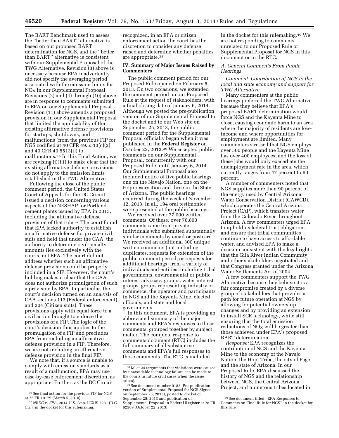The BART Benchmark used to assess the ''better than BART'' alternative is based on our proposed BART determination for NGS, and the ''better than BART'' alternative is consistent with our Supplemental Proposal of the TWG Alternative. Revision (3) above is necessary because EPA inadvertently did not specify the averaging period associated with the emission limits for  $NO<sub>X</sub>$  in our Supplemental Proposal. Revisions (2) and (4) through (10) above are in response to comments submitted to EPA on our Supplemental Proposal. Revision (11) above amends a proposed provision in our Supplemental Proposal that limited the applicability of the existing affirmative defense provisions for startups, shutdowns, and malfunctions (from the previous FIP for NGS codified at 40 CFR 49.5513(c)(2) and 40 CFR 49.5513(i)) to malfunctions.36 In this Final Action, we are revising (j)(11) to make clear that the existing affirmative defense provisions do not apply to the emission limits established in the TWG Alternative.

Following the close of the public comment period, the United States Court of Appeals for the DC Circuit issued a decision concerning various aspects of the NESHAP for Portland cement plants issued by EPA in 2013, including the affirmative defense provision of that rule.37 The court found that EPA lacked authority to establish an affirmative defense for private civil suits and held that under the CAA, the authority to determine civil penalty amounts lies exclusively with the courts, not EPA. The court did not address whether such an affirmative defense provision could be properly included in a SIP. However, the court's holding makes it clear that the CAA does not authorize promulgation of such a provision by EPA. In particular, the court's decision turned on an analysis of CAA sections 113 (Federal enforcement) and 304 (Citizen suits). These provisions apply with equal force to a civil action brought to enforce the provisions of a FIP. The logic of the court's decision thus applies to the promulgation of a FIP and precludes EPA from including an affirmative defense provision in a FIP. Therefore, we are not including an affirmative defense provision in the final FIP.

We note that, if a source is unable to comply with emission standards as a result of a malfunction, EPA may use case-by-case enforcement discretion, as appropriate. Further, as the DC Circuit

recognized, in an EPA or citizen enforcement action the court has the discretion to consider any defense raised and determine whether penalties are appropriate.38

#### **IV. Summary of Major Issues Raised by Commenters**

The public comment period for our Proposed Rule opened on February 5, 2013. On two occasions, we extended the comment period on our Proposed Rule at the request of stakeholders, with a final closing date of January 6, 2014. Although we posted the pre-publication version of our Supplemental Proposal to the docket and to our Web site on September 25, 2013, the public comment period for the Supplemental Proposal officially began when it was published in the **Federal Register** on October 22, 2013.39 We accepted public comments on our Supplemental Proposal, concurrently with our Proposed Rule, until January 6, 2014. Our Supplemental Proposal also included notice of five public hearings, one on the Navajo Nation, one on the Hopi reservation and three in the State of Arizona. The public hearings occurred during the week of November 12, 2013. In all, 194 oral testimonies were presented at the public hearings.

We received over 77,000 written comments. Of these, over 76,800 comments came from private individuals who submitted substantially similar comments by email or postcard. We received an additional 300 unique written comments (not including duplicates, requests for extension of the public comment period, or requests for additional hearings) from a variety of individuals and entities, including tribal governments, environmental or public interest advocacy groups, water interest groups, groups representing industry or commerce, the operator and participants in NGS and the Kayenta Mine, elected officials, and state and local governments.

In this document, EPA is providing an abbreviated summary of the major comments and EPA's responses to those comments, grouped together by subject matter. The complete response to comments document (RTC) includes the full summary of all substantive comments and EPA's full responses to those comments. The RTC is included

in the docket for this rulemaking.40 We are not responding to comments unrelated to our Proposed Rule or Supplemental Proposal for NGS in this document or in the RTC.

#### *A. General Comments From Public Hearings*

*Comment: Contribution of NGS to the local and state economy and support for TWG Alternative* 

Many commenters at the public hearings preferred the TWG Alternative because they believe that EPA's proposed BART determination would force NGS and the Kayenta Mine to close, causing economic harm to an area where the majority of residents are lowincome and where opportunities for employment are limited. Many commenters stressed that NGS employs over 500 people and the Kayenta Mine has over 400 employees, and the loss of these jobs would only exacerbate the unemployment rate in the area, which currently ranges from 47 percent to 60 percent.

A number of commenters noted that NGS supplies more than 90 percent of the energy used by Central Arizona Water Conservation District (CAWCD), which operates the Central Arizona Project (CAP), which transfers water from the Colorado River throughout Arizona. A few commenters urged EPA to uphold its federal trust obligations and ensure that tribal communities continue to have access to affordable water, and advised EPA to make a decision consistent with the legal rights that the Gila River Indian Community and other stakeholders negotiated and that Congress granted under the Arizona Water Settlements Act of 2004.

A few commenters support the TWG Alternative because they believe it is a fair compromise created by a diverse group of stakeholders that provides a path for future operation at NGS by allowing for potential ownership changes and by providing an extension to install SCR technology, while still ensuring that the total emission reductions of  $NO<sub>x</sub>$  will be greater than those achieved under EPA's proposed BART determination.

*Response:* EPA recognizes the contribution of NGS and the Kayenta Mine to the economy of the Navajo Nation, the Hopi Tribe, the city of Page, and the state of Arizona. In our Proposed Rule, EPA discussed the history of NGS and the relationship between NGS, the Central Arizona Project, and numerous tribes located in

 $^{36}\rm{See}$  final action for the previous FIP for NGS at 75 FR 10179 (March 5, 2010).

<sup>37</sup>*NRDC* v. *EPA,* 2014 U.S. App. LEXIS 7281 (D.C. Cir.), in the docket for this rulemaking.

<sup>38</sup> *Id.* at 24 (arguments that violations were caused by unavoidable technology failure can be made to the courts in future civil cases when the issue

<sup>&</sup>lt;sup>39</sup> See document number 0182 (Pre-publication version of Supplemental Proposal for NGS Signed on September 25, 2013), posted to docket on September 25, 2013 and publication of Supplemental Proposal in **Federal Register** at 78 FR 62509 (October 22, 2013).

<sup>40</sup>See document titled ''EPA Responses to Comments on Final Rule for NGS'' in the docket for this rule.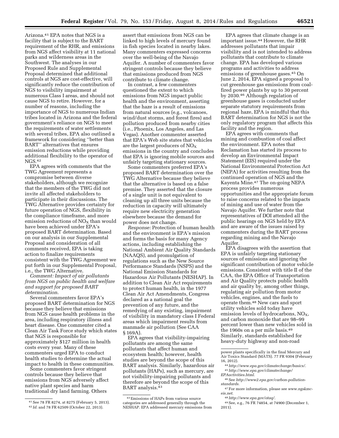Arizona.41 EPA notes that NGS is a facility that is subject to the BART requirement of the RHR, and emissions from NGS affect visibility at 11 national parks and wilderness areas in the Southwest. The analyses in our Proposed Rule and Supplemental Proposal determined that additional controls at NGS are cost-effective, will significantly reduce the contribution of NGS to visibility impairment at numerous Class I areas, and should not cause NGS to retire. However, for a number of reasons, including the importance of NGS to numerous Indian tribes located in Arizona and the federal government's reliance on NGS to meet the requirements of water settlements with several tribes, EPA also outlined a framework for considering ''better than BART'' alternatives that ensures emission reductions while providing additional flexibility to the operator of NGS.42

EPA agrees with comments that the TWG Agreement represents a compromise between diverse stakeholders, although we recognize that the members of the TWG did not invite all affected stakeholders to participate in their discussions. The TWG Alternative provides certainty for future operation of NGS, flexibility in the compliance timeframe, and more emission reductions of  $NO<sub>x</sub>$  than would have been achieved under EPA's proposed BART determination. Based on our analysis in our Supplemental Proposal and consideration of all comments received, EPA is taking action to finalize requirements consistent with the TWG Agreement we put forth in our Supplemental Proposal, i.e., the TWG Alternative.

*Comment: Impact of air pollutants from NGS on public health and welfare and support for proposed BART determination*.

Several commenters favor EPA's proposed BART determination for NGS because they believe that emissions from NGS cause health problems in the area, including respiratory illness and heart disease. One commenter cited a Clean Air Task Force study which states that NGS is responsible for approximately \$127 million in health costs every year. Many of these commenters urged EPA to conduct health studies to determine the actual impact to health in these communities.

Some commenters favor stringent controls because they believe that emissions from NGS adversely affect native plant species and harm traditional dry land farming. Others

assert that emissions from NGS can be linked to high levels of mercury found in fish species located in nearby lakes. Many commenters expressed concerns over the well-being of the Navajo Aquifer. A number of commenters favor stringent controls because they believe that emissions produced from NGS contribute to climate change.

In contrast, a few commenters questioned the extent to which emissions from NGS impact public health and the environment, asserting that the haze is a result of emissions from natural sources (e.g., volcanoes, wind/dust storms, and forest fires) and pollution produced from nearby cities (i.e., Phoenix, Los Angeles, and Las Vegas). Another commenter asserted that EPA's Web site states that vehicles are the largest producers of  $NO<sub>X</sub>$ emissions in the country and concludes that EPA is ignoring mobile sources and unfairly targeting stationary sources.

Some commenters preferred EPA's proposed BART determination over the TWG Alternative because they believe that the alternative is based on a false premise. They asserted that the closure of a single unit is not equivalent to cleaning up all three units because the reduction in capacity will ultimately require new electricity generation elsewhere because the demand for power does not change.

*Response:* Protection of human health and the environment is EPA's mission and forms the basis for many Agency actions, including establishing the National Ambient Air Quality Standards (NAAQS), and promulgation of regulations such as the New Source Performance Standards (NSPS) and the National Emission Standards for Hazardous Air Pollutants (NESHAP). In addition to Clean Air Act requirements to protect human health, in the 1977 Clean Air Act Amendments, Congress declared as a national goal the prevention of any future, and the remedying of any existing, impairment of visibility in mandatory class I Federal areas which impairment results from manmade air pollution (See CAA § 169A).

EPA agrees that visibility-impairing pollutants are among the same pollutants that affect human and ecosystem health; however, health studies are beyond the scope of this BART analysis. Similarly, hazardous air pollutants (HAPs), such as mercury, are not visibility-impairing pollutants and therefore are beyond the scope of this BART analysis.43

EPA agrees that climate change is an important issue.44 However, the RHR addresses pollutants that impair visibility and is not intended to address pollutants that contribute to climate change. EPA has developed various programs and activities to address emissions of greenhouse gases.45 On June 2, 2014, EPA signed a proposal to cut greenhouse gas emissions from coalfired power plants by up to 30 percent by 2030.46 Although regulation of greenhouse gases is conducted under separate statutory requirements from regional haze, EPA is mindful that this BART determination for NGS is not the only regulatory program that affects this facility and the region.

EPA agrees with comments that mining and combustion of coal affect the environment. EPA notes that Reclamation has started its process to develop an Environmental Impact Statement (EIS) required under the National Environmental Protection Act (NEPA) for activities resulting from the continued operation of NGS and the Kayenta Mine.47 The on-going NEPA process provides numerous opportunities and the appropriate forum to raise concerns related to the impacts of mining and use of water from the Navajo Aquifer. We further note that representatives of DOI attended all the public hearings on NGS held by EPA and are aware of the issues raised by commenters during the BART process regarding mining and the Navajo Aquifer.

EPA disagrees with the assertion that EPA is unfairly targeting stationary sources of emissions and ignoring the significant contribution of motor vehicle emissions. Consistent with title II of the CAA, the EPA Office of Transportation and Air Quality protects public health and air quality by, among other things, regulating air pollution from motor vehicles, engines, and the fuels to operate them.48 New cars and sport utility vehicles sold today have emission levels of hydrocarbons,  $NO<sub>X</sub>$ , and carbon monoxide that are 98–99 percent lower than new vehicles sold in the 1960s on a per mile basis.49 Similarly, standards established for heavy-duty highway and non-road

16, 2012). 44*[http://www.epa.gov/climatechange/basics/.](http://www.epa.gov/climatechange/basics/)* 

<sup>41</sup>See 78 FR 8274, at 8275 (February 5, 2013). 42 *Id.* and 78 FR 62509 (October 22, 2013).

<sup>43</sup>Emissions of HAPs from various source categories are addressed generally through the NESHAP. EPA addressed mercury emissions from

power plants specifically in the final Mercury and Air Toxics Standard (MATS). 77 FR 9304 (February

<sup>45</sup>*[http://www.epa.gov/climatechange/](http://www.epa.gov/climatechange/EPAactivities.html) [EPAactivities.html.](http://www.epa.gov/climatechange/EPAactivities.html)* 

<sup>46</sup>See *http://www2.epa.gov/carbon-pollution-*

*standards.* 

<sup>47</sup>For more information, please see *[www.ngskmc](http://www.ngskmc-eis.net)[eis.net.](http://www.ngskmc-eis.net)* 

<sup>48</sup>*[http://www.epa.gov/otaq/.](http://www.epa.gov/otaq/)* 

<sup>49</sup>See, e.g., 76 FR 74854, at 74900 (December 1, 2011).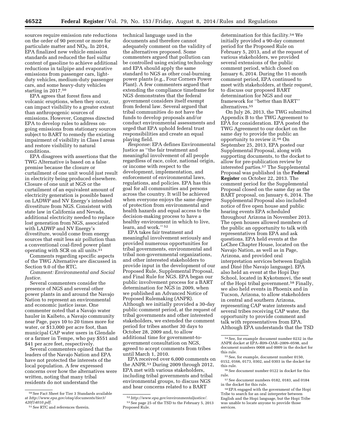sources require emission rate reductions on the order of 90 percent or more for particulate matter and  $NO<sub>x</sub>$ . In 2014, EPA finalized new vehicle emission standards and reduced the fuel sulfur content of gasoline to achieve additional reductions in tailpipe and evaporative emissions from passenger cars, lightduty vehicles, medium-duty passenger cars, and some heavy-duty vehicles starting in 2017.50

EPA agrees that forest fires and volcanic eruptions, when they occur, can impact visibility to a greater extent than anthropogenic sources of emissions. However, Congress directed EPA to develop rules to address ongoing emissions from stationary sources subject to BART to remedy the existing impairment of visibility in Class I areas and restore visibility to natural conditions.

EPA disagrees with assertions that the TWG Alternative is based on a false premise because the closure or curtailment of one unit would just result in electricity being produced elsewhere. Closure of one unit at NGS or the curtailment of an equivalent amount of electricity generation is possible based on LADWP and NV Energy's intended divestiture from NGS. Consistent with state law in California and Nevada, additional electricity needed to replace lost generation from NGS, associated with LADWP and NV Energy's divestiture, would come from energy sources that emit less air pollution than a conventional coal-fired power plant operating with SCR on all units.51

Comments regarding specific aspects of the TWG Alternative are discussed in Section 9.0 of the RTC.

*Comment: Environmental and Social Justice.* 

Several commenters consider the presence of NGS and several other power plants in and around the Navajo Nation to represent an environmental and economic justice issue. One commenter noted that a Navajo water hauler in Kaibeto, a Navajo community near Page, pays 10 to 20 times more for water, or \$13,000 per acre foot, than municipal CAP water users in Glendale or a farmer in Tempe, who pay \$551 and \$41 per acre feet, respectively.

Several commenters opined that the leaders of the Navajo Nation and EPA have not protected the interests of the local population. A few expressed concerns over how the alternatives were written, noting that many tribal residents do not understand the

technical language used in the documents and therefore cannot adequately comment on the validity of the alternatives proposed. Some commenters argued that pollution can be controlled using existing technology and EPA should apply the same standard to NGS as other coal-burning power plants (e.g., Four Corners Power Plant). A few commenters argued that extending the compliance timeframe for NGS demonstrates that the federal government considers itself exempt from federal law. Several argued that tribal communities do not have the funds to develop proposals and/or conduct environmental assessments and urged that EPA uphold federal trust responsibilities and create an equal playing field.

*Response:* EPA defines Environmental Justice as ''the fair treatment and meaningful involvement of all people regardless of race, color, national origin, or income with respect to the development, implementation, and enforcement of environmental laws, regulations, and policies. EPA has this goal for all communities and persons across the country. It will be achieved when everyone enjoys the same degree of protection from environmental and health hazards and equal access to the decision-making process to have a healthy environment in which to live, learn, and work.'' 52

EPA takes fair treatment and meaningful involvement seriously and provided numerous opportunities for tribal governments, environmental and tribal non-governmental organizations, and other interested stakeholders to provide input in the development of our Proposed Rule, Supplemental Proposal, and Final Rule for NGS. EPA began our public involvement process for a BART determination for NGS in 2009, when we published an Advanced Notice of Proposed Rulemaking (ANPR). Although we initially provided a 30-day public comment period, at the request of tribal governments and other interested stakeholders, we extended the comment period for tribes another 30 days to October 28, 2009 and, to allow additional time for government-togovernment consultation on NGS, agreed to accept comments from tribes until March 1, 2010.

EPA received over 6,000 comments on the ANPR.53 During 2009 through 2012, EPA met with various stakeholders, including tribal governments and tribal environmental groups, to discuss NGS and hear concerns related to a BART

determination for this facility.54 We initially provided a 90-day comment period for the Proposed Rule on February 5, 2013, and at the request of various stakeholders, we provided several extensions of the public comment period, which closed on January 6, 2014. During the 11-month comment period, EPA continued to meet with stakeholders, at their request, to discuss our proposed BART determination for NGS and our framework for ''better than BART'' alternatives.55

On July 26, 2013, the TWG submitted Appendix B to the TWG Agreement to EPA for consideration. EPA posted the TWG Agreement to our docket on the same day to provide the public an opportunity to review it.56 On September 25, 2013, EPA posted our Supplemental Proposal, along with supporting documents, to the docket to allow for pre-publication review by interested parties.57 The Supplemental Proposal was published in the **Federal Register** on October 22, 2013. The comment period for the Supplemental Proposal closed on the same day as the BART proposal, on January 6, 2014. The Supplemental Proposal also included notice of five open house and public hearing events EPA scheduled throughout Arizona in November 2013. The open houses allowed members of the public an opportunity to talk with representatives from EPA and ask questions. EPA held events at the LeChee Chapter House, located on the Navajo Nation, as well as in Page, Arizona, and provided oral interpretation services between English and Diné (the Navajo language). EPA also held an event at the Hopi Day School, located in Kykotsmovi, the seat of the Hopi tribal government.58 Finally, we also held events in Phoenix and in Tucson, Arizona, to allow stakeholders in central and southern Arizona, representing CAP water interests and several tribes receiving CAP water, the opportunity to provide comment and talk with representatives from EPA. Although EPA understands that the TSD

 $^{50}\rm{See}$  Fact Sheet for Tier 3 Standards available at *[http://www.epa.gov/otaq/documents/tier3/](http://www.epa.gov/otaq/documents/tier3/420f14010.pdf) [420f14010.pdf](http://www.epa.gov/otaq/documents/tier3/420f14010.pdf)*.

<sup>51</sup>See RTC and references therein.

<sup>52</sup>*[http://www.epa.gov/environmentaljustice/.](http://www.epa.gov/environmentaljustice/)*  53See page 25 of the TSD to the February 5, 2013 Proposed Rule.

<sup>54</sup>See, for example document number 0232 in the ANPR docket at EPA–R09–OAR–2009–0598, and document numbers 0008 and 0009 in the docket for this rule.

<sup>55</sup>See, for example, document number 0150, 0152, 0166, 0173, 0302, and 0303 in the docket for this rule.

 $^{56}\!\, \mathrm{See}$  document number 0122 in docket for this rule.

<sup>57</sup>See document numbers 0182, 0183, and 0184 in the docket for this rule.

<sup>58</sup>EPA engaged with the government of the Hopi Tribe to search for an oral interpreter between English and the Hopi language, but the Hopi Tribe was unable to locate anyone to provide those services.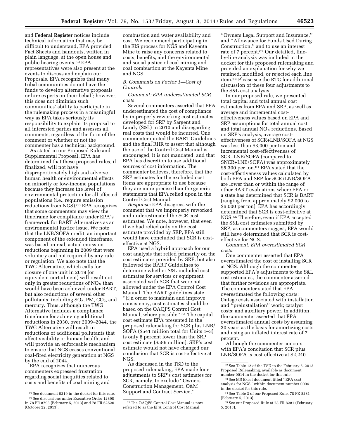and **Federal Register** notices include technical information that may be difficult to understand, EPA provided Fact Sheets and handouts, written in plain language, at the open house and public hearing events.59 EPA representatives were also present at the events to discuss and explain our Proposals. EPA recognizes that many tribal communities do not have the funds to develop alternative proposals or hire experts on their behalf; however, this does not diminish such communities' ability to participate in the rulemaking process in a meaningful way as EPA takes seriously its responsibility to explain its proposal to all interested parties and assesses all comments, regardless of the form of the comment or whether or not the commenter has a technical background.

As stated in our Proposed Rule and Supplemental Proposal, EPA has determined that these proposed rules, if finalized, will not have disproportionately high and adverse human health or environmental effects on minority or low-income populations because they increase the level of environmental protection for all affected populations (i.e., require emission reductions from NGS).60 EPA recognizes that some commenters may view the timeframe for compliance under EPA's framework for BART Alternatives as an environmental justice issue. We note that the LNB/SOFA credit, an important component of the extended timeframe, was based on real, actual emission reductions beginning in 2009 that were voluntary and not required by any rule or regulation. We also note that the TWG Alternative, which calls for closure of one unit in 2019 (or equivalent curtailment) will result not only in greater reductions of  $NO<sub>x</sub>$  than would have been achieved under BART, but also reductions of several other pollutants, including  $SO_2$ , PM,  $CO_2$ , and mercury. Thus, although the TWG Alternative includes a compliance timeframe for achieving additional reductions in 2030, over 2009–2044, the TWG Alternative will result in reductions of additional pollutants that affect visibility or human health, and will provide an enforceable mechanism to ensure that NGS ceases conventional coal-fired electricity generation at NGS by the end of 2044.

EPA recognizes that numerous commenters expressed frustration regarding social inequities related to costs and benefits of coal mining and combustion and water availability and cost. We recommend participating in the EIS process for NGS and Kayenta Mine to raise any concerns related to costs, benefits, and the environmental and social justice of coal mining and coal combustion at the Kayenta Mine and NGS.

# *B. Comments on Factor 1—Cost of Controls*

*Comment: EPA underestimated SCR costs.* 

Several commenters asserted that EPA underestimated the cost of compliance by improperly reworking cost estimates developed for SRP by Sargent and Lundy (S&L) in 2010 and disregarding real costs that would be incurred. One commenter quoted the BART Guidelines and the final RHR to assert that although the use of the Control Cost Manual is encouraged, it is not mandated, and that EPA has discretion to use additional sources of cost information. The commenter believes, therefore, that the SRP estimates for the excluded cost items are appropriate to use because they are more precise than the generic statements that EPA relied upon in the Control Cost Manual.

*Response:* EPA disagrees with the comment that we improperly reworked and underestimated the SCR cost estimates. We note, however, that even if we had relied only on the cost estimate provided by SRP, EPA still would have concluded that SCR is costeffective at NGS.

EPA used a hybrid approach for our cost analysis that relied primarily on the cost estimates provided by SRP, but also followed the BART Guidelines to determine whether S&L included cost estimates for services or equipment associated with SCR that were not allowed under the EPA Control Cost Manual. The BART guidelines state ''[i]n order to maintain and improve consistency, cost estimates should be based on the OAQPS Control Cost Manual, where possible''.61 The capital cost estimate EPA presented in the proposed rulemaking for SCR plus LNB/ SOFA (\$541 million total for Units 1–3) is only 8 percent lower than the SRP cost estimate (\$589 million). SRP's cost estimate would not have changed our conclusion that SCR is cost-effective at NGS.

As discussed in the TSD to the proposed rulemaking, EPA made four adjustments to SRP's cost estimates for SCR, namely, to exclude ''Owners Construction Management, O&M Support and Contract Service,''

''Owners Legal Support and Insurance,'' and ''Allowance for Funds Used During Construction,'' and to use an interest rate of 7 percent.62 Our detailed, lineby-line analysis was included in the docket for this proposed rulemaking and provided an explanation for why we retained, modified, or rejected each line item.63 Please see the RTC for additional discussion of these four adjustments to the S&L cost analysis.

In our proposed rule, we presented total capital and total annual cost estimates from EPA and SRP, as well as average and incremental costeffectiveness values based on EPA and SRP assumptions for total annual cost and total annual  $NO<sub>x</sub>$  reductions. Based on SRP's analysis, average costeffectiveness of SCR+LNB/SOFA at NGS was less than \$3,000 per ton and incremental cost-effectiveness of SCR+LNB/SOFA (compared to SNCR+LNB/SOFA) was approximately \$5,300 per ton.64 EPA stated that the cost-effectiveness values calculated by both EPA and SRP for SCR+LNB/SOFA are lower than or within the range of other BART evaluations where EPA or a state has determined that SCR is BART (ranging from approximately \$2,000 to \$6,000 per ton). EPA has accordingly determined that SCR is cost-effective at NGS.65 Therefore, even if EPA accepted the S&L cost estimates submitted by SRP, as commenters suggest, EPA would still have determined that SCR is costeffective for NGS.

*Comment: EPA overestimated SCR costs.* 

One commenter asserted that EPA overestimated the cost of installing SCR at NGS. Although the commenter supported EPA's adjustments to the S&L cost estimates, the commenter asserted that further revisions are appropriate. The commenter stated that EPA overestimated the following costs: Outage costs associated with installation and ''preinstallation'' work; catalyst costs; and auxiliary power. In addition, the commenter asserted that EPA overestimated annual costs by assuming 20 years as the basis for amortizing costs and using an inflated interest rate of 7 percent.

Although the commenter concurs with EPA's conclusion that SCR plus LNB/SOFA is cost-effective at \$2,240

<sup>59</sup>See document 0219 in the docket for this rule. 60See discussions under Executive Order 12898 in 78 FR 8793 (February 5, 2013) and 78 FR 62520 (October 22, 2013).

<sup>61</sup>The OAQPS Control Cost Manual is now referred to as the EPA Control Cost Manual.

<sup>62</sup>See Table 12 of the TSD to the February 5, 2013 Proposed Rulemaking, available as document number 0014 in the docket for this rule.

<sup>63</sup>See MS Excel document titled ''EPA cost analysis for NGS'' within document number 0004 in the docket for this rule.

<sup>64</sup>See Table 3 of our Proposed Rule, 78 FR 8281 (February 5, 2013).

<sup>65</sup>See our Proposed Rule at 78 FR 8281 (February 5, 2013).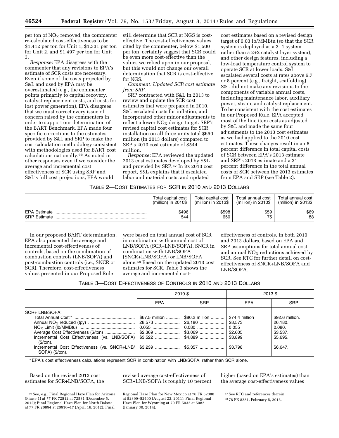per ton of  $NO<sub>X</sub>$  removed, the commenter re-calculated cost-effectiveness to be \$1,412 per ton for Unit 1, \$1,331 per ton for Unit 2, and \$1,497 per ton for Unit 3.

*Response:* EPA disagrees with the commenter that any revisions to EPA's estimate of SCR costs are necessary. Even if some of the costs projected by S&L and used by EPA may be overestimated (e.g., the commenter points primarily to capital recovery, catalyst replacement costs, and costs for lost power generation), EPA disagrees that we must correct every issue of concern raised by the commenters in order to support our determination of the BART Benchmark. EPA made four specific corrections to the estimates provided by S&L and SRP to make the cost calculation methodology consistent with methodologies used for BART cost calculations nationally.66 As noted in other responses even if we consider the average and incremental cost effectiveness of SCR using SRP and S&L's full cost projections, EPA would

still determine that SCR at NGS is costeffective. The cost-effectiveness values cited by the commenter, below \$1,500 per ton, certainly suggest that SCR could be even more cost-effective than the values we relied upon in our proposal, but this would not change our overall determination that SCR is cost-effective for NGS.

*Comment: Updated SCR cost estimate from SRP.* 

SRP contracted with S&L in 2013 to review and update the SCR cost estimates that were prepared in 2010. S&L escalated costs for inflation, and incorporated other minor adjustments to reflect a lower  $NO<sub>x</sub>$  design target. SRP's revised capital cost estimates for SCR installation on all three units total \$650 million (in 2013 dollars) compared to SRP's 2010 cost estimate of \$544 million.

*Response:* EPA reviewed the updated 2013 cost estimates developed by S&L and provided by SRP.67 In its 2013 cost report, S&L explains that it escalated labor and material costs, and updated

cost estimates based on a revised design target of 0.03 lb/MMBtu (so that the SCR system is deployed as a 3+1 system rather than a 2+2 catalyst layer system), and other design features, including a low-load temperature control system to operate SCR at lower loads. S&L escalated several costs at rates above 6.7 or 8 percent (e.g., freight, scaffolding). S&L did not make any revisions to the components of variable annual costs, including maintenance labor, auxiliary power, steam, and catalyst replacement. To be consistent with the cost estimates in our Proposed Rule, EPA accepted most of the line item costs as adjusted by S&L and made the same four adjustments to the 2013 cost estimates as we had applied to the 2010 cost estimates. These changes result in an 8 percent difference in total capital costs of SCR between EPA's 2013 estimate and SRP's 2013 estimate and a 21 percent difference in the total annual costs of SCR between the 2013 estimates from EPA and SRP (see Table 2).

# TABLE 2—COST ESTIMATES FOR SCR IN 2010 AND 2013 DOLLARS

|                                            | Total capital cost    | Total capital cost    | Total annual cost     | Total annual cost     |
|--------------------------------------------|-----------------------|-----------------------|-----------------------|-----------------------|
|                                            | $(million)$ in 2010\$ | $(million)$ in 2013\$ | $(million)$ in 2010\$ | $(million)$ in 2013\$ |
| <b>EPA Estimate</b><br><b>SRP Estimate</b> | \$496<br>544          | \$598<br>650          | \$59<br>75            | \$69<br>88            |

In our proposed BART determination, EPA also presented the average and incremental cost-effectiveness of controls, based on the combination of combustion controls (LNB/SOFA) and post-combustion controls (i.e., SNCR or SCR). Therefore, cost-effectiveness values presented in our Proposed Rule

were based on total annual cost of SCR in combination with annual cost of LNB/SOFA (SCR+LNB/SOFA), SNCR in combination with LNB/SOFA (SNCR+LNB/SOFA) or LNB/SOFA alone.68 Based on the updated 2013 cost estimates for SCR, Table 3 shows the average and incremental cost-

effectiveness of controls, in both 2010 and 2013 dollars, based on EPA and SRP assumptions for total annual cost and annual  $NO<sub>X</sub>$  reductions achieved by SCR. See RTC for further detail on costeffectiveness of SNCR+LNB/SOFA and LNB/SOFA.

| TABLE 3-COST EFFECTIVENESS OF CONTROLS IN 2010 AND 2013 DOLLARS |  |
|-----------------------------------------------------------------|--|
|-----------------------------------------------------------------|--|

|                                                                                                                                                  | $2010$ \$                    |                | 2013 \$                                                            |                                                                          |
|--------------------------------------------------------------------------------------------------------------------------------------------------|------------------------------|----------------|--------------------------------------------------------------------|--------------------------------------------------------------------------|
|                                                                                                                                                  | EPA                          | <b>SRP</b>     | <b>EPA</b>                                                         | <b>SRP</b>                                                               |
| SCR+ LNB/SOFA:<br>Incremental Cost Effectiveness (vs. LNB/SOFA)<br>(\$/ton).<br>Incremental Cost Effectiveness (vs. SNCR+LNB/<br>SOFA) (\$/ton). | \$67.5 million   <br>$0.055$ | \$80.2 million | \$74.4 million<br>28.573<br>0.055<br>\$2,605<br>\$3.899<br>\$3.798 | \$92.6 million.<br>26.180.<br>0.080.<br>\$3,537.<br>\$5,695.<br>\$6,647. |

\* EPA's cost effectiveness calculations represent SCR in combination with LNB/SOFA, rather than SCR alone.

Based on the revised 2013 cost estimates for SCR+LNB/SOFA, the revised average cost-effectiveness of SCR+LNB/SOFA is roughly 10 percent higher (based on EPA's estimates) than the average cost-effectiveness values

<sup>66</sup>See, e.g., Final Regional Haze Plan for Arizona (Phase 1) at 77 FR 72512 at 72531 (December 5, 2012); Final Regional Haze Plan for North Dakota at 77 FR 20894 at 20916–17 (April 16, 2012); Final

Regional Haze Plan for New Mexico at 76 FR 52388 at 52399–52400 (August 22, 2011); Final Regional Haze Plan for Wyoming at 79 FR 5032 at 5082 (January 30, 2014).

<sup>&</sup>lt;sup>67</sup> See RTC and references therein.

<sup>68</sup> 78 FR 8281, February 5, 2013.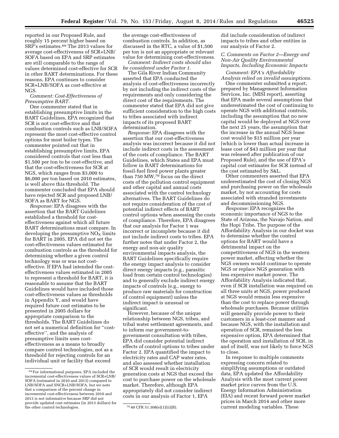reported in our Proposed Rule, and roughly 15 percent higher based on SRP's estimates.69 The 2013 values for average cost-effectiveness of SCR+LNB/ SOFA based on EPA and SRP estimates are still comparable to the range of values determined cost-effective for SCR in other BART determinations. For these reasons, EPA continues to consider SCR+LNB/SOFA as cost-effective at NGS.

*Comment: Cost-Effectiveness of Presumptive BART.* 

One commenter stated that in establishing presumptive limits in the BART Guidelines, EPA recognized that SCR is not cost-effective and that combustion controls such as LNB/SOFA represent the most cost-effective control options for most boiler types. The commenter pointed out that in establishing presumptive limits, EPA considered controls that cost less than \$1,500 per ton to be cost-effective, and that the cost-effectiveness for SCR at NGS, which ranges from \$3,000 to \$6,000 per ton based on 2010 estimates, is well above this threshold. The commenter concluded that EPA should have rejected SCR and proposed LNB/ SOFA as BART for NGS.

*Response:* EPA disagrees with the assertion that the BART Guidelines established a threshold for costeffectiveness against which all future BART determinations must compare. In developing the presumptive  $NO<sub>x</sub>$  limits for BART in 2005, EPA did not set the cost-effectiveness values estimated for combustion controls as the threshold for determining whether a given control technology was or was not costeffective. If EPA had intended the costeffectiveness values estimated in 2005 to represent a threshold for BART, it is reasonable to assume that the BART Guidelines would have included those cost-effectiveness values as thresholds in Appendix Y, and would have required future cost estimates to be presented in 2005 dollars for appropriate comparison to the thresholds. The BART Guidelines do not set a numerical definition for ''costeffective'', and the analysis of presumptive limits uses costeffectiveness as a means to broadly compare control technologies, not as a threshold for rejecting controls for an individual unit or facility that exceed

the average cost-effectiveness of combustion controls. In addition, as discussed in the RTC, a value of \$1,500 per ton is not an appropriate or relevant value for determining cost-effectiveness.

*Comment: Indirect costs should also be considered under Factor 1.* 

The Gila River Indian Community asserted that EPA conducted the analysis of cost-effectiveness incorrectly by not including the indirect costs of the requirements and only considering the direct cost of the requirements. The commenter stated that EPA did not give sufficient consideration to the high costs to tribes associated with indirect impacts of its proposed BART determination.

*Response:* EPA disagrees with the assertion that our cost-effectiveness analysis was incorrect because it did not include indirect costs in the assessment of the costs of compliance. The BART Guidelines, which States and EPA must follow in BART determinations for fossil-fuel fired power plants greater than 750 MW,70 focus on the direct costs of the pollution control equipment and other capital and annual costs associated with the control technology alternatives. The BART Guidelines do not require consideration of the cost of potential indirect effects of BART control options when assessing the costs of compliance. Therefore, EPA disagrees that our analysis for Factor 1 was incorrect or incomplete because it did not include indirect costs to tribes. EPA further notes that under Factor 2, the energy and non-air quality environmental impacts analysis, the BART Guidelines specifically require the energy impact analysis to consider direct energy impacts (e.g., parasitic load from certain control technologies) and to generally exclude indirect energy impacts of controls (e.g., energy to produce raw materials for construction of control equipment) unless the indirect impact is unusual or significant.

However, because of the unique relationship between NGS, tribes, and tribal water settlement agreements, and to inform our government-togovernment consultation with tribes, EPA did consider potential indirect effects of control options to tribes under Factor 2. EPA quantified the impact to electricity rates and CAP water rates, and also assessed whether installation of SCR would result in electricity generation costs at NGS that exceed the cost to purchase power on the wholesale market. Therefore, although EPA appropriately did not consider indirect costs in our analysis of Factor 1, EPA

did include consideration of indirect impacts to tribes and other entities in our analysis of Factor 2.

# *C. Comments on Factor 2—Energy and Non-Air Quality Environmental Impacts, Including Economic Impacts*

*Comment: EPA's Affordability Analysis relied on invalid assumptions.* 

One commenter submitted a report, prepared by Management Information Services, Inc. (MISI report), asserting that EPA made several assumptions that underestimated the cost of continuing to operate NGS with additional controls, including the assumption that no new capital would be deployed at NGS over the next 25 years, the assumption that the increase in the annual NGS lease cost would be \$15 million per year (which is lower than actual increase in lease cost of \$43 million per year that was released after publication of our Proposed Rule), and the use of EPA's capital cost estimates for SCR instead of the cost estimated by S&L.

Other commenters asserted that EPA underestimated the cost of closing NGS and purchasing power on the wholesale market, by not accounting for costs associated with stranded investments and decommissioning NGS.

*Response:* EPA recognizes the economic importance of NGS to the State of Arizona, the Navajo Nation, and the Hopi Tribe. The purpose of the Affordability Analysis in our docket was to determine whether the control options for BART would have a detrimental impact on the competitiveness of NGS in the western power market, affecting whether the NGS owners would continue to operate NGS or replace NGS generation with less expensive market power. The Affordability Analysis indicated that, even if SCR installation was required on all three units at NGS, power produced at NGS would remain less expensive than the cost to replace power through wholesale purchases. Because utilities will generally provide power to their customers in a least-cost manner and because NGS, with the installation and operation of SCR, remained the less expensive option, EPA determined that the operation and installation of SCR, in and of itself, was not likely to force NGS to close.

In response to multiple comments expressing concern related to simplifying assumptions or outdated data, EPA updated the Affordability Analysis with the most current power market price curves from the U.S. Energy Information Administration (EIA) and recent forward power market prices in March 2014 and other more current modeling variables. These

<sup>69</sup>For informational purposes, EPA included the incremental cost-effectiveness values of SCR+LNB/ SOFA (estimated in 2010 and 2013) compared to LNB/SOFA and SNCR+LNB/SOFA, but we note that a comparison of the percent change in incremental cost-effectiveness between 2010 and 2013 is not informative because SRP did not provide updated cost estimates (in 2013 dollars) for the other control technologies.  $70\,40$  CFR 51.308(e)(1)(ii)(B).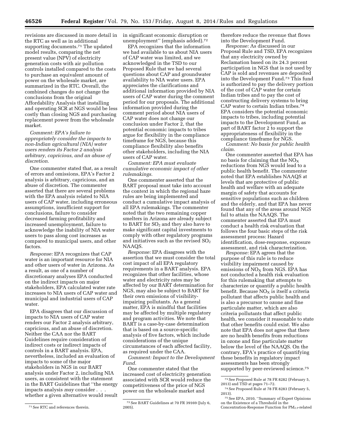revisions are discussed in more detail in the RTC as well as in additional supporting documents.71 The updated model results, comparing the net present value (NPV) of electricity generation costs with air pollution controls installed compared to the costs to purchase an equivalent amount of power on the wholesale market, are summarized in the RTC. Overall, the combined changes do not change the conclusions from the original Affordability Analysis that installing and operating SCR at NGS would be less costly than closing NGS and purchasing replacement power from the wholesale market.

*Comment: EPA's failure to appropriately consider the impacts to non-Indian agricultural (NIA) water users renders its Factor 2 analysis arbitrary, capricious, and an abuse of discretion.* 

One commenter stated that, as a result of errors and omissions, EPA's Factor 2 analysis is arbitrary, capricious, and an abuse of discretion. The commenter asserted that there are several problems with the EPA analysis related to NIA users of CAP water, including erroneous assumptions, insufficient support for conclusions, failure to consider decreased farming profitability and increased unemployment, failure to acknowledge the inability of NIA water users to pass along cost increases as compared to municipal users, and other factors.

*Response:* EPA recognizes that CAP water is an important resource for NIA and other users of water in Arizona. As a result, as one of a number of discretionary analyses EPA conducted on the indirect impacts on major stakeholders, EPA calculated water rate increases to NIA users of CAP water and municipal and industrial users of CAP water.

EPA disagrees that our discussion of impacts to NIA users of CAP water renders our Factor 2 analysis arbitrary, capricious, and an abuse of discretion. Neither the CAA nor the BART Guidelines require consideration of indirect costs or indirect impacts of controls in a BART analysis. EPA, nevertheless, included an evaluation of impacts to some of the major stakeholders in NGS in our BART analysis under Factor 2, including NIA users, as consistent with the statement in the BART Guidelines that ''the energy impacts analysis *may* consider . . . whether a given alternative would result in significant economic disruption or unemployment'' (emphasis added).72

EPA recognizes that the information we had available to us about NIA users of CAP water was limited, and we acknowledged in the TSD to our Proposed Rule that we had several questions about CAP and groundwater availability to NIA water users. EPA appreciates the clarifications and additional information provided by NIA users of CAP water during the comment period for our proposals. The additional information provided during the comment period about NIA users of CAP water does not change our conclusion under Factor 2, that the potential economic impacts to tribes argue for flexibility in the compliance timeframe for NGS, because this compliance flexibility also benefits other stakeholders, including the NIA users of CAP water.

*Comment: EPA must evaluate cumulative economic impact of other rulemakings.* 

One commenter asserted that the BART proposal must take into account the context in which the regional haze rules are being implemented and conduct a cumulative impact analysis of all EPA rulemakings. The commenter noted that the two remaining copper smelters in Arizona are already subject to BART for  $SO<sub>2</sub>$  and they also have to make significant capital investments to comply with other regulatory programs and initiatives such as the revised  $SO<sub>2</sub>$ NAAQS.

*Response:* EPA disagrees with the assertion that we must consider the total cost impact of all EPA regulatory requirements in a BART analysis. EPA recognizes that other facilities, whose water and electricity rates may be affected by our BART determination for NGS, may also be subject to BART for their own emissions of visibilityimpairing pollutants. As a general matter, EPA is mindful that facilities may be affected by multiple regulatory and program activities. We note that BART is a case-by-case determination that is based on a source-specific analysis of five factors, which include considerations of the unique circumstances of each affected facility, as required under the CAA.

*Comment: Impact to the Development Fund.* 

One commenter stated that the increased cost of electricity generation associated with SCR would reduce the competitiveness of the price of NGS power on the wholesale market and

therefore reduce the revenue that flows into the Development Fund.

*Response:* As discussed in our Proposal Rule and TSD, EPA recognizes that any electricity owned by Reclamation based on its 24.3 percent participation in NGS that is not used by CAP is sold and revenues are deposited into the Development Fund.73 This fund is authorized to pay the delivery portion of the cost of CAP water for certain Indian tribes and to pay the cost of constructing delivery systems to bring CAP water to certain Indian tribes.74 EPA considers the potential economic impacts to tribes, including potential impacts to the Development Fund, as part of BART factor 2 to support the appropriateness of flexibility in the compliance timeframe for NGS.

*Comment: No basis for public health claim.* 

One commenter asserted that EPA has no basis for claiming that the  $NO<sub>x</sub>$ reductions from NGS would lead to a public health benefit. The commenter noted that EPA establishes NAAQS at levels that are protective of public health and welfare with an adequate margin of safety that accounts for sensitive populations such as children and the elderly, and that EPA has never found that any of the areas around NGS fail to attain the NAAQS. The commenter asserted that EPA must conduct a health risk evaluation that follows the four basic steps of the risk assessment process: Hazard identification, dose-response, exposure assessment, and risk characterization.

*Response:* EPA agrees that the purpose of this rule is to reduce visibility impairment caused by emissions of  $NO<sub>X</sub>$  from NGS. EPA has not conducted a health risk evaluation for this rulemaking that attempts to characterize or quantify a public health benefit. Because  $NO<sub>X</sub>$  is itself a criteria pollutant that affects public health and is also a precursor to ozone and fine particulate matter, which are also criteria pollutants that affect public health, we consider it reasonable to state that other benefits could exist. We also note that EPA does not agree that there are no health benefits from reductions in ozone and fine particulate matter below the level of the NAAQS. On the contrary, EPA's practice of quantifying these benefits in regulatory impact assessments has been strongly supported by peer-reviewed science.<sup>75</sup>

<sup>71</sup>See RTC and references therein.

<sup>72</sup>See BART Guidelines at 70 FR 39169 (July 6, 2005).

<sup>73</sup>See Proposed Rule at 78 FR 8282 (February 5, 2013) and TSD at pages 71–72.

<sup>74</sup>See Proposed Rule at 78 FR 8283 (February 5, 2013).

<sup>75</sup>See EPA, 2010, ''Summary of Expert Opinions on the Existence of a Threshold in the Concentration-Response Function for  $PM_{2.5}$ -related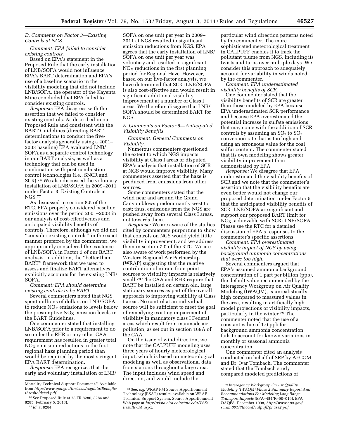# *D. Comments on Factor 3—Existing Controls at NGS*

*Comment: EPA failed to consider existing controls.* 

Based on EPA's statement in the Proposed Rule that the early installation of LNB/SOFA would not influence EPA's BART determination and EPA's use of a baseline scenario in the visibility modeling that did not include LNB/SOFA, the operator of the Kayenta Mine concluded that EPA failed to consider existing controls.

*Response:* EPA disagrees with the assertion that we failed to consider existing controls. As described in our Proposed Rule and consistent with the BART Guidelines (directing BART determinations to conduct the fivefactor analysis generally using a 2001– 2003 baseline) EPA evaluated LNB/ SOFA as a separate control technology in our BART analysis, as well as a technology that can be used in combination with post-combustion control technologies (i.e., SNCR and SCR).76 We also discussed the voluntary installation of LNB/SOFA in 2009–2011 under Factor 3: Existing Controls at NGS.77

As discussed in section 8.5 of the RTC, EPA properly considered baseline emissions over the period 2001–2003 in our analysis of cost-effectiveness and anticipated visibility benefits of controls. Therefore, although we did not ''consider existing controls'' in the exact manner preferred by the commenter, we appropriately considered the existence of LNB/SOFA in Factor 3 of our BART analysis. In addition, the ''better than BART'' framework that we used to assess and finalize BART alternatives explicitly accounts for the existing LNB/ SOFA.

*Comment: EPA should determine existing controls to be BART.* 

Several commenters noted that NGS spent millions of dollars on LNB/SOFA to reduce  $\mathrm{NO}_\mathrm{X}$  emissions to levels below the presumptive  $NO<sub>x</sub>$  emission levels in the BART Guidelines.

One commenter stated that installing LNB/SOFA prior to a requirement to do so under the RHR or any other CAA requirement has resulted in greater total  $NO<sub>x</sub>$  emission reductions in the first regional haze planning period than would be required by the most stringent EPA BART determination.

*Response:* EPA recognizes that the early and voluntary installation of LNB/

77 *Id.* at 8284.

SOFA on one unit per year in 2009– 2011 at NGS resulted in significant emission reductions from NGS. EPA agrees that the early installation of LNB/ SOFA on one unit per year was voluntary and resulted in significant  $NO<sub>X</sub>$  reductions in the first planning period for Regional Haze. However, based on our five-factor analysis, we have determined that SCR+LNB/SOFA is also cost-effective and would result in significant additional visibility improvement at a number of Class I areas. We therefore disagree that LNB/ SOFA should be determined BART for NGS.

#### *E. Comments on Factor 5—Anticipated Visibility Benefits*

*Comment: General Comments on Visibility.* 

Numerous commenters questioned the extent to which NGS impacts visibility at Class I areas or disputed EPA's analysis that installation of SCR at NGS would improve visibility. Many commenters asserted that the haze is produced from emissions from other sources.

Some commenters stated that the wind near and around the Grand Canyon blows predominantly west to east; thus, emissions from the NGS are pushed away from several Class I areas, not towards them.

*Response:* We are aware of the studies cited by commenters purporting to show that controls on NGS would yield little visibility improvement, and we address them in section 7.0 of the RTC. We are also aware of work performed by the Western Regional Air Partnership (WRAP) suggesting that the relative contribution of nitrate from point sources to visibility impacts is relatively small.78 The CAA and RHR require that BART be installed on certain old, large stationary sources as part of the overall approach to improving visibility at Class I areas. No control at an individual source will be sufficient to meet the goal of remedying existing impairment of visibility in mandatory class I Federal areas which result from manmade air pollution, as set out in section 169A of the CAA.

On the issue of wind direction, we note that the CALPUFF modeling uses three years of hourly meteorological input, which is based on meteorological modeling as well as observational data from stations throughout a large area. The input includes wind speed and direction, and would include the

particular wind direction patterns noted by the commenter. The more sophisticated meteorological treatment in CALPUFF enables it to track the pollutant plume from NGS, including its twists and turns over multiple days. We consider this approach to adequately account for variability in winds noted by the commenter.

*Comment: EPA underestimated visibility benefits of SCR.* 

One commenter stated that the visibility benefits of SCR are greater than those modeled by EPA because EPA underestimated SCR performance and because EPA overestimated the potential increase in sulfate emissions that may come with the addition of SCR controls by assuming an  $SO<sub>2</sub>$  to  $SO<sub>3</sub>$ conversion rate that is too high and using an erroneous value for the coal sulfur content. The commenter stated that its own modeling shows greater visibility improvement than demonstrated by EPA.

*Response:* We disagree that EPA underestimated the visibility benefits of SCR and we note that the commenter's assertion that the visibility benefits are even better would not change our proposed determination under Factor 5 that the anticipated visibility benefits of SCR+LNB/SOFA are significant and support our proposed BART limit for  $NO<sub>x</sub>$ , achievable with SCR+LNB/SOFA. Please see the RTC for a detailed discussion of EPA's responses to the commenter's specific assertions.

*Comment: EPA overestimated visibility impact of NGS by using background ammonia concentrations that were too high.* 

Several commenters argued that EPA's assumed ammonia background concentration of 1 part per billion (ppb), the default value recommended by the Interagency Workgroup on Air Quality Modeling (IWAQM), is unrealistically high compared to measured values in the area, resulting in artificially high model projections of visibility impacts, particularly in the winter.79 The commenter noted that the use of a constant value of 1.0 ppb for background ammonia concentration fails to account for known variations in monthly or seasonal ammonia concentration.

One commenter cited an analysis conducted on behalf of SRP by AECOM and Dr. Ivar Tombach. The commenter stated that the Tombach study compared modeled predictions of

Mortality Technical Support Document.'' Available from *[http://www.epa.gov/ttn/ecas/regdata/Benefits/](http://www.epa.gov/ttn/ecas/regdata/Benefits/thresholdstsd.pdf)  [thresholdstsd.pdf.](http://www.epa.gov/ttn/ecas/regdata/Benefits/thresholdstsd.pdf)* 

<sup>76</sup>See Proposed Rule at 78 FR 8280, 8284 and 8285 (February 5, 2013).

<sup>78</sup>See, *e.g.* WRAP PM Source Apportionment Technology (PSAT) results, available on WRAP Technical Support System, Source Apportionment Web page at *[http://vista.cira.colostate.edu/TSS/](http://vista.cira.colostate.edu/TSS/Results/SA.aspx) [Results/SA.aspx.](http://vista.cira.colostate.edu/TSS/Results/SA.aspx)* 

<sup>79</sup> *Interagency Workgroup On Air Quality Modeling (IWAQM) Phase 2 Summary Report And Recommendations For Modeling Long Range Transport Impacts* (EPA–454/R–98–019), EPA OAQPS, December 1998, *[http://www.epa.gov/](http://www.epa.gov/scram001/7thconf/calpuff/phase2.pdf) [scram001/7thconf/calpuff/phase2.pdf.](http://www.epa.gov/scram001/7thconf/calpuff/phase2.pdf)*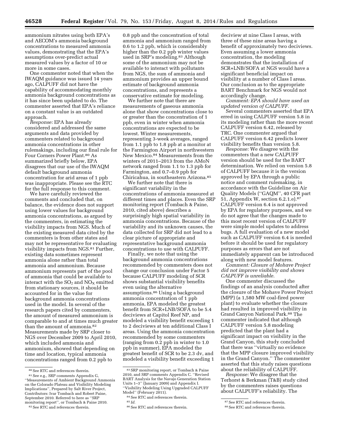ammonium nitrates using both EPA's and AECOM's ammonia background concentrations to measured ammonia values, demonstrating that the EPA's assumptions over-predict actual measured values by a factor of 10 or more in some cases.

One commenter noted that when the IWAQM guidance was issued 14 years ago, CALPUFF did not have the capability of accommodating monthly ammonia background concentrations as it has since been updated to do. The commenter asserted that EPA's reliance on a constant value is an outdated approach.

*Response:* EPA has already considered and addressed the same arguments and data provided by commenters related to background ammonia concentrations in other rulemakings, including our final rule for Four Corners Power Plant.80 As summarized briefly below, EPA disagrees that our use of the IWAQM default background ammonia concentration for arid areas of 1 ppb was inappropriate. Please see the RTC for the full response to this comment.

We have carefully reviewed the comments and concluded that, on balance, the evidence does not support using lower values for background ammonia concentrations, as argued by the commenters, in estimating the visibility impacts from NGS. Much of the existing measured data cited by the commenters is from other states and may not be representative for evaluating visibility impacts from NGS.81 Further, existing data sometimes represent ammonia alone rather than total ammonia and ammonium. Because ammonium represents part of the pool of ammonia that could be available to interact with the  $SO_2$  and  $NO_X$  emitted from stationary sources, it should be accounted for in the value for background ammonia concentrations used in the model. In several of the research papers cited by commenters, the amount of measured ammonium is comparable to and at times much greater than the amount of ammonia.<sup>82</sup> Measurements made by SRP closer to NGS over December 2009 to April 2010, which included ammonia and ammonium, showed that depending on time and location, typical ammonia concentrations ranged from 0.2 ppb to

82 See RTC and references therein.

0.8 ppb and the concentration of total ammonia and ammonium ranged from 0.6 to 1.2 ppb, which is considerably higher than the 0.2 ppb winter values used in SRP's modeling.83 Although some of the ammonium may not be available to interact with pollutants from NGS, the sum of ammonia and ammonium provides an upper bound estimate of background ammonia concentrations, and represents a conservative estimate for modeling.

We further note that there are measurements of gaseous ammonia alone that show concentrations close to or greater than the concentration of 1 ppb, even in winter when ammonia concentrations are expected to be lowest. Winter measurements, representing 3-week averages, ranged from 1.1 ppb to 1.8 ppb at a monitor at the Farmington Airport in northwestern New Mexico.84 Measurements from the winters of 2011–2013 from the AMoN network ranged from 1.1 to 1.3 ppb for Farmington, and 0.7–0.9 ppb for Chiricahua, in southeastern Arizona.85

We further note that there is significant variability in the concentrations of ammonia measured at different times and places. Even the SRP monitoring report (Tombach & Paine, 2010, cited above) describes a surprisingly high spatial variability in ammonia concentrations. Because of the variability and its unknown causes, the data collected for SRP did not lead to a clear picture of appropriate and representative background ammonia concentrations to use with CALPUFF.

Finally, we note that using the background ammonia concentrations recommended by commenters does not change our conclusion under Factor 5 because CALPUFF modeling of SCR shows substantial visibility benefits even using the alternative assumptions.86 Using a background ammonia concentration of 1 ppb ammonia, EPA modeled the greatest benefit from SCR+LNB/SOFA to be 5.4 deciviews at Capitol Reef NP, and modeled a visibility benefit exceeding 1 to 2 deciviews at ten additional Class I areas. Using the ammonia concentration recommended by some commenters (ranging from 0.2 ppb in winter to 1.0 ppb in summer), EPA modeled the greatest benefit of SCR to be 2.3 dv, and modeled a visibility benefit exceeding 1

deciview at nine Class I areas, with three of these nine areas having a benefit of approximately two deciviews. Even assuming a lower ammonia concentration, the modeling demonstrates that the installation of SCR+LNB/SOFA at NGS would have a significant beneficial impact on visibility at a number of Class I areas. Our conclusion as to the appropriate BART Benchmark for NGS would not accordingly change.

*Comment: EPA should have used an updated version of CALPUFF.* 

Several commenters asserted that EPA erred in using CALPUFF version 5.8 in its modeling rather than the more recent CALPUFF version 6.42, released by TRC. One commenter argued that CALPUFF version 6.42 predicts lower visibility benefits than version 5.8.

*Response:* We disagree with the commenters that a new CALPUFF version should be used for the BART determination. We relied on version 5.8 of CALPUFF because it is the version approved by EPA through a public notice and comment rulemaking, in accordance with the Guideline on Air Quality Models (''GAQM'', 40 CFR part 51, Appendix W, section 6.2.1.e).87 CALPUFF version 6.4 is not approved by EPA for regulatory purposes, and we do not agree that the changes made to this most recent version of CALPUFF were simple model updates to address bugs. A full evaluation of a new model such as CALPUFF version 6.4 is needed before it should be used for regulatory purposes as errors that are not immediately apparent can be introduced along with new model features.

*Comment: Closure of Mohave Project did not improve visibility and shows CALPUFF is unreliable.* 

One commenter discussed the findings of an analysis conducted after the closure of the Mohave Power Project (MPP) (a 1,580 MW coal-fired power plant) to evaluate whether the closure had resulted in improved visibility in Grand Canyon National Park.88 The commenter indicated that although CALPUFF version 5.8 modeling predicted that the plant had a significant impact on visibility in the Grand Canyon, this study concluded that there was ''virtually no evidence that the MPP closure improved visibility in the Grand Canyon.'' The commenter asserted that this study raises questions about the reliability of CALPUFF.

*Response:* We disagree that the Terhorst & Berkman (T&B) study cited by the commenters raises questions about CALPUFF's reliability. The

<sup>80</sup>See RTC and references therein.

<sup>81</sup>See e.g., SRP comments Appendix G, ''Measurements of Ambient Background Ammonia on the Colorado Plateau and Visibility Modeling Implications'', Prepared by Salt River Project, Contributors: Ivar Tombach and Robert Paine, September 2010. Referred to here as ''SRP monitoring report'', or Tombach & Paine 2010.

<sup>83</sup>SRP monitoring report, or Tombach & Paine 2010, and SRP comments Appendix C. ''Revised BART Analysis for the Navajo Generation Station Units 1–3'' (January 2009) and Appendix I. ''Visibility Modeling Using Upgraded CALPUFF Model'' (February 2011).

<sup>84</sup>See RTC and references therein.

<sup>85</sup> *Id.* 

<sup>86</sup>See RTC and references therein.

<sup>87</sup>See RTC and references therein.

<sup>88</sup>See RTC and references therein.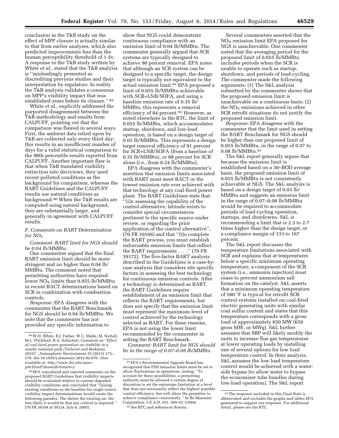conclusion in the T&B study on the effect of MPP closure is actually similar to that from earlier analyses, which also predicted improvements less than the human perceptibility threshold of 1 dv. A response to the T&B study written by White *et al.,* stated that the T&B analysis is ''misleadingly presented as discrediting previous studies and their interpretation by regulators. In reality the T&B analysis validates a consensus on MPP's visibility impact that was

established years before its closure.'' 89 White *et al.,* explicitly addressed the purported disagreement between the T&B methodology and results from CALPUFF, pointing out that the comparison was flawed in several ways. First, the ambient data relied upon by T&B are collected only every third day; this results in an insufficient number of days for a valid statistical comparison to the 98th percentile results reported from CALPUFF. Another important flaw is that when T&B translated visibility extinction into deciviews, they used recent polluted conditions as the background for comparison, whereas the BART Guidelines and the CALPUFF results use natural conditions as background.90 When the T&B results are computed using natural background, they are substantially larger, and generally in agreement with CALPUFF results.

# *F. Comments on BART Determination for NOX*

*Comment: BART limit for NGS should be 0.04 lb/MMBtu.* 

One commenter argued that the final BART emission limit should be more stringent and no higher than 0.04 lb/ MMBtu. The comment noted that permitting authorities have required lower  $NO<sub>X</sub>$  limits than 0.055 lb/MMBtu in recent BACT determinations based on SCR in combination with combustion controls.

*Response:* EPA disagrees with the commenter that the BART Benchmark for NGS should be 0.04 lb/MMBtu. We note that the commenter has not provided any specific information to

show that NGS could demonstrate continuous compliance with an emission limit of 0.04 lb/MMBtu. The commenter generally argued that SCR systems are typically designed to achieve 90 percent removal. EPA notes that although an SCR system can be designed to a specific target, the design target is typically not equivalent to the actual emission limit.<sup>91</sup> EPA proposed a limit of 0.055 lb/MMBtu achievable with SCR+LNB/SOFA, and using a baseline emission rate of 0.35 lb/ MMBtu, this represents a removal efficiency of 84 percent.92 However, as noted elsewhere in the RTC, the limit of 0.055 lb/MMBtu, which accommodates startup, shutdown, and low-load operation, is based on a design target of 0.03 lb/MMBtu. This represents a design target removal efficiency of 91 percent for SCR+LNB/SOFA (from a baseline of 0.35 lb/MMBtu), or 88 percent for SCR alone (i.e., from 0.24 lb/MMBtu).

EPA disagrees with the commenter's assertion that emission limits associated with BART must meet BACT or the lowest emission rate ever achieved with that technology at any coal-fired power plant. The BART Guidelines state that: ''[i]n assessing the capability of the control alternative, latitude exists to consider special circumstances pertinent to the specific source under review, or regarding the prior application of the control alternative'', (70 FR 39166) and that ''[t]o complete the BART process, you must establish enforceable emission limits that reflect the BART requirements . . .'' (70 FR 39172). The five-factor BART analysis described in the Guidelines is a case-bycase analysis that considers site specific factors in assessing the best technology for continuous emission controls. After a technology is determined as BART, the BART Guidelines require establishment of an emission limit that reflects the BART requirements, but does not specify that the emission limit must represent the maximum level of control achieved by the technology selected as BART. For these reasons, EPA is not using the lower limit recommended by the commenter in setting the BART Benchmark.

*Comment: BART limit for NGS should be in the range of 0.07–0.08 lb/MMBtu.* 

Several commenters asserted that the  $NO<sub>X</sub>$  emission limit EPA proposed for NGS is unachievable. One commenter noted that the averaging period for the proposed limit of 0.055 lb/MMBtu includes periods when the SCR is unable to operate such as startup, shutdown, and periods of load-cycling. The commenter made the following arguments: (1) The S&L analysis submitted by the commenter shows that the proposed emission limit is unachievable on a continuous basis; (2) the  $NO<sub>x</sub>$  emissions achieved in other SCR retrofit situations do not justify the proposed emission limit.

*Response:* EPA disagrees with the commenter that the limit used in setting the BART Benchmark for NGS should be higher than our proposed limit of 0.055 lb/MMBtu, in the range of 0.07 to 0.08 lb/MMBtu.93

The S&L report generally argues that because the emission limit is established based on a 30–BOD average basis, the proposed emission limit of 0.055 lb/MMBtu is not consistently achievable at NGS. The S&L analysis is based on a design target of 0.03 lb/ MMBtu and suggests an emission limit in the range of 0.07–0.08 lb/MMBtu would be required to accommodate periods of load-cycling operation, startups, and shutdowns. S&L is recommending a limit that is 2.3 to 2.7 times higher than the design target, or a compliance margin of 133 to 167 percent.

The S&L report discusses the temperature limitations associated with SCR and explains that at temperatures below a specific minimum operating temperature, a component of the SCR system (i.e., ammonia injection) must cease to prevent ammonium salt formation on the catalyst. S&L asserts that a minimum operating temperature of 580 °F is typical for retrofit SCR control systems installed on coal-fired electric generating units with similar coal sulfur content and states that this temperature corresponds with a gross load of approximately 650 MW (650 gross MW, or MWg). S&L further assumes that SRP will likely modify the units to increase flue gas temperatures at lower operating loads by installing one of several options for low load temperature control. In their analysis, S&L assumes the low load temperature control would be achieved with a waterside bypass (to allow water to bypass the economizer tube bundles during low-load operation). The S&L report

<sup>89</sup>W.H. White, R.J. Farber, W.C. Malm, M. Nuttall, M.L. Pitchford, B.A. Schichtel, *Comment on ''Effect of coal-fired power generation on visibility in a nearby national park (Terhorst and Berkman, 2010)'',* Atmospheric Environment 55 (2012) 173– 178. doi:10.1016/j.atmosenv.2012.02.076. Also available at: *[http://www.dri.edu/marc](http://www.dri.edu/marc-pitchford?showall=&start=2)[pitchford?showall=&start=2.](http://www.dri.edu/marc-pitchford?showall=&start=2)* 

<sup>90</sup>EPA considered and rejected comments on the proposed BART Guidelines that visibility impacts should be evaluated relative to current degraded visibility conditions and concluded that ''[u]sing existing conditions as the baseline for single source visibility impact determinations would create the following paradox: The dirtier the existing air, the less likely it would be that any control is required.'' (70 FR 39104 at 39124, July 6, 2005).

<sup>91</sup>EPA's Environmental Appeals Board has recognized that PSD emission limits must be set to allow fluctuations in operations, stating: ''To account for these possibilities, a permitting authority must be allowed a certain degree of discretion to set the emissions limitation at a level that does not necessarily reflect the highest possible control efficiency, but will allow the permittee to achieve compliance consistently.'' In Re Masonite Corporation, 5 E.A.D. 551, 560–61 (1994). 92See RTC and references therein.

<sup>93</sup>The response included in this Final Rule is abbreviated and excludes the graphs and tables EPA generated to support our response. For additional detail, please see the RTC.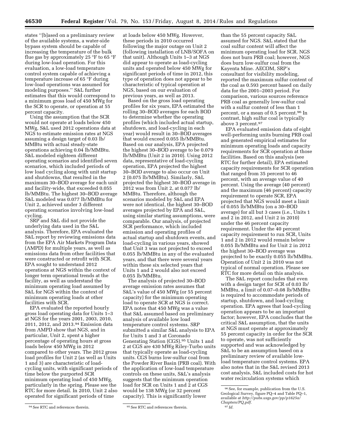states ''[b]ased on a preliminary review of the available systems, a water-side bypass system should be capable of increasing the temperature of the bulk flue gas by approximately 25 °F to 65 °F during low-load operation. For this evaluation, a low-load temperature control system capable of achieving a temperature increase of 65 °F during low-load operations was assumed for modeling purposes.'' S&L further estimates that this would correspond to a minimum gross load of 450 MWg for the SCR to operate, or operation at 55 percent capacity.

Using the assumption that the SCR would not operate at loads below 450 MWg, S&L used 2012 operations data at NGS to estimate emission rates at NGS assuming a design target of 0.03 lb/ MMBtu with actual steady-state operations achieving 0.04 lb/MMBtu. S&L modeled eighteen different operating scenarios and identified seven scenarios, which included periods of low load cycling along with unit startup and shutdowns, that resulted in the maximum 30–BOD average for each unit and facility-wide, that exceeded 0.055 lb/MMBtu. The highest 30–BOD average S&L modeled was 0.077 lb/MMBtu for Unit 2, achieved under 3 different operating scenarios involving low-load cycling.

SRP and S&L did not provide the underlying data used in the S&L analysis. Therefore, EPA evaluated the S&L report by reviewing emissions data from the EPA Air Markets Program Data (AMPD) for multiple years, as well as emissions data from other facilities that were constructed or retrofit with SCR. EPA sought to understand 2012 operations at NGS within the context of longer term operational trends at the facility, as well as understand the minimum operating load assumed by S&L for NGS within the context of minimum operating loads at other facilities with SCR.

EPA evaluated the reported hourly gross load operating data for Units 1–3 at NGS for the years 2001, 2003, 2010, 2011, 2012, and 2013.94 Emission data from AMPD show that NGS, and in particular, Unit 2, spent a higher percentage of operating hours at gross loads below 450 MWg in 2012 compared to other years. The 2012 gross load profiles for Unit 2 (as well as Units 1 and 3) are characteristic of loadcycling units, with significant periods of time below the purported SCR minimum operating load of 450 MWg, particularly in the spring. Please see the RTC for more detail. In 2010, Unit 2 also operated for significant periods of time

at loads below 450 MWg. However, these periods in 2010 occurred following the major outage on Unit 2 (following installation of LNB/SOFA on that unit). Although Units 1–3 at NGS did appear to operate as load-cycling units and operated below 450 MWg for significant periods of time in 2012, this type of operation does not appear to be characteristic of typical operation at NGS, based on our evaluation of previous years, as well as 2013.

Based on the gross load operating profiles for six years, EPA estimated the rolling 30–BOD averages for each BOD to determine whether the operating profiles (which included actual startup, shutdown, and load-cycling in each year) would result in 30–BOD averages that would exceed 0.055 lb/MMBtu. Based on our analysis, EPA projected the highest 30–BOD average to be 0.079 lb/MMBtu (Unit 2 in 2010). Using 2012 data, representative of load-cycling operation, EPA projected the highest 30–BOD average to also occur on Unit 2 (0.075 lb/MMBtu). Similarly, S&L projected the highest 30–BOD average in 2012 was from Unit 2, at 0.077 lb/ MMBtu. Therefore, although the scenarios modeled by S&L and EPA were not identical, the highest 30–BOD averages projected by EPA and S&L, using similar starting assumptions, were comparable. Our analysis, of projected SCR performance, which included emission and operating profiles of actual startup and shutdown events, and load-cycling in various years, showed that Unit 3 was not projected to exceed 0.055 lb/MMBtu in any of the evaluated years, and that there were several years within these six selected years that Units 1 and 2 would also not exceed 0.055 lb/MMBtu.

The analysis of projected 30–BOD average emission rates assumes that S&L's value of 450 MWg (or 55 percent capacity) for the minimum operating load to operate SCR at NGS is correct. EPA notes that 450 MWg was a value that S&L assumed based on preliminary analysis of available low load temperature control systems. SRP submitted a similar S&L analysis to EPA for Units 1 and 3 at Coronado Generating Station (CGS).95 Units 1 and 2 at CGS are 430 MWg Riley-Turbo units that typically operate as load-cycling units. CGS burns low-sulfur coal from the Powder River Basin (PRB coal). With the application of low-load temperature controls on these units, S&L's analysis suggests that the minimum operation load for SCR on Units 1 and 2 at CGS would be 138 MWg (or 32 percent capacity). This is significantly lower

than the 55 percent capacity S&L assumed for NGS. S&L stated that the coal sulfur content will affect the minimum operating load for SCR. NGS does not burn PRB coal; however, NGS does burn low-sulfur coal from the Kayenta Mine. AECOM, SRP's consultant for visibility modeling, reported the maximum sulfur content of the coal as 0.593 percent based on daily data for the 2001–2003 period. For comparison, various sources reference PRB coal as generally low-sulfur coal with a sulfur content of less than 1 percent, or a mean of 0.5 percent.96 In contrast, high sulfur coal is typically above 3 percent.97

EPA evaluated emission data of eight well-performing units burning PRB coal and generated empirical estimates for minimum operating loads and capacity requirements for SCR operation at those facilities. Based on this analysis (see RTC for further detail), EPA estimated capacity requirements for SCR operation that ranged from 35 percent to 46 percent, with an average value of 40 percent. Using the average (40 percent) and the maximum (46 percent) capacity requirement to operate SCR, EPA projected that NGS would meet a limit of 0.055 lb/MMBtu (on a 30–BOD average) for all but 3 cases (i.e., Units 1 and 2 in 2012, and Unit 2 in 2010) under the 46 percent capacity requirement. Under the 40 percent capacity requirement to run SCR, Units 1 and 2 in 2012 would remain below 0.055 lb/MMBtu and for Unit 2 in 2012 the highest 30–BOD average was projected to be exactly 0.055 lb/MMBtu. Operation of Unit 2 in 2010 was not typical of normal operation. Please see RTC for more detail on this analysis.

The S&L report concludes that even with a design target for SCR of 0.03 lb/ MMBtu, a limit of 0.07–0.08 lb/MMBtu is required to accommodate periods of startup, shutdown, and load-cycling operation. EPA agrees that load-cycling operation appears to be an important factor; however, EPA concludes that the critical S&L assumption, that the units at NGS must operate at approximately 55 percent capacity in order for the SCR to operate, was not sufficiently supported and was acknowledged by S&L to be an assumption based on a preliminary review of available lowload temperature control systems. EPA also notes that in the S&L revised 2013 cost analysis, S&L included costs for hot water recirculation systems which

<sup>&</sup>lt;sup>94</sup> See RTC and references therein. 95 See RTC and references therein.

<sup>96</sup>See, for example, publication from the U.S. Geological Survey, figure PQ–4 and Table PQ–1, available at *[http://pubs.usgs.gov/pp/p1625a/](http://pubs.usgs.gov/pp/p1625a/Chapters/PQ.pdf) [Chapters/PQ.pdf.](http://pubs.usgs.gov/pp/p1625a/Chapters/PQ.pdf)*  97 *Id.*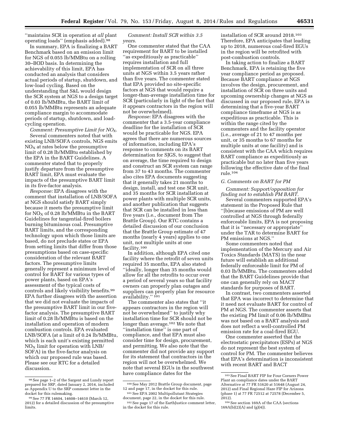''maintains SCR in operation at *all* plant operating loads'' (emphasis added).98

In summary, EPA is finalizing a BART Benchmark based on an emission limit for NGS of 0.055 lb/MMBtu on a rolling 30–BOD basis. In determining the achievability of this limit, EPA has conducted an analysis that considers actual periods of startup, shutdown, and low-load cycling. Based on the understanding that S&L would design the SCR system at NGS to a design target of 0.03 lb/MMBtu, the BART limit of 0.055 lb/MMBtu represents an adequate compliance margin to accommodate periods of startup, shutdown, and loadcycling operation.

*Comment: Presumptive Limit for NOX*. Several commenters noted that with existing LNB/SOFA controls, NGS emits  $NO<sub>x</sub>$  at rates below the presumptive limit of 0.28 lb/MMBtu established by the EPA in the BART Guidelines. A commenter stated that to properly justify departure from the presumptive BART limit, EPA must evaluate the impacts of the presumptive BART limit in its five-factor analysis.

*Response:* EPA disagrees with the comment that installation of LNB/SOFA at NGS should satisfy BART simply because it meets the presumptive limit for  $NO<sub>X</sub>$  of 0.28 lb/MMBtu in the BART Guidelines for tangential-fired boilers burning bituminous coal. Presumptive BART limits, and the corresponding technology upon which those limits are based, do not preclude states or EPA from setting limits that differ from those presumptions based on case-specific consideration of the relevant BART factors. The presumptive limits generally represent a minimum level of control for BART for various types of power plants, based on EPA's assessment of the typical costs of controls and likely visibility benefits.99 EPA further disagrees with the assertion that we did not evaluate the impacts of the presumptive BART limit in our fivefactor analysis. The presumptive BART limit of 0.28 lb/MMBtu is based on the installation and operation of modern combustion controls. EPA evaluated LNB/SOFA (at a limit of 0.24 lb/MMBtu, which is each unit's existing permitted  $NO<sub>x</sub>$  limit for operation with LNB/ SOFA) in the five-factor analysis on which our proposed rule was based. Please see our RTC for a detailed discussion.

*Comment: Install SCR within 3.5 years*.

One commenter stated that the CAA requirement for BART to be installed ''as expeditiously as practicable'' requires installation and full implementation of SCR on all three units at NGS within 3.5 years rather than five years. The commenter stated that EPA provided no site-specific factors at NGS that would require a longer-than-average installation time for SCR (particularly in light of the fact that it appears contractors in the region will not be overwhelmed).

*Response:* EPA disagrees with the commenter that a 3.5-year compliance deadline for the installation of SCR would be practicable for NGS. EPA agrees that there are numerous sources of information, including EPA's response to comments on its BART determination for SJGS, to suggest that on average, the time required to design and construct an SCR system can range from 37 to 43 months. The commenter also cites EPA documents suggesting that it generally takes 21 months to design, install, and test one SCR unit, and 35 months for SCR installation at power plants with multiple SCR units, and another publication that suggests that SCR can be installed in less than five years (i.e., document from The Brattle Group). Our RTC contains a detailed discussion of our conclusion that the Brattle Group estimate of 47 months (nearly 4 years) applies to one unit, not multiple units at one facility.100

In addition, although EPA cited one facility where the retrofit of seven units required 35 months, EPA also stated ''ideally, longer than 35 months would allow for all the retrofits to occur over a period of several years so that facility owners can properly plan outages and suppliers can properly plan for resource availability.'' 101

The commenter also states that ''it appears contractors in the region will not be overwhelmed'' to justify why installation time for SCR should not be longer than average.<sup>102</sup> We note that ''installation time'' is one part of compliance, and that EPA must also consider time for design, procurement, and permitting. We also note that the commenter did not provide any support for its statement that contractors in the region will not be overwhelmed. We note that several EGUs in the southwest have compliance dates for the

installation of SCR around 2018.103 Therefore, EPA anticipates that leading up to 2018, numerous coal-fired EGUs in the region will be retrofited with post-combustion controls.

In taking action to finalize a BART Benchmark, EPA is retaining the five year compliance period as proposed. Because BART compliance at NGS involves the design, procurement, and installation of SCR on three units and upcoming ownership changes at NGS as discussed in our proposed rule, EPA is determining that a five-year BART compliance timeframe at NGS is as expeditious as practicable. This is within the range cited by the commenters and the facility operator (i.e., average of 21 to 47 months per unit, or 35 months to 67 months for multiple units at one facility) and is consistent with the CAA which requires BART compliance as expeditiously as practicable but no later than five years following the effective date of the final rule.104

#### *G. Comments on BART for PM*

*Comment: Support/opposition for finding not to establish PM BART*.

Several commenters supported EPA's statement in the Proposed Rule that ''[b]ecause emissions of PM are well controlled at NGS through federally enforceable limits, EPA is not proposing that it is ''necessary or appropriate'' under the TAR to determine BART for PM emissions at NGS.''

Some commenters noted that implementation of the Mercury and Air Toxics Standards (MATS) in the near future will establish an additional federally enforceable limit for PM of 0.03 lb/MMBtu. The commenters added that the BART Guidelines provide that one can generally rely on MACT standards for purposes of BART.

In contrast, two commenters asserted that EPA was incorrect to determine that it need not evaluate BART for control of PM at NGS. The commenter asserts that the existing PM limit of 0.06 lb/MMBtu was not based on a BART analysis and does not reflect a well-controlled PM emission rate for a coal-fired EGU.

One commenter asserted that the electrostatic precipitators (ESPs) at NGS do not represent the best system of control for PM. The commenter believes that EPA's determination is inconsistent with recent BART and BACT

<sup>98</sup>See page 1–2 of the Sargent and Lundy report prepared for SRP, dated January 2, 2014, included as Appendix U to the SRP comment letter in the docket for this rulemaking.

<sup>99</sup>See 77 FR 14604, 14608–14610 (March 12, 2012) for a detailed discussion of the presumptive limits.

<sup>100</sup>See May 2012 Brattle Group document, page 12 and page 17, in the docket for this rule. 101See EPA 2002 Multipollutant Strategies

document, page 22, in the docket for this rule.

<sup>102</sup>See page 17 of the EarthJustice comment letter, in the docket for this rule.

<sup>103</sup>See Final BART FIP for Four Corners Power Plant an compliance dates under the BART Alternative at 77 FR 51620 at 51648 (August 24, 2012) and Final Regional Haze FIP for Arizona (phase 1) at 77 FR 72512 at 72578 (December 5, 2012).

<sup>104</sup>See section 169A of the CAA (sections 169A(b)(2)(A) and (g)(4)).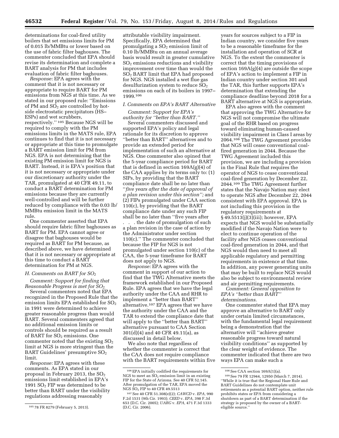determinations for coal-fired utility boilers that set emissions limits for PM of 0.015 lb/MMBtu or lower based on the use of fabric filter baghouses. The commenter concluded that EPA should revise its determination and complete a BART analysis for PM that includes evaluation of fabric filter baghouses.

*Response:* EPA agrees with the comment that it is not necessary or appropriate to require BART for PM emissions from NGS at this time. As we stated in our proposed rule: ''Emissions of PM and  $SO<sub>2</sub>$  are controlled by hotside electrostatic precipitators (HS– ESPs) and wet scrubbers, respectively.'' 105 Because NGS will be required to comply with the PM emissions limits in the MATS rule, EPA continues to find that it is not necessary or appropriate at this time to promulgate a BART emission limit for PM from NGS. EPA is not determining that the existing PM emission limit for NGS is BART. Instead, it is EPA's position that it is not necessary or appropriate under our discretionary authority under the TAR, promulgated at 40 CFR 49.11, to conduct a BART determination for PM emissions because they are currently well-controlled and will be further reduced by compliance with the 0.03 lb/ MMBtu emission limit in the MATS rule.

One commenter asserted that EPA should require fabric filter baghouses as BART for PM. EPA cannot agree or disagree that baghouses would be required as BART for PM because, as described above, we have determined that it is not necessary or appropriate at this time to conduct a BART determination for PM at NGS.

#### *H. Comments on BART for SO2*

*Comment: Support for finding that Reasonable Progress is met for SO2.*

Several commenters noted that EPA recognized in the Proposed Rule that the emission limits EPA established for  $SO<sub>2</sub>$ in 1991 were determined to achieve greater reasonable progress than would BART. Several commenters agreed that no additional emission limits or controls should be required as a result of BART for  $SO<sub>2</sub>$  emissions. One commenter noted that the existing  $SO<sub>2</sub>$ limit at NGS is more stringent than the BART Guidelines' presumptive  $SO<sub>2</sub>$ limit.

*Response:* EPA agrees with these comments. As EPA stated in our proposal in February 2013, the  $SO<sub>2</sub>$ emissions limit established in EPA's 1991  $SO<sub>2</sub>$  FIP was determined to be better than BART under the visibility regulations addressing reasonably

attributable visibility impairment. Specifically, EPA determined that promulgating a  $SO<sub>2</sub>$  emission limit of 0.10 lb/MMBtu on an annual average basis would result in greater cumulative  $SO<sub>2</sub>$  emissions reductions and visibility improvement over time than would the SO2 BART limit that EPA had proposed for NGS. NGS installed a wet flue gas desulfurization system to reduce  $SO<sub>2</sub>$ emissions on each of its boilers in 1997– 1999.106

#### *I. Comments on EPA's BART Alternative*

*Comment: Support for EPA's authority for ''better than BART.''* 

Several commenters discussed and supported EPA's policy and legal rationale for its discretion to approve ''better than BART'' alternatives and to provide an extended period for implementation of such an alternative at NGS. One commenter also opined that the 5-year compliance period for BART that is defined in section 169A(g)(4) of the CAA applies by its terms only to: (1) SIPs, by providing that the BART compliance date shall be no later than ''*five years after the date of approval of a plan revision under this section'';* and (2) FIPs promulgated under CAA section 110(c), by providing that the BART compliance date under any such FIP shall be no later than ''five years after . . . the date of promulgation of such a plan revision in the case of action by the Administrator under section 110(c).'' The commenter concluded that because the FIP for NGS is not promulgated under section 110(c) of the CAA, the 5-year timeframe for BART does not apply to NGS.

*Response:* EPA agrees with the comment in support of our action to find that the TWG Alternative meets the framework established in our Proposed Rule. EPA agrees that we have the legal authority under the CAA and RHR to implement a ''better than BART'' alternative.107 EPA agrees that we have the authority under the CAA and the TAR to extend the compliance date that will apply to the ''better than BART'' alternative pursuant to CAA Section 301(d)(4) and 40 CFR 49.11(a), as discussed in detail below.

We also note that regardless of whether the commenter is correct that the CAA does not require compliance with the BART requirements within five

years for sources subject to a FIP in Indian country, we consider five years to be a reasonable timeframe for the installation and operation of SCR at NGS. To the extent the commenter is correct that the timing provisions of section 169A(g)(4) are outside the scope of EPA's action to implement a FIP in Indian country under section 301 and the TAR, this further supports EPA's determination that extending the compliance deadline beyond 2018 for a BART alternative at NGS is appropriate.

EPA also agrees with the comment that approving the TWG Alternative for NGS will not compromise the ultimate goal of the RHR based on progress toward eliminating human-caused visibility impairment in Class I areas by 2064.108 The TWG Agreement provides that NGS will cease conventional coalfired generation in 2044. Because the TWG Agreement included this provision, we are including a provision in the Final Rule that requires the operator of NGS to cease conventional coal-fired generation by December 22, 2044.109 The TWG Agreement further states that the Navajo Nation may elect to operate NGS after December 22, 2044 consistent with EPA approval. EPA is not including this provision in the regulatory requirements at § 49.5513(j)(3)(iii); however, EPA expects that NGS would be substantially modified if the Navajo Nation were to elect to continue operation of the facility after NGS ceases conventional coal-fired generation in 2044, and that NGS would then need to meet all applicable regulatory and permitting requirements in existence at that time. In addition, any power generating units that may be built to replace NGS would also be subject to environmental review and air permitting requirements.

*Comment: General opposition to EPA's ''better than BART'' determinations*.

One commenter stated that EPA may approve an alternative to BART only under certain limited circumstances, with the fundamental legal requirement being a demonstration that the alternative will ''achieve greater reasonable progress toward natural visibility conditions'' as supported by the clear weight of evidence. The commenter indicated that there are two ways EPA can make such a

<sup>105</sup> 78 FR 8279 (February 5, 2013).

<sup>106</sup>EPA initially codified the requirements for NGS to meet an  $SO<sub>2</sub>$  emission limit in an existing FIP for the State of Arizona. See 40 CFR 52.145. After promulgation of the TAR, EPA moved the NGS SO<sub>2</sub> FIP to 40 CFR 49.5513

<sup>107</sup>See 40 CFR 51.308(e)(2); *CAWCD* v. *EPA,* 990 F.2d 1531 (9th Cir. 1993); *CEED* v. *EPA,* 398 F.3d 653 (D.C. Cir. 2005); *UARG* v. *EPA,* 471 F.3d 1333 (D.C. Cir. 2006).

<sup>108</sup>See CAA section 169A(1)(a).

<sup>109</sup>See 79 FR 12944, 12950 (March 7, 2014). ''While it is true that the Regional Haze Rule and BART Guidelines do not contemplate unit retirements as a potential BART option, neither rule prohibits states or EPA from considering a shutdown as part of a BART determination if the strategy is proposed by the owner of a BARTeligible source.''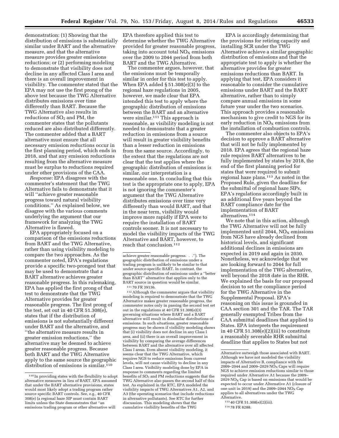demonstration: (1) Showing that the distribution of emissions is substantially similar under BART and the alternative measure, and that the alternative measure provides greater emissions reductions; or (2) performing modeling to demonstrate that visibility does not decline in any affected Class I area and there is an overall improvement in visibility. The commenter stated that the EPA may not use the first prong of the above test because the TWG Alternative distributes emissions over time differently than BART. Because the TWG Alternative also results in reductions of  $SO<sub>2</sub>$  and PM, the commenter states that the pollutants reduced are also distributed differently. The commenter added that a BART alternative must ensure that all necessary emission reductions occur in the first planning period, which ends in 2018, and that any emission reductions resulting from the alternative measure must be surplus to reductions required under other provisions of the CAA.

*Response:* EPA disagrees with the commenter's statement that the TWG Alternative fails to demonstrate that it will ''achieve greater reasonable progress toward natural visibility conditions.'' As explained below, we disagree with the various comments underlying the argument that our framework for analyzing the TWG Alternative is flawed.

EPA appropriately focused on a comparison of the emissions reductions from BART and the TWG Alternative, rather than using visibility modeling to compare the two approaches. As the commenter noted, EPA's regulations provide a specific two-pronged test that may be used to demonstrate that a BART alternative achieves greater reasonable progress. In this rulemaking, EPA has applied the first prong of that test to demonstrate that the TWG Alternative provides for greater reasonable progress. The first prong of the test, set out in 40 CFR 51.308(e), states that if the distribution of emissions is not substantially different under BART and the alternative, and ''the alternative measure results in greater emission reductions,'' the alternative may be deemed to achieve greater reasonable progress. Because both BART and the TWG Alternative apply to the same source the geographic distribution of emissions is similar.<sup>110</sup>

EPA therefore applied this test to determine whether the TWG Alternative provided for greater reasonable progress, taking into account total  $NO<sub>x</sub>$  emissions over the 2009 to 2044 period from both BART and the TWG Alternative.

The commenter argues, however, that the emissions must be temporally similar in order for this test to apply. When EPA added § 51.308(e)(3) to the regional haze regulations in 2005, however, we made clear that EPA intended this test to apply where the geographic distribution of emissions between the BART and an alternative were similar.<sup>111</sup> This approach is reasonable, as visibility modeling is not needed to demonstrate that a greater reduction in emissions from a source will result in greater visibility benefits than a lesser reduction in emissions from the same source. Accordingly, to the extent that the regulations are not clear that the test applies where the geographic distribution of emissions is similar, our interpretation is a reasonable one. In concluding that this test is the appropriate one to apply, EPA is not ignoring the commenter's argument that the TWG Alternative distributes emissions over time very differently than would BART, and that in the near term, visibility would improve more rapidly if EPA were to require the installation of BART controls sooner. It is not necessary to model the visibility impacts of the TWG Alternative and BART, however, to reach that conclusion.<sup>112</sup>

111 70 FR 39136.

112Although the commenter argues that visibility modeling is required to demonstrate that the TWG Alternative makes greater reasonable progress, the commenter notes only in passing the second test set out in the regulations at 40 CFR 51.308(e)(3) governing situations where BART and a BART alternative will result in dissimilar distributions of emissions. In such situations, greater reasonable progress may be shown if visibility modeling shows that (i) visibility does not decline in any Class I area, and (ii) there is an overall improvement in visibility by comparing the average differences between BART and the alternative over all affected Class I areas. Even absent visibility modeling, it seems clear that the TWG Alternative, which requires NGS to reduce emissions from current levels, will not cause visibility to decline in any Class I area. Visibility modeling done by EPA in response to comments regarding the limited benefits of SO<sub>2</sub> and PM reductions suggests that the TWG Alternative also passes the second half of this test. As explained in the RTC, EPA modeled the visibility impacts of TWG Alternatives A1, A2, and A3 (the operating scenarios that include reductions in alternative pollutants). See RTC for further discussion. This modeling shows that the cumulative visibility benefits of the TWG

EPA is accordingly determining that the provisions for retiring capacity and installing SCR under the TWG Alternative achieve a similar geographic distribution of emissions and that the appropriate test to apply is whether the alternative provides for greater emissions reductions than BART. In applying that test, EPA considers it reasonable to consider the cumulative emissions under BART and the BART alternative, rather than to simply compare annual emissions in some future year under the two scenarios. This approach provides a reasonable mechanism to give credit to NGS for its early reduction in  $NO<sub>x</sub>$  emissions from the installation of combustion controls.

The commenter also objects to EPA's decision to approve a BART alternative that will not be fully implemented by 2018. EPA agrees that the regional haze rule requires BART alternatives to be fully implemented by states by 2018, the end of the first planning period for states that were required to submit regional haze plans.113 As noted in the Proposed Rule, given the deadline for the submittal of regional haze SIPs, EPA's regulations accordingly built in an additional five years beyond the BART compliance date for the implementation of BART alternatives.114

We note that in this action, although the TWG Alternative will not be fully implemented until 2044,  $NO<sub>x</sub>$  emissions from NGS have already declined from historical levels, and significant additional declines in emissions are expected in 2019 and again in 2030. Nonetheless, we acknowledge that we are looking forward to 2044 for full implementation of the TWG alternative, well beyond the 2018 date in the RHR. We explained the basis for our proposed decision to set the compliance period for the TWG Alternative in the Supplemental Proposal. EPA's reasoning on this issue is grounded in CAA section 301 and the TAR. The TAR generally exempted Tribes from the CAA submittal deadlines that applied to States. EPA interprets the requirement in 40 CFR  $51.308(e)(2)(iii)$  to constitute a reasonably severable RHR submittal deadline that applies to States but not

<sup>110</sup> In providing states with the flexibility to adopt alternative measures in lieu of BART, EPA assumed that under the BART alternative provisions, states would most likely adopt a trading program rather source specific BART controls. See, e.g., 40 CFR 308(e) (a regional haze SIP must contain BART limits unless the State demonstrates that ''an emissions trading program or other alternative will

achieve greater reasonable progress. . .''). The geographic distribution of emissions under a trading program is unlikely to be similar to that under source-specific BART. In contrast, the geographic distribution of emissions under a ''better than BART'' alternative that applies only to the BART source in question would be similar.

Alternative outweigh those associated with BART. Although we have not modeled the visibility impacts of Alternative B, compliance with the 2009–2044 and 2009–2029  $N\overline{O}_X$  Caps will require NGS to achieve emission reductions similar to those required under Alternative A1 because the 2009–  $2029$  NO<sub>x</sub> Cap is based on emissions that would be expected to occur under Alternative A1 (closure of one unit in 2019) and the 2009–2044  $NO<sub>x</sub>$  Cap applies to all alternatives under the TWG Alternative.

<sup>113</sup> 40 CFR 51.308(e)(2)(iii).

<sup>114</sup> 78 FR 8288.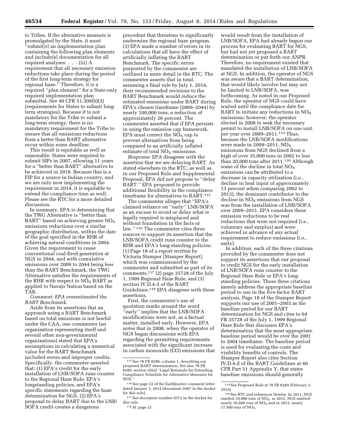to Tribes. If the alternative measure is promulgated by the State, it must<br>"submitfal and" 'submit[s] an implementation plan containing the following plan elements and include[s] documentation for all required analyses: . . . (iii) A requirement that all necessary emission reductions take place during the period of the first long-term strategy for regional haze.'' Therefore, it is a required ''plan element'' for a State-only required implementation plan submittal. See 40 CFR 51.308(b)(3) (requirements for States to submit longterm strategies). Because it is not mandatory for the Tribe to submit a long-term strategy, there is no mandatory requirement for the Tribe to ensure that all emissions reductions from a better than BART alternative occur within some deadline.

This result is equitable as well as reasonable. States were required to submit SIPs in 2007, allowing 11 years for a ''better than BART'' alternative to be achieved in 2018. Because this is a FIP for a source in Indian country, and we are only now implementing the requirement in 2014, it is equitable to extend the compliance time as well. Please see the RTC for a more detailed discussion.

In summary, EPA is determining that the TWG Alternative is ''better than BART" based on achieving greater NO<sub>X</sub> emissions reductions over a similar geographic distribution, within the date of the goal specified in the RHR of achieving natural conditions in 2064. Given the requirement to cease conventional coal-fired generation at NGS in 2044, and with cumulative emissions over 2009 to 2044 being less than the BART Benchmark, the TWG Alternative satisfies the requirements of the RHR with respect to  $NO<sub>x</sub>$  BART as applied to Navajo Nation based on the TAR.

*Comment: EPA overestimated the BART Benchmark.* 

Aside from its assertions that an approach using a BART Benchmark based on total emissions is not lawful under the CAA, one commenter (an organization representing itself and several other non-governmental organizations) stated that EPA's assumptions in calculating a numerical value for the BART Benchmark included errors and improper credits. Specifically, the commenter asserted that: (1) EPA's credit for the early installation of LNB/SOFA runs counter to the Regional Haze Rule, EPA's longstanding policies, and EPA's specific statements regarding the haze determination for NGS, (2) EPA's proposal to delay BART due to the LNB/ SOFA credit creates a dangerous

precedent that threatens to significantly undermine the regional haze program, (3) EPA made a number of errors in its calculations that all have the effect of artificially inflating the BART Benchmark. The specific errors purported by the commenter are outlined in more detail in the RTC. The commenter asserts that in total, assuming a final rule by July 1, 2014, their recommended revisions to the BART Benchmark would reduce the estimated emissions under BART during EPA's chosen timeframe (2009–2044) by nearly 100,000 tons, a reduction of approximately 26 percent. The commenter asserted that if EPA persists in using the emission cap framework, EPA must correct the  $NO<sub>x</sub>$  cap to prevent alternatives from being compared to an artificially inflated estimate of total  $NO<sub>x</sub>$  emissions.

*Response:* EPA disagrees with the assertion that we are delaying BART. As stated elsewhere in the RTC, as well as in our Proposed Rule and Supplemental Proposal, EPA did not propose to ''delay BART.'' EPA proposed to provide additional flexibility in the compliance timeframe for alternatives to BART.115

The commenter alleges that ''EPA's claimed reliance on ''early'' LNB/SOFA as an excuse to avoid or delay what is legally required is misplaced and without foundation in the facts or law.'' 116 The commenter cites three sources to support its assertion that the LNB/SOFA credit runs counter to the RHR and EPA's long-standing policies: (1) Page 18 of a report written by Victoria Stamper (Stamper Report), which was commissioned by the commenter and submitted as part of its comments,117 (2) page 35728 of the July 1, 1999 Regional Haze Rule, and (3) section IV.D.4.d of the BART Guidelines.118 EPA disagrees with these assertions.

First, the commenter's use of quotation marks around the word ''early'' implies that the LNB/SOFA modifications were not, as a factual matter, installed early. However, EPA notes that in 2008, when the operator of NGS began discussions with EPA regarding the permitting requirements associated with the significant increase in carbon monoxide (CO) emissions that

would result from the installation of LNB/SOFA, EPA had already begun our process for evaluating BART for NGS, but had not yet proposed a BART determination or put forth our ANPR. Therefore, no requirement existed that mandated the installation of LNB/SOFA at NGS. In addition, the operator of NGS was aware that a BART determination, that would likely involve but may not be limited to LNB/SOFA, was forthcoming. As noted in our Proposed Rule, the operator of NGS could have waited until the compliance date for BART to initiate any reductions in  $NO<sub>x</sub>$ emissions; however, the operator elected in 2008 to seek the necessary permit to install LNB/SOFA on one unit per year over 2009–2011.119 Thus, because the LNB/SOFA modifications were made in 2009–2011,  $NO<sub>x</sub>$ emissions from NGS declined from a high of over 35,000 tons in 2002 to less than 20,000 tons after 2011.120 Although some of the decline in total  $NO<sub>x</sub>$ emissions can be attributed to a decrease in capacity utilization (i.e., decline in heat input of approximately 13 percent when comparing 2002 to 2013), the dominant contributor to the decline in  $NO<sub>X</sub>$  emissions from NGS was from the installation of LNB/SOFA over 2009–2011. EPA considers these emission reductions to be real reductions that were not required (i.e., voluntary and surplus) and were achieved in advance of any actual requirement to reduce emissions (i.e., early).

In addition, each of the three citations provided by the commenter does not support its assertions that our proposal to credit NGS for the early installation of LNB/SOFA runs counter to the Regional Haze Rule or EPA's longstanding policies. These three citations merely address the appropriate baseline period to use in the five-factor BART analysis. Page 18 of the Stamper Report supports our use of 2001–2003 as the baseline period for our BART determination for NGS and cites to 64 FR 35728 of the July 1, 1999 Regional Haze Rule that discusses EPA's determination that the most appropriate baseline period would be over the 2001 to 2004 timeframe. The baseline period is used for evaluating the costs and visibility benefits of controls. The Stamper Report also cites Section IV.D.4.d of the BART Guidelines at 40 CFR Part 51 Appendix Y, that states baseline emissions should generally

<sup>115</sup>See 78 FR 8288, column 1, describing our proposed BART determination. See also 78 FR 8289, section titled ''Legal Rationale for Extending Compliance Schedule for Alternative Measures for NGS.

<sup>116</sup>See page 22 of the EarthJustice comment letter dated January 3, 2014 (document 0367 in the docket for this rule).

 $^{\rm 117}$  See document number 0372 in the docket for this rule.

<sup>118</sup> *Id.* page 21.

<sup>119</sup>See Proposed Rule at 78 FR 8289 (February 5,

<sup>&</sup>lt;sup>120</sup> See RTC and references therein. In 2011, NGS emitted 19,900 tons of  $NO<sub>x</sub>$ , in 2012, NGS emitted nearly 16,500 tons of  $NO<sub>X</sub>$  and in 2013, nearly  $17.500$  tons of NO<sub>x</sub>.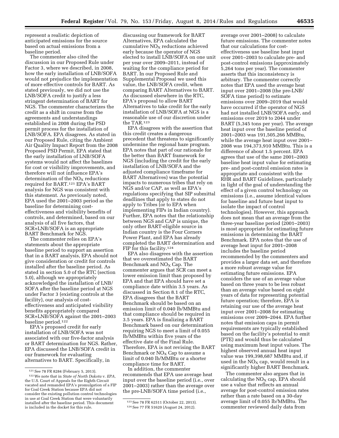represent a realistic depiction of anticipated emissions for the source based on actual emissions from a baseline period.

The commenter also cited the discussion in our Proposed Rule under Factor 3, where we described, in 2008, how the early installation of LNB/SOFA would not prejudice the implementation of more effective controls for BART. As stated previously, we did not use the LNB/SOFA credit to justify a less stringent determination of BART for NGS. The commenter characterizes the credit as a shift in course from the agreements and understandings established in 2008 during the PSD permit process for the installation of LNB/SOFA. EPA disagrees. As stated in our Proposed Rule, citing the Ambient Air Quality Impact Report from the 2008 Proposed PSD Permit, EPA stated that the early installation of LNB/SOFA systems would not affect the baselines for cost or visibility improvements, and therefore will not influence EPA's determination of the  $NO<sub>X</sub>$  reductions required for BART.121 EPA's BART analysis for NGS was consistent with this statement. As previously noted, EPA used the 2001–2003 period as the baseline for determining costeffectiveness and visibility benefits of controls, and determined, based on our analysis of all five factors, that SCR+LNB/SOFA is an appropriate BART Benchmark for NGS.

The commenter relies on EPA's statements about the appropriate baseline period to support an assertion that in a BART analysis, EPA should not give consideration or credit for controls installed after the baseline period. As stated in section 5.0 of the RTC (section 5.0), although we appropriately acknowledged the installation of LNB/ SOFA after the baseline period at NGS under Factor 3 (existing controls at the facility), our analysis of costeffectiveness and anticipated visibility benefits appropriately compared SCR+LNB/SOFA against the 2001–2003 baseline period.122

EPA's proposed credit for early installation of LNB/SOFA was not associated with our five-factor analysis or BART determination for NGS. Rather, EPA discussed the LNB/SOFA credit in our framework for evaluating alternatives to BART. Specifically, in

discussing our framework for BART Alternatives, EPA calculated the cumulative  $NO<sub>X</sub>$  reductions achieved early because the operator of NGS elected to install LNB/SOFA on one unit per year over 2009–2011, instead of waiting for the compliance period for BART. In our Proposed Rule and Supplemental Proposal we used this value, the LNB/SOFA credit, when comparing BART Alternatives to BART. As discussed elsewhere in the RTC, EPA's proposal to allow BART Alternatives to take credit for the early installation of LNB/SOFA at NGS is a reasonable use of our discretion under the TAR.123

EPA disagrees with the assertion that this credit creates a dangerous precedent that threatens to significantly undermine the regional haze program. EPA notes that part of our rationale for the better than BART framework for NGS (including the credit for the early installation of LNB/SOFA and the adjusted compliance timeframe for BART Alternatives) was the potential impacts to numerous tribes that rely on NGS and/or CAP, as well as EPA's regulations specifying that SIP submittal deadlines that apply to states do not apply to Tribes (or to EPA when implementing FIPs in Indian country). Further, EPA notes that the relationship between NGS and CAP is unique, the only other BART-eligible source in Indian country is the Four Corners Power Plant, and EPA has already completed the BART determination and FIP for this facility.124

EPA also disagrees with the assertion that we overestimated the BART Benchmark and  $NO<sub>X</sub>$  Cap. The commenter argues that SCR can meet a lower emission limit than proposed by EPA and that EPA should have set a compliance date within 3.5 years. As discussed in Section 8.1 of the RTC, EPA disagrees that the BART Benchmark should be based on an emission limit of 0.040 lb/MMBtu and that compliance should be required in 3.5 years. EPA is finalizing a BART Benchmark based on our determination requiring NGS to meet a limit of 0.055 lb/MMBtu within five years of the effective date of the Final Rule. Therefore, EPA is not revising the BART Benchmark or  $NO<sub>x</sub>$  Cap to assume a limit of 0.040 lb/MMBtu or a shorter compliance time for BART.

In addition, the commenter recommends that EPA use average heat input over the baseline period (i.e., over 2001–2003) rather than the average over the pre-LNB/SOFA time period (i.e.,

average over 2001–2008) to calculate future emissions. The commenter notes that our calculations for costeffectiveness use baseline heat input over 2001–2003 to calculate pre- and post-control emissions (approximately 5,264 tons per year). The commenter asserts that this inconsistency is arbitrary. The commenter correctly notes that EPA used the average heat input over 2001–2008 (the pre-LNB/ SOFA time period) to estimate emissions over 2009–2019 that would have occurred if the operator of NGS had not installed LNB/SOFA early, and emissions over 2019 to 2044 under BART (5,345 tons per year). The average heat input over the baseline period of 2001–2003 was 191,505,266 MMBtu, while the average heat input over 2001– 2008 was 194,373,910 MMBtu. This is a difference of about 1.5 percent. EPA agrees that use of the same 2001–2003 baseline heat input value for estimating pre- and post-control emission rates is appropriate and consistent with the RHR and BART Guidelines, particularly in light of the goal of understanding the effect of a given control technology on emissions (i.e., assume identical values for baseline and future heat input to isolate the impact of control technologies). However, this approach does not mean that an average from the three-year baseline period (2001–2003) is most appropriate for estimating future emissions in determining the BART Benchmark. EPA notes that the use of average heat input for 2001–2008 includes the baseline period recommended by the commenters and provides a larger data set, and therefore a more robust average value for estimating future emissions. EPA considers the use of an average value based on three years to be less robust than an average value based on eight years of data for representing potential future operation; therefore, EPA is retaining our use of the average heat input over 2001–2008 for estimating emissions over 2009–2044. EPA further notes that emission caps in permit requirements are typically established based on the facility's potential to emit (PTE) and would thus be calculated using maximum heat input values. The highest observed annual heat input value was 199,398,687 MMBtu and, if used in the  $NO<sub>X</sub>$  cap, would result in a significantly higher BART Benchmark.

The commenter also argues that in calculating the  $NO<sub>X</sub>$  cap, EPA should use a value that reflects an annual average for post-control emission rates rather than a rate based on a 30-day average limit of 0.055 lb/MMBtu. The commenter reviewed daily data from

<sup>121</sup>See 78 FR 8284 (February 5, 2013).

<sup>122</sup>We note that in *State of North Dakota* v. *EPA,*  the U.S. Court of Appeals for the Eighth Circuit vacated and remanded EPA's promulgation of a FIP for Coal Creek Station because EPA did not consider the existing pollution control technologies in use at Coal Creek Station that were voluntarily installed after the baseline period. This document is included in the docket for this rule.

<sup>123</sup>See 78 FR 62511 (October 22, 2013).

<sup>124</sup>See 77 FR 51620 (August 24, 2012).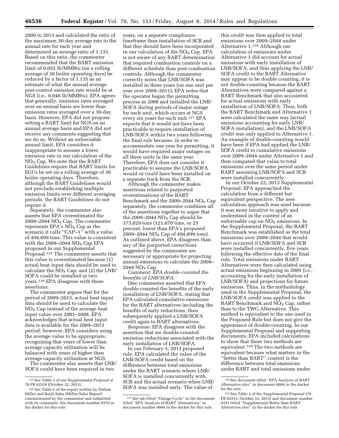2000 to 2013 and calculated the ratio of the maximum 30-day average rate to the annual rate for each year and determined an average ratio of 1.135. Based on this ratio, the commenter recommended that the BART emission limit of 0.055 lb/MMBtu (on a rolling average of 30 boiler operating days) be reduced by a factor of 1.135 as an estimate of what the annual average post-control emission rate would be at NGS (i.e., 0.048 lb/MMBtu). EPA agrees that generally, emission rates averaged over an annual basis are lower than emission rates averaged over a 30-day basis. However, EPA did not propose setting a BART limit for NGS on an annual average basis and EPA did not receive any comments suggesting that we do so. Without an enforceable annual limit, EPA considers it inappropriate to assume a lower emission rate in our calculation of the  $NO<sub>X</sub>$  Cap. We note that the BART Guidelines require that BART limits for EGUs be set on a rolling average of 30 boiler operating days. Therefore, although the BART Guidelines would not preclude establishing multiple emission limits over different averaging periods, the BART Guidelines do not require it.

Separately, the commenter also asserts that EPA overestimated the 2009–2044  $NO<sub>x</sub> Cap.$  The commenter represents  $EPA's NO<sub>X</sub> Cap$  as the scenario it calls "CAP–1" with a value of 494,899 tons. This value is consistent with the 2009–2044  $NO<sub>X</sub>$  Cap EPA proposed in our Supplemental Proposal.125 The commenter asserts that this value is overestimated because (1) actual heat input data should be used to calculate the  $NO<sub>X</sub>$  Cap; and (2) the LNB/ SOFA could be installed in two years.126 EPA disagrees with these assertions.

The commenter argues that for the period of 2009–2013, actual heat input data should be used to calculate the  $NO<sub>x</sub>$  Cap instead of the average heat input value over 2001–2008. EPA acknowledges that actual heat input data is available for the 2009–2013 period; however, EPA considers using the average value to be appropriate, recognizing that years of lower than average capacity utilization will be balanced with years of higher than average capacity utilization at NGS.

The commenter also asserts that LNB/ SOFA could have been required in two

years, on a separate compliance timeframe than installation of SCR and that this should have been incorporated in our calculation of the  $NO<sub>X</sub>$  Cap. EPA is not aware of any BART determination that required combustion controls on a different schedule than post-combustion controls. Although the commenter correctly notes that LNB/SOFA was installed in three years (on one unit per year over 2009–2011), EPA notes that the operator began the permitting process in 2008 and installed the LNB/ SOFA during periods of major outage for each unit, which occurs at NGS every six years for each unit.127 EPA expects that it would not have been practicable to require installation of LNB/SOFA within two years following the final rule because, in order to accommodate one year for permitting, it would have required major outages on all three units in the same year. Therefore, EPA does not consider it practicable to assume the LNB/SOFA would or could have been installed on a separate track from the SCR.

Although the commenter makes assertions related to purported overestimations of the BART Benchmark and the  $2009-2044$  NO<sub>X</sub> Cap separately, the commenter combines all of the assertions together to argue that the 2009–2044  $NO<sub>x</sub>$  Cap should be 373,029 tons (121,870 tons, or 25 percent, lower than EPA's proposed  $2009 - 2044$  NO<sub>x</sub> Cap of 494,899 tons). As outlined above, EPA disagrees than any of the purported corrections suggested by the commenter are necessary or appropriate for projecting annual emissions to calculate the 2009–  $2044$  NO<sub>x</sub> Cap.

*Comment: EPA double-counted the benefits of LNB/SOFA.* 

One commenter asserted that EPA double-counted the benefits of the early installation of LNB/SOFA, stating that EPA calculated cumulative emissions for the BART alternatives including the benefits of early reductions, then subsequently applied a LNB/SOFA credit again to BART alternatives.

*Response:* EPA disagrees with the assertion that we double-counted emission reductions associated with the early installation of LNB/SOFA.

In our February 5, 2013 proposed rule, EPA calculated the value of the LNB/SOFA credit based on the difference between total emissions under the BART scenario where LNB/ SOFA is installed concurrently with SCR and the actual scenario when LNB/ SOFA was installed early. The value of

this credit was then applied to total emissions over 2009–2044 under Alternative 1.128 Although our calculation of emissions under Alternative 1 did account for actual emissions with early installation of LNB/SOFA, and thus applying the LNB/ SOFA credit to the BART Alternative may appear to be double counting, it is not double-counting because the BART Alternatives were compared against a BART Benchmark that also accounted for actual emissions with early installation of LNB/SOFA. Thus, both the BART Benchmark and Alternative 1 were calculated the same way (actual emissions accounting for early LNB/ SOFA installation), and the LNB/SOFA credit was only applied to Alternative 1. An example of double-counting would have been if EPA had applied the LNB/ SOFA credit to cumulative emissions over 2009–2044 under Alternative 1 and then compared that value to total emissions over the same period under BART assuming LNB/SOFA and SCR were installed concurrently.

In our October 22, 2013 Supplemental Proposal, EPA approached the calculation from a different but equivalent perspective. The new calculation approach was used because it was more intuitive to apply and understand in the context of an enforceable cap on  $NO<sub>X</sub>$  emissions. In the Supplemental Proposal, the BART Benchmark was established as the total emissions over 2009–2044 that would have occurred if LNB/SOFA and SCR were installed concurrently, five years following the effective date of the final rule. Total emissions under BART Alternatives were then calculated using actual emissions beginning in 2009 (i.e., accounting for the early installation of LNB/SOFA) and projections for future emissions. Thus, in the methodology used in the Supplemental Proposal, the LNB/SOFA credit was applied to the BART Benchmark and  $NO<sub>X</sub>$  Cap, rather than to the TWG Alternative. This method is equivalent to the one used in the Proposed Rule but does not give the appearance of double-counting. In our Supplemental Proposal and supporting documents, EPA included calculations to show that these two methods are equivalent.129 The two methods are equivalent because what matters in the ''better than BART'' context is the difference between total emissions under BART and total emissions under

 $^{\rm 125}$  See Table 3 of our Supplemental Proposal at 78 FR 62516 (October 22, 2013).

<sup>&</sup>lt;sup>126</sup> See Table 3 of the report written by Nathan Miller and Raijit Sahu (Miller/Sahu Report) commissioned by the commenter and submitted with its comments. See document number 0370 in the docket for this rule.

<sup>127</sup>See tab titled ''Outage Cycle'' in the document titled ''EPA Analysis of BART Alternatives'' in document number 0004 in the docket for this rule.

<sup>128</sup>See document titled ''EPA Analysis of BART Alternative.xlsx'' in document 0004 in the docket for the rule.

<sup>129</sup>See Table 2 of the Supplemental Proposal (78 FR 62515, October 22, 2013) and document number 0191 titled ''Supplemental Better than BART Alterntives.xlsx'' in the docket for this rule.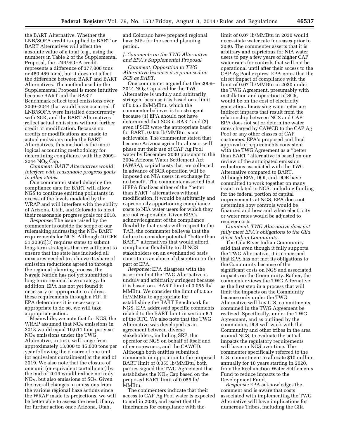the BART Alternative. Whether the LNB/SOFA credit is applied to BART or BART Alternatives will affect the absolute value of a total (e.g., using the numbers in Table 2 of the Supplemental Proposal, the LNB/SOFA credit represents a difference of 377,008 tons or 480,489 tons), but it does not affect the difference between BART and BART Alternatives. The method used in the Supplemental Proposal is more intuitive because BART and the BART Benchmark reflect total emissions over 2009–2044 that would have occurred if LNB/SOFA were installed concurrently with SCR, and the BART Alternatives reflect actual emissions without further credit or modification. Because no credits or modifications are made to actual emissions under the BART Alternatives, this method is the more logical accounting methodology for determining compliance with the 2009–  $2044$  NO<sub>x</sub> Cap.

*Comment: BART Alternatives would interfere with reasonable progress goals in other states.* 

One commenter stated delaying the compliance date for BART will allow NGS to continue emitting pollutants in excess of the levels modeled by the WRAP and will interfere with the ability of Arizona, Utah, and Colorado to meet their reasonable progress goals for 2018.

*Response:* The issue raised by the commenter is outside the scope of our rulemaking addressing the  $\rm{NO_{X}}$  BART requirements for NGS. Although 40 CFR 51.308(d)(3) requires states to submit long-term strategies that are sufficient to ensure that the state has included all measures needed to achieve its share of emission reductions agreed to through the regional planning process, the Navajo Nation has not yet submitted a long-term regional haze strategy. In addition, EPA has not yet found it necessary or appropriate to address these requirements through a FIP. If EPA determines it is necessary or appropriate to do so, we will take appropriate action.

Meanwhile, we note that for NGS, the WRAP assumed that  $NO<sub>X</sub>$  emissions in 2018 would equal 10,611 tons per year.  $NO<sub>X</sub>$  emissions under the TWG Alternative, in turn, will range from approximately 13,000 to 15,000 tons per year following the closure of one unit (or equivalent curtailment) at the end of 2019. We also note that the closure of one unit (or equivalent curtailment) by the end of 2019 would reduce not only  $NO<sub>X</sub>$ , but also emissions of  $SO<sub>2</sub>$ . Given the overall changes in emissions from the various regional haze actions since the WRAP made its projections, we will be better able to assess the need, if any, for further action once Arizona, Utah,

and Colorado have prepared regional haze SIPs for the second planning period.

# *J. Comments on the TWG Alternative and EPA's Supplemental Proposal*

*Comment: Opposition to TWG Alternative because it is premised on SCR as BART.* 

One commenter argued that the 2009– 2044  $NO<sub>X</sub>$  Cap used for the TWG Alternative is unduly and arbitrarily stringent because it is based on a limit of 0.055 lb/MMBtu, which the commenter believes is too stringent because (1) EPA should not have determined that SCR is BART and (2) even if SCR were the appropriate basis for BART, 0.055 lb/MMBtu is not achievable. The commenter stated that because Arizona agricultural users will phase out their use of CAP Ag Pool water by December 2030 pursuant to the 2004 Arizona Water Settlement Act (AWSA), capital costs that are collected in advance of SCR operation will be imposed on NIA users in exchange for no benefit. The commenter asserted that if EPA finalizes either of the ''better than BART'' alternatives without modification, it would be arbitrarily and capriciously apportioning compliance costs to NIA water users for which they are not responsible. Given EPA's acknowledgment of the compliance flexibility that exists with respect to the TAR, the commenter believes that the failure to consider potential ''better than BART'' alternatives that would afford compliance flexibility to all NGS stakeholders on an evenhanded basis constitutes an abuse of discretion on the part of EPA.

*Response:* EPA disagrees with the assertion that the TWG Alternative is unduly and arbitrarily stringent because it is based on a BART limit of 0.055 lb/ MMBtu. We consider the limit of 0.055 lb/MMBtu to appropriate for establishing the BART Benchmark for NGS. EPA addressed specific comments related to the BART limit in section 8.1 of the RTC. We also note that the TWG Alternative was developed as an agreement between diverse stakeholders, including SRP, the operator of NGS on behalf of itself and other co-owners, and the CAWCD. Although both entities submitted comments in opposition to the proposed BART limit of 0.055 lb/MMBtu, both parties signed the TWG Agreement that establishes the  $NO<sub>x</sub>$  Cap based on the proposed BART limit of 0.055 lb/ MMBtu.

The commenters indicate that their access to CAP Ag Pool water is expected to end in 2030, and assert that the timeframes for compliance with the

limit of 0.07 lb/MMBtu in 2030 would necessitate water rate increases prior to 2030. The commenter asserts that it is arbitrary and capricious for NIA water users to pay a few years of higher CAP water rates for controls that will not be operational until after their access to the CAP Ag Pool expires. EPA notes that the direct impact of compliance with the limit of 0.07 lb/MMBtu in 2030 under the TWG Agreement, presumably with installation and operation of SCR, would be on the cost of electricity generation. Increasing water rates are indirect impacts that result from the relationship between NGS and CAP. EPA does not set or determine water rates charged by CAWCD to the CAP Ag Pool or any other classes of CAP customers. EPA's proposed and final approval of requirements consistent with the TWG Agreement as a ''better than BART'' alternative is based on our review of the anticipated emission reductions associated with the TWG Alternative compared to BART. Although EPA, DOI, and DOE have committed to work together on many issues related to NGS, including funding for the federal portion of capital improvements at NGS, EPA does not determine how controls would be financed and how and when electricity or water rates would be adjusted to recover costs.

*Comment: TWG Alternative does not fully meet EPA's obligations to the Gila River Indian Community.* 

The Gila River Indian Community said that even though it fully supports the TWG Alternative, it is concerned that EPA has not met its obligations to the Community because of the significant costs on NGS and associated impacts on the Community. Rather, the commenter views the TWG Alternative as the first step in a process that will limit the impacts on the Community because only under the TWG Alternative will key U.S. commitments contained in the TWG Agreement be realized. Specifically, under the TWG Agreement, and as outlined by the commenter, DOI will work with the Community and other tribes in the area around NGS, to evaluate the actual impacts the regulatory requirements will have on NGS over time. The commenter specifically referred to the U.S. commitment to allocate \$10 million annually for 10 years starting in 2020, from the Reclamation Water Settlements Fund to reduce impacts to the Development Fund.

*Response:* EPA acknowledges the comment and is aware that costs associated with implementing the TWG Alternative will have implications for numerous Tribes, including the Gila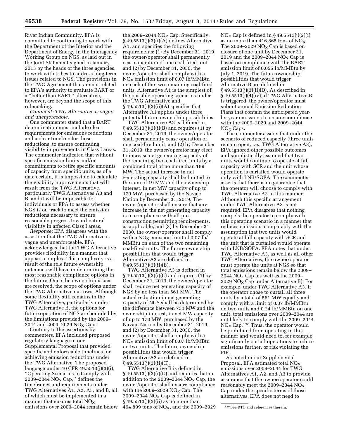River Indian Community. EPA is committed to continuing to work with the Department of the Interior and the Department of Energy in the Interagency Working Group on NGS, as laid out in the Joint Statement signed in January 2013 by the heads of the three agencies, to work with tribes to address long-term issues related to NGS. The provisions in the TWG Agreement that are not related to EPA's authority to evaluate BART or a ''better than BART'' alternative, however, are beyond the scope of this rulemaking.

*Comment: TWG Alternative is vague and unenforceable.* 

One commenter stated that a BART determination must include clear requirements for emissions reductions and a clear timeline for those reductions, to ensure continuing visibility improvements in Class I areas. The commenter indicated that without specific emission limits and/or commitments to retire specific amounts of capacity from specific units, as of a date certain, it is impossible to calculate the visibility improvements that will result from the TWG Alternative, particularly TWG Alternatives A3 and B, and it will be impossible for individuals or EPA to assess whether NGS is on track to meet the emission reductions necessary to ensure reasonable progress toward natural visibility in affected Class I areas.

*Response:* EPA disagrees with the assertion that the TWG Alternative is vague and unenforceable. EPA acknowledges that the TWG Alternative provides flexibility in a manner that appears complex. This complexity is a result of the role future ownership outcomes will have in determining the most reasonable compliance options in the future. Once the ownership issues are resolved, the scope of options under the TWG Alternative narrows. Although some flexibility still remains in the TWG Alternative, particularly under TWG Alternative B, the options for future operation of NGS are bounded by the limitations provided by the 2009– 2044 and 2009-2029  $NO<sub>x</sub> Caps.$ 

Contrary to the assertions by commenters, EPA included proposed regulatory language in our Supplemental Proposal that provided specific and enforceable timelines for achieving emission reductions under the TWG Alternative. The proposed language under 40 CFR 49.5513(j)(3)(i), ''Operating Scenarios to Comply with 2009–2044  $NO<sub>x</sub> Cap,"$  defines the timeframes and requirements under TWG Alternatives A1, A2, A3, and B, all of which must be implemented in a manner that ensures total  $NO<sub>x</sub>$ emissions over 2009–2044 remain below

the 2009–2044  $NO<sub>x</sub>$  Cap. Specifically, § 49.5513(j)(3)(i)(A) defines Alternative A1, and specifies the following requirements: (1) By December 31, 2019, the owner/operator shall permanently cease operation of one coal-fired unit and (2) by December 31, 2030, the owner/operator shall comply with a  $NO<sub>X</sub>$  emission limit of 0.07 lb/MMBtu on each of the two remaining coal-fired units. Alternative A1 is the simplest of the possible operating scenarios under the TWG Alternative and  $§ 49.5513(j)(3)(ii)(A)$  specifies that Alternative A1 applies under three potential future ownership possibilities.

TWG Alternative A2 is defined in § 49.5513(j)(3)(i)(B) and requires (1) by December 31, 2019, the owner/operator shall permanently cease operation of one coal-fired unit, and (2) by December 31, 2019, the owner/operator may elect to increase net generating capacity of the remaining two coal-fired units by a combined total of no more than 189 MW. The actual increase in net generating capacity shall be limited to the sum of 19 MW and the ownership interest, in net MW capacity of up to 170 MW, purchased by the Navajo Nation by December 31, 2019. The owner/operator shall ensure that any increase in the net generating capacity is in compliance with all preconstruction permitting requirements, as applicable, and (3) by December 31, 2030, the owner/operator shall comply with a  $NO<sub>X</sub>$  emission limit of 0.07 lb/ MMBtu on each of the two remaining coal-fired units. The future ownership possibilities that would trigger Alternative A2 are defined in  $§ 49.5513(j)(3)(ii)(B).$ 

TWG Alternative A3 is defined in § 49.5513(j)(3)(i)(C) and requires (1) by December 31, 2019, the owner/operator shall reduce net generating capacity of NGS by no less than 561 MW. The actual reduction in net generating capacity of NGS shall be determined by the difference between 731 MW and the ownership interest, in net MW capacity of up to 170 MW, purchased by the Navajo Nation by December 31, 2019, and (2) by December 31, 2030, the owner/operator shall comply with a  $NO<sub>X</sub>$  emission limit of 0.07 lb/MMBtu on two units. The future ownership possibilities that would trigger Alternative A2 are defined in  $\S 49.5513(j)(3)(ii)(C)$ .

TWG Alternative B is defined in  $§ 49.5513(j)(3)(i)(D)$  and requires that in addition to the 2009–2044  $\overline{NO_X}$  Cap, the owner/operator shall ensure compliance with the 2009–2029  $NO<sub>x</sub> Cap$ . The 2009–2044  $NO<sub>x</sub>$  Cap is defined in  $§ 49.5513(j)(2)(ii)$  as no more than 494,899 tons of  $NO<sub>X</sub>$ , and the 2009–2029  $NO<sub>x</sub> Cap$  is defined in § 49.5513(j)(2)(j) as no more than 416,865 tons of  $NO<sub>X</sub>$ . The 2009–2029  $NO<sub>X</sub>$  Cap is based on closure of one unit by December 31, 2019 and the 2009–2044  $NO<sub>x</sub>$  Cap is based on compliance with the BART emission limit of 0.055 lb/MMBtu by July 1, 2019. The future ownership possibilities that would trigger Alternative B are defined in § 49.5513(j)(3)(ii)(D). As described in § 49.5513(j)(4)(iv), if TWG Alternative B is triggered, the owner/operator must submit annual Emission Reduction Plans that contain the anticipated yearby-year emissions to ensure compliance with the 2009–2029 and 2009–2044  $NO<sub>x</sub> Caps.$ 

The commenter asserts that under the scenario of reduced capacity (three units remain open, i.e., TWG Alternative A3), EPA ignored other possible outcomes and simplistically assumed that two units would continue to operate at full capacity with SCR and the unit whose operation is curtailed would operate only with LNB/SOFA. The commenter asserts that there is no guarantee that the operator will choose to comply with TWG Alternative A3 in this manner. Although this specific arrangement under TWG Alternative A3 is not required, EPA disagrees that nothing compels the operator to comply with this operating scenario in a manner that reduces emissions comparably with the assumption that two units would operate at full capacity with SCR and the unit that is curtailed would operate with LNB/SOFA. EPA notes that under TWG Alternative A3, as well as all other TWG Alternatives, the owner/operator must operate the units at NGS so that total emissions remain below the 2009– 2044  $NO<sub>x</sub> Cap$  (as well as the 2009– 2029  $NO<sub>X</sub>$  Cap under Alternative B). For example, under TWG Alternative A3, if the operator chose to curtail all three units by a total of 561 MW equally and comply with a limit of 0.07 lb/MMBtu on two units and 0.24 lb/MMBtu on one unit, total emissions over 2009–2044 are not likely to comply with the 2009–2044  $NO<sub>X</sub> Cap.<sup>130</sup> Thus, the operator would$ be prohibited from operating in this manner and would need to, for example, significantly curtail operations to reduce emissions further, or risk violating the FIP.

As noted in our Supplemental Proposal, EPA estimated total  $NO<sub>x</sub>$ emissions over 2009–2044 for TWG Alternatives A1, A2, and A3 to provide assurance that the owner/operator could reasonably meet the 2009–2044  $NO<sub>x</sub>$ Cap under the specific terms of those alternatives. EPA does not need to

<sup>130</sup>See RTC and references therein.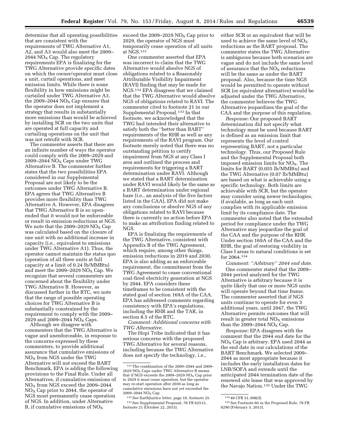determine that all operating possibilities that are consistent with the requirements of TWG Alternative A1, A2, and A3 would also meet the 2009– 2044  $NO<sub>x</sub>$  Cap. The regulatory requirements EPA is finalizing for the TWG Alternative provide specific dates on which the owner/operator must close a unit, curtail operations, and meet emission limits. While there is some flexibility in how emissions might be curtailed under TWG Alternative A3, the 2009–2044  $NO<sub>x</sub>$  Cap ensures that the operator does not implement a strategy that results in substantially more emissions than would be achieved by installing SCR on the two units that are operated at full capacity and curtailing operations on the unit that was not retrofit with SCR.

The commenter asserts that there are an infinite number of ways the operator could comply with the 2009–2029 and 2009–2044  $NO<sub>X</sub>$  Caps under TWG Alternative B. The commenter further states that the two possibilities EPA considered in our Supplemental Proposal are not likely to be the outcomes under TWG Alternative B. EPA agrees that TWG Alternative B provides more flexibility than TWG Alternative A. However, EPA disagrees that TWG Alternative B is so openended that it would not be enforceable or result in emission reductions at NGS. We note that the 2009–2029  $NO<sub>X</sub>$  Cap was calculated based on the closure of one unit with no additional increase in capacity (i.e., equivalent to emissions under TWG Alternative A1). Thus, the operator cannot maintain the status quo (operation of all three units at full capacity at a limit of 0.24 lb/MMBtu) and meet the 2009–2029  $NO<sub>X</sub>$  Cap. We recognize that several commenters are concerned about the flexibility under TWG Alternative B. However, as discussed further in the RTC, we note that the range of possible operating choices for TWG Alternative B is substantially constrained by the requirement to comply with the 2009– 2029 and 2009-2044  $NO<sub>x</sub> Caps.$ 

Although we disagree with commenters that the TWG Alternative is vague and unenforceable, in response to the concerns expressed by these commenters, to provide additional assurance that cumulative emissions of  $NO<sub>x</sub>$  from NGS under the TWG Alternative will not exceed the BART Benchmark, EPA is adding the following provisions to the Final Rule. Under all Alternatives, if cumulative emissions of  $NO<sub>X</sub>$  from NGS exceed the 2009–2044  $NO<sub>X</sub>$  Cap prior to 2044, the operator of NGS must permanently cease operation of NGS. In addition, under Alternative B, if cumulative emissions of  $NO<sub>x</sub>$ 

exceed the 2009–2029  $NO<sub>x</sub>$  Cap prior to 2029, the operator of NGS must temporarily cease operation of all units at NGS.131

One commenter asserted that EPA was incorrect to claim that the TWG Alternative would absolve NGS of obligations related to a Reasonably Attributable Visibility Impairment (RAVI) finding that may be made for NGS.132 EPA disagrees that we claimed that the TWG Alternative would absolve NGS of obligations related to RAVI. The commenter cited to footnote 21 in our Supplemental Proposal.133 In that footnote, we acknowledged that the TWG had intended their alternative to satisfy both the ''better than BART'' requirements of the RHR as well as any requirements of the RAVI program. Our footnote merely noted that there was no outstanding petition to certify impairment from NGS at any Class I area and outlined the process and requirements for triggering a BART determination under RAVI. Although we stated that a BART determination under RAVI would likely be the same as a BART determination under regional haze (i.e., an analysis of the five factors listed in the CAA), EPA did not make any conclusions or absolve NGS of any obligations related to RAVI because there is currently no action before EPA to make an attribution finding related to NGS.

EPA is finalizing the requirements of the TWG Alternative, consistent with Appendix B of the TWG Agreement, which require, among other things, emission reductions in 2019 and 2030. EPA is also adding as an enforceable requirement, the commitment from the TWG Agreement to cease conventional coal-fired electricity generation at NGS by 2044. EPA considers these timeframes to be consistent with the stated goal of section 169A of the CAA. EPA has addressed comments regarding consistency with EPA's regulations, including the RHR and the TAR, in section 8.5 of the RTC.

*Comment: Additional concerns with TWG Alternative.* 

The Hopi Tribe indicated that it has serious concerns with the proposed TWG Alternative for several reasons, including because the TWG Alternative does not specify the technology, i.e.,

either SCR or an equivalent that will be used to achieve the same level of  $NO<sub>x</sub>$ reductions as the BART proposal. The commenter states the TWG Alternative is ambiguous because both scenarios are vague and do not include the same level of assurance that the  $NO<sub>x</sub>$  reductions will be the same as under the BART proposal. Also, because the time NGS would be permitted to operate without SCR (or equivalent alternative) would be adjusted under the TWG Alternative, the commenter believes the TWG Alternative jeopardizes the goal of the CAA and the purpose of this regulation.

*Response:* Our proposed BART determination did not specify what technology must be used because BART is defined as an emission limit that represents the level of control representing BART, not a particular technology. Thus, our Proposed Rule and the Supplemental Proposal both imposed emission limits for  $NO<sub>X</sub>$ . The limits for BART (0.055 lb/MMBtu) and the TWG Alternative (0.07 lb/MMBtu) are based on what is achievable using a specific technology. Both limits are achievable with SCR, but the operator may consider using newer technologies, if available, as long as each unit complies with its applicable emission limit by its compliance date. The commenter also noted that the extended period for compliance under the TWG Alternative may jeopardize the goal of the CAA and the purpose of the RHR. Under section 169A of the CAA and the RHR, the goal of restoring visibility in Class I areas to natural conditions is set for 2064.134

*Comment: ''Arbitrary'' 2044 end date.*  One commenter stated that the 2009– 2044 period analyzed for the TWG Alternative is arbitrary because it is quite likely that one or more NGS units will operate beyond that time frame. The commenter asserted that if NGS units continue to operate for even 3 additional years, until 2047, the TWG Alternative permits outcomes that will result in greater total  $NO<sub>x</sub>$  emissions than the 2009–2044  $NO<sub>X</sub>$  Cap.

*Response:* EPA disagrees with the comment that the 2044 end date for the  $NO<sub>x</sub>$  Cap is arbitrary. EPA used 2044 as the end date in our calculations of the BART Benchmark. We selected 2009– 2044 as most appropriate because it includes the early installation dates for LNB/SOFA and extends until the anticipated 2044 termination date of the renewed site lease that was approved by the Navajo Nation.135 Under the TWG

<sup>131</sup>The combination of the 2009–2044 and 2009– 2029  $NO<sub>x</sub> Caps under TWG Alternative B means$ that if NGS exceeds the  $2009-2029$  NO<sub>x</sub> Cap prior to 2029 it must cease operation, but the operator may re-start operation after 2030 as long as cumulative emissions have not yet exceeded the 2009–2044  $NO<sub>x</sub> Cap.$ 

<sup>132</sup>See EarthJustice letter, page 10, footnote 25. 133See Supplemental Proposal, 78 FR 62513, footnote 21  $($ October 22, 2013).

<sup>134</sup> 40 CFR 51.308(d).

<sup>135</sup>See Footnote 60 in the Proposed Rule, 78 FR 8290 (February 5, 2013).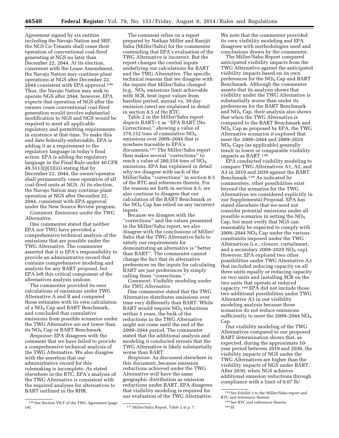Agreement signed by six entities including the Navajo Nation and SRP, the NGS Co-Tenants shall cease their operation of conventional coal-fired generating at NGS no later than December 22, 2044. At its election, consistent with the Lease Amendment, the Navajo Nation may continue plant operations at NGS after December 22, 2044 consistent with EPA approval.<sup>136</sup> Thus, the Navajo Nation may seek to operate NGS after 2044, however, EPA expects that operation of NGS after the owners cease conventional coal-fired generation would involve substantial modification to NGS and NGS would be required to meet all applicable regulatory and permitting requirements in existence at that time. To make this end date federally-enforceable, EPA is adding it as a requirement to the regulatory language in today's final action. EPA is adding the regulatory language in the Final Rule under 40 CFR  $49.5513(j)(3)(iii)$  stating that by December 22, 2044, the owner/operator shall permanently cease operation of all coal-fired units at NGS. At its election, the Navajo Nation may continue plant operation at NGS after December 22, 2044, consistent with EPA approval under the New Source Review program.

*Comment: Emissions under the TWG Alternative.* 

One commenter stated that neither EPA nor TWG have provided a comprehensive technical analysis of the emissions that are possible under the TWG Alternative. The commenter asserted that it is EPA's responsibility to provide an administrative record that contains comprehensive modeling and analysis for any BART proposal, but EPA left this critical component of the alternatives analysis undone.

The commenter provided its own calculations of emissions under TWG Alternative A and B and compared those estimates with its own calculation of a  $NO<sub>x</sub>$  Cap and BART Benchmark, and concluded that cumulative emissions from possible scenarios under the TWG Alternative are not lower than its  $NO<sub>x</sub>$  Cap or BART Benchmark.

*Response:* EPA disagrees with the comment that we have failed to provide a comprehensive technical analysis of the TWG Alternative. We also disagree with the assertion that our administrative record for this rulemaking is incomplete. As stated elsewhere in the RTC, EPA's analysis of the TWG Alternative is consistent with the required analyses for alternatives to BART outlined in the RHR.

<sup>136</sup> See Section VII.F of the TWG Agreement (page 14).

The comment relies on a report prepared by Nathan Miller and Ranijit Sahu (Miller/Sahu) for the commenter contending that EPA's evaluation of the TWG Alternative is incorrect. But the report changes the central inputs underlying our calculations for BART and the TWG Alternative. The specific technical reasons that we disagree with the inputs that Miller/Sahu changed  $(e.g., NO<sub>X</sub> emissions limit achievable)$ with SCR, heat input values from baseline period, annual vs. 30-day emission rates) are explained in detail in section 8.5 of the RTC.

Table 2 in the Miller/Sahu report depicts BART–1 as ''EPA BART (No Corrections),'' showing a value of 379,152 tons of cumulative  $NO<sub>x</sub>$ emissions over 2009–2044 that is nowhere traceable to EPA's documents.137 The Miller/Sahu report then makes several ''corrections'' to reach a value of 280,554 tons of  $NO<sub>x</sub>$ emissions. EPA has explained in detail why we disagree with each of the Miller/Sahu ''corrections'' in section 8.5 of the RTC and references therein. For the reasons set forth in section 8.5, we also continue to disagree that our calculation of the BART Benchmark or the  $NO<sub>x</sub>$  Cap has relied on any incorrect inputs.

Because we disagree with the ''corrections'' and the values presented in the Miller/Sahu report, we also disagree with the conclusions of Miller/ Sahu that the TWG Alternative fails to satisfy our requirements for demonstrating an alternative is ''better than BART''. The commenter cannot change the fact that its alternative preferences on the inputs for calculating BART are just preferences by simply calling them ''corrections.''

*Comment: Visibility modeling under the TWG Alternative.* 

One commenter stated that the TWG Alternative distributes emissions over time very differently than BART: While BART would require  $NO<sub>x</sub>$  reductions within 5 years, the bulk of the reductions in the TWG Alternative might not come until the end of the 2009–2044 period. The commenter stated that the additional analysis and modeling it conducted reveals that the TWG Alternative is likely substantially worse than BART.

*Response:* As discussed elsewhere in this document, because emission reductions achieved under the TWG Alternative will have the same geographic distribution as emission reductions under BART, EPA disagrees that visibility modeling is required for our evaluation of the TWG Alternative.

137 Miller/Sahu Report, Table 2 at p. 7.

We note that the commenter provided its own visibility modeling and EPA disagrees with methodologies used and conclusions drawn by the commenter.

The Miller/Sahu Report compared anticipated visibility impacts from the TWG Alternative against the anticipated visibility impacts based on its own preferences for the  $NO<sub>x</sub>$  Cap and BART Benchmark. Although the commenter asserts that its analysis shows that visibility under the TWG Alternative is substantially worse than under its preferences for the BART Benchmark and  $NO<sub>X</sub>$  Cap, their analysis also shows that when the TWG Alternative is compared to the BART Benchmark and  $NO<sub>X</sub>$  Cap as proposed by EPA, the TWG Alternative scenarios it explored that meet the 2009–2044 and 2009–2029  $NO<sub>x</sub> Caps$  (as applicable) generally result in lower or comparable visibility impacts as BART.138

EPA conducted visibility modeling to compare TWG Alternatives A1, A2, and A3 in 2019 and 2030 against the BART Benchmark.139 As indicated by commenters, other possibilities exist beyond the scenarios for the TWG Alternatives we considered explicitly in our Supplemental Proposal. EPA has stated elsewhere that we need not consider potential emissions under all possible scenarios in setting the  $NO<sub>x</sub>$ Cap, but must verify that NGS can reasonably be expected to comply with 2009–2044  $NO<sub>x</sub>$  Cap under the various constraints imposed under the TWG Alternatives (i.e., closure, curtailment, and a secondary 2009–2029  $NO<sub>X</sub>$  cap). However, EPA explored two other possibilities under TWG Alternative A3 that included reducing capacity on all three units equally or reducing capacity on two units and installing SCR on the two units that operate at reduced capacity.140 EPA did not include those two additional possibilities under TWG Alternative A3 in our visibility modeling analysis because those scenarios do not reduce emissions sufficiently to meet the 2009–2044  $NO<sub>x</sub>$ Cap.

Our visibility modeling of the TWG Alternatives compared to our proposed BART determination shows that, as expected, during the approximate 10 year period between 2019 and 2030, the visibility impacts of NGS under the TWG Alternatives are higher than the visibility impacts of NGS under BART. After 2030, when NGS achieves additional emission reductions through compliance with a limit of 0.07 lb/

<sup>138</sup>See Exhibit 2 to the Miller/Sahu report and RTC and references therein.

<sup>139</sup>See RTC and references therein.

<sup>140</sup> *Id.*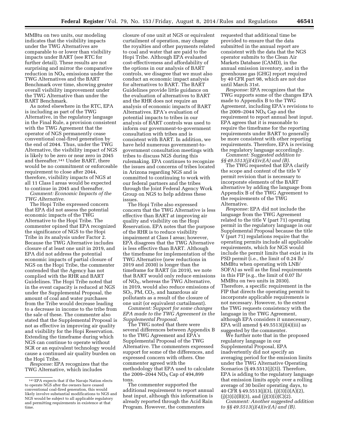MMBtu on two units, our modeling indicates that the visibility impacts under the TWG Alternatives are comparable to or lower than visibility impacts under BART (see RTC for further detail). These results are not surprising and mirror the comparative reduction in  $NO<sub>x</sub>$  emissions under the TWG Alternatives and the BART Benchmark over time, showing greater overall visibility improvement under the TWG Alternative than under the BART Benchmark.

As noted elsewhere in the RTC, EPA is including as part of the TWG Alternative, in the regulatory language in the Final Rule, a provision consistent with the TWG Agreement that the operator of NGS permanently cease conventional coal-fired generation by the end of 2044. Thus, under the TWG Alternative, the visibility impact of NGS is likely to be zero or near zero in 2045 and thereafter.141 Under BART, there would be no commitment or enforceable requirement to close after 2044, therefore, visibility impacts of NGS at all 11 Class I areas would be expected to continue in 2045 and thereafter. *Comment: Economic Impacts of the* 

*TWG Alternative.* 

The Hopi Tribe expressed concern that EPA did not assess the potential economic impacts of the TWG Alternative to the Hopi Tribe. The commenter opined that EPA recognized the significance of NGS to the Hopi Tribe in its analysis under Factor 2. Because the TWG Alternative includes closure of at least one unit in 2019, and EPA did not address the potential economic impacts of partial closure of NGS on the Hopi Tribe, the commenter contended that the Agency has not complied with the RHR and BART Guidelines. The Hopi Tribe noted that in the event capacity is reduced at NGS under the Supplemental Proposal, the amount of coal and water purchases from the Tribe would decrease leading to a decrease in income to the tribe from the sale of these. The commenter also stated that the Supplemental Proposal is not as effective in improving air quality and visibility for the Hopi Reservation. Extending the timeframe during which NGS can continue to operate without SCR or an equivalent technology would cause a continued air quality burden on the Hopi Tribe.

*Response:* EPA recognizes that the TWG Alternative, which includes

closure of one unit at NGS or equivalent curtailment of operation, may change the royalties and other payments related to coal and water that are paid to the Hopi Tribe. Although EPA evaluated cost-effectiveness and affordability of the options in our analysis of BART controls, we disagree that we must also conduct an economic impact analysis for alternatives to BART. The BART Guidelines provide little guidance on the evaluation of alternatives to BART and the RHR does not require an analysis of economic impacts of BART Alternatives. EPA's evaluation of potential impacts to tribes in our analysis of BART controls was used to inform our government-to-government consultation with tribes and is consistent with BART. In addition, we have held numerous government-togovernment consultation meetings with tribes to discuss NGS during this rulemaking. EPA continues to recognize the issues and concerns of tribes located in Arizona regarding NGS and is committed to continuing to work with our federal partners and the tribes through the Joint Federal Agency Work Group on NGS to help address these issues.

The Hopi Tribe also expressed concern that the TWG Alternative is less effective than BART at improving air quality and visibility on the Hopi Reservation. EPA notes that the purpose of the RHR is to reduce visibility impairment at Class I areas; however, EPA disagrees that the TWG Alternative is less effective than BART. Although the timeframe for implementation of the TWG Alternative (new reductions in 2019 and 2030) is longer than the timeframe for BART (in 2019), we note that BART would only reduce emissions of  $NO<sub>X</sub>$ , whereas the TWG Alternative, in 2019, would also reduce emissions of SO2, PM, CO2, and hazardous air pollutants as a result of the closure of one unit (or equivalent curtailment).

*Comment: Support for some changes EPA made to the TWG Agreement in the Supplemental Proposal.* 

The TWG noted that there were several differences between Appendix B to the TWG Agreement and EPA's Supplemental Proposal of the TWG Alternative. The commenters expressed support for some of the differences, and expressed concern with others. One commenter agreed with the methodology that EPA used to calculate the 2009–2044  $NO<sub>x</sub>$  Cap of 494,899 tons.

The commenter supported the additional requirement to report annual heat input, although this information is already reported through the Acid Rain Program. However, the commenters

requested that additional time be provided to ensure that the data submitted in the annual report are consistent with the data that the NGS operator submits to the Clean Air Markets Database (CAMD), in the annual emission inventory, and in the greenhouse gas (GHG) report required by 40 CFR part 98, which are not due until March 31st.

*Response:* EPA recognizes that the TWG supports some of the changes EPA made to Appendix B to the TWG Agreement, including EPA's revisions to the 2009–2044  $NO<sub>x</sub>$  Cap and the requirement to report annual heat input. EPA agrees that it is reasonable to require the timeframe for the reporting requirements under BART to generally be more consistent with other reporting requirements. Therefore, EPA is revising the regulatory language accordingly.

*Comment: Suggested addition to §§ 49.5513(j)(4)(iv)(A) and (B).* 

The TWG requested that EPA clarify the scope and content of the title V permit revision that is necessary to incorporate elements of the BART alternative by adding the language from Appendix B of the TWG Agreement to the requirements of the TWG Alternative.

*Response:* EPA did not include the language from the TWG Agreement related to the title V (part 71) operating permit in the regulatory language in our Supplemental Proposal because the title V (part 71) regulations require that the operating permits include all applicable requirements, which for NGS would include the permit limits that exist in its PSD permit (i.e., the limit of 0.24 lb/ MMBtu when operating with LNB/ SOFA) as well as the final requirements in this FIP (e.g., the limit of 0.07 lb/ MMBtu on two units in 2030). Therefore, a specific requirement in the FIP that directs the operating permit to incorporate applicable requirements is not necessary. However, to the extent the TWG requests consistency with the language in the TWG Agreement, although EPA considers it unnecessary, EPA will amend  $\S 49.5513(j)(4)(iii)$  as suggested by the commenter.

We further note that in the proposed regulatory language in our Supplemental Proposal, EPA inadvertently did not specify an averaging period for the emission limits under the TWG Alternative Operating Scenarios (§ 49.5513(j)(3)). Therefore, EPA is adding to the regulatory language that emission limits apply over a rolling average of 30 boiler operating days, to 40 CFR § 49.5513(j)(3), (j)(3)(i)(A)(2),  $(j)(3)(i)(B)(3)$ , and  $(j)(3)(i)(C)(2)$ .

*Comment: Another suggested addition to §§ 49.5513(j)(4)(iv)(A) and (B).* 

<sup>141</sup>EPA expects that if the Navajo Nation elects to operate NGS after the owners have ceased conventional coal-fired generation, this would likely involve substantial modifications to NGS and NGS would be subject to all applicable regulatory and permitting requirements in existence at that time.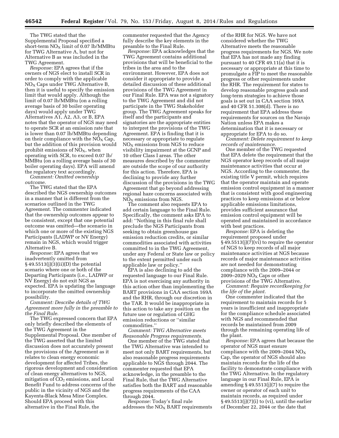The TWG stated that the Supplemental Proposal specified a short-term  $NO<sub>X</sub>$  limit of 0.07 lb/MMBtu for TWG Alternative A, but not for Alternative B as was included in the TWG Agreement.

*Response:* EPA agrees that if the owners of NGS elect to install SCR in order to comply with the applicable  $NO<sub>X</sub>$  Caps under TWG Alternative B, then it is useful to specify the emission limit that would apply. Although the limit of 0.07 lb/MMBtu (on a rolling average basis of 30 boiler operating days) would apply under TWG Alternatives A1, A2, A3, or B, EPA notes that the operator of NGS may need to operate SCR at an emission rate that is lower than 0.07 lb/MMBtu depending on their compliance with the  $NO<sub>x</sub> Cap$ , but the addition of this provision would prohibit emissions of  $NO<sub>X</sub>$ , when operating with SCR, to exceed 0.07 lb/ MMBtu (on a rolling average basis of 30 boiler operating days). EPA will amend the regulatory text accordingly.

*Comment: Omitted ownership outcome.* 

The TWG stated that the EPA described the NGS ownership outcomes in a manner that is different from the scenarios outlined in the TWG Agreement. The commenter indicated that the ownership outcomes appear to be consistent, except that one potential outcome was omitted—the scenario in which one or more of the existing NGS Participants (LADWP or NV Energy) remain in NGS, which would trigger Alternative B.

*Response:* EPA agrees that we inadvertently omitted from  $§ 49.5513(j)(3)(ii)(D)$  the potential scenario where one or both of the Departing Participants (i.e., LADWP or NV Energy) do not exit NGS as expected. EPA is updating the language to incorporate the omitted ownership possibility.

*Comment: Describe details of TWG Agreement more fully in the preamble to the Final Rule.* 

The TWG expressed concern that EPA only briefly described the elements of the TWG Agreement in the Supplemental Proposal. One member of the TWG asserted that the limited discussion does not accurately present the provisions of the Agreement as it relates to clean energy economic development for affected Tribes, the rigorous development and consideration of clean energy alternatives to NGS, mitigation of  $CO<sub>2</sub>$  emissions, and Local Benefit Fund to address concerns of the public in the vicinity of NGS and the Kayenta-Black Mesa Mine Complex. Should EPA proceed with this alternative in the Final Rule, the

commenter requested that the Agency fully describe the key elements in the preamble to the Final Rule.

*Response:* EPA acknowledges that the TWG Agreement contains additional provisions that will be beneficial to the tribes in the area and to the environment. However, EPA does not consider it appropriate to provide a detailed discussion of these additional provisions of the TWG Agreement in our Final Rule. EPA was not a signatory to the TWG Agreement and did not participate in the TWG Stakeholder group. The TWG Agreement speaks for itself and the participants and signatories are the appropriate entities to interpret the provisions of the TWG Agreement. EPA is finding that it is necessary or appropriate to regulate  $NO<sub>x</sub>$  emissions from NGS to reduce visibility impairment at the GCNP and 10 other Class I areas. The other measures described by the commenter are outside the scope of our authority for this action. Therefore, EPA is declining to provide any further discussion of the provisions in the TWG Agreement that go beyond addressing regional haze concerns associated with  $NO<sub>X</sub>$  emissions from NGS.

The comment also requests EPA to add certain language to the Final Rule. Specifically, the comment asks EPA to add: ''Nothing in this final rule shall preclude the NGS Participants from seeking to obtain greenhouse gas emission reduction credits, or similar commodities associated with activities committed to in the TWG Agreement, under any Federal or State law or policy to the extent permitted under such applicable law or policy.''

EPA is also declining to add the requested language to our Final Rule. EPA is not exercising any authority in this action other than implementing the BART provisions in CAA section 169A and the RHR, through our discretion in the TAR. It would be inappropriate in this action to take any position on the future use or regulation of GHG emission reductions or ''similar commodities.''

*Comment: TWG Alternative meets Reasonable Progress requirements.* 

One member of the TWG stated that the TWG Alternative was intended to meet not only BART requirements, but also reasonable progress requirements applicable to NGS through 2044. The commenter requested that EPA acknowledge, in the preamble to the Final Rule, that the TWG Alternative satisfies both the BART and reasonable progress requirements of the CAA through 2044.

*Response:* Today's final rule addresses the  $NO<sub>X</sub>$  BART requirements

of the RHR for NGS. We have not considered whether the TWG Alternative meets the reasonable progress requirements for NGS. We note that EPA has not made any finding pursuant to 40 CFR 49.11(a) that it is necessary or appropriate at this time to promulgate a FIP to meet the reasonable progress or other requirements under the RHR. The requirement for states to develop reasonable progress goals and long-term strategies to achieve those goals is set out in CAA section 169A and 40 CFR 51.308(d). There is no requirement that EPA address these requirements for sources on the Navajo Nation unless EPA makes a determination that it is necessary or appropriate for EPA to do so.

*Comment: Delete requirement to keep records of maintenance.* 

One member of the TWG requested that EPA delete the requirement that the NGS operator keep records of all major maintenance activities that occur at NGS. According to the commenter, the existing title V permit, which requires that the operator maintain and operate emission control equipment in a manner that is consistent with good engineering practices to keep emissions at or below applicable emissions limitations, provides sufficient assurance that emission control equipment will be operated and maintained in accordance with best practices.

*Response:* EPA is deleting the requirement proposed under § 49.5513(j)(7)(vi) to require the operator of NGS to keep records of all major maintenance activities at NGS because records of major maintenance activities are not needed for demonstrating compliance with the 2009–2044 or 2009–2029  $NO<sub>x</sub>$  Caps or other provisions of the TWG Alternative.

*Comment: Require recordkeeping for the life of the plant.* 

One commenter indicated that the requirement to maintain records for 5 years is insufficient and inappropriate for the compliance schedule associated with NGS and recommended that records be maintained from 2009 through the remaining operating life of the plant.

*Response:* EPA agrees that because the operator of NGS must ensure compliance with the 2009–2044  $NO<sub>x</sub>$ Cap, the operator of NGS should also maintain records for the life of the facility to demonstrate compliance with the TWG Alternative. In the regulatory language in our Final Rule, EPA is amending § 49.5513(j)(7) to require the owner or operator of each unit to maintain records, as required under  $\S 49.5513(j)(7)(i)$  to (vi), until the earlier of December 22, 2044 or the date that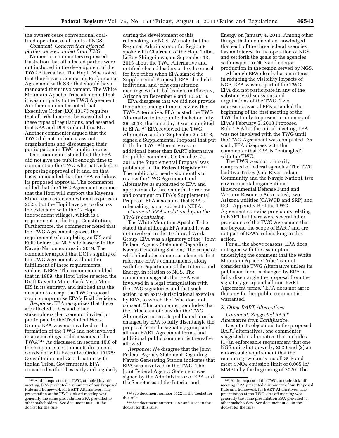the owners cease conventional coal-

fired operation of all units at NGS. *Comment: Concern that affected* 

*parties were excluded from TWG.*  Numerous commenters expressed

frustration that all affected parties were not included in the development of the TWG Alternative. The Hopi Tribe noted that they have a Generating Performance Agreement with SRP that should have mandated their involvement. The White Mountain Apache Tribe also noted that it was not party to the TWG Agreement. Another commenter noted that Executive Order (EO) 13175 requires that all tribal nations be consulted on these types of regulations, and asserted that EPA and DOI violated this EO. Another commenter argued that the TWG did not include grassroots organizations and discouraged their participation in TWG public forums.

One commenter stated that the EPA did not give the public enough time to comment on the TWG Alternative before proposing approval of it and, on that basis, demanded that the EPA withdraw its proposed approval. The commenter added that the TWG Agreement assumes that the Hopi will support the Kayenta Mine Lease extension when it expires in 2025, but the Hopi have yet to discuss the extension with the 12 Hopi independent villages, which is a requirement in the Hopi Constitution. Furthermore, the commenter noted that the TWG Agreement ignores the requirement of completing an EIS and ROD before the NGS site lease with the Navajo Nation expires in 2019. The commenter argued that DOI's signing of the TWG Agreement, without the fulfillment of these requirements, violates NEPA. The commenter added that in 1989, the Hopi Tribe rejected the Draft Kayenta Mine-Black Mesa Mine EIS in its entirety, and implied that the decision to accept the TWG proposal could compromise EPA's final decision.

*Response:* EPA recognizes that there are affected tribes and other stakeholders that were not invited to participate in the Technical Work Group. EPA was not involved in the formation of the TWG and not involved in any meetings or discussions of the TWG.142 As discussed in section 10.0 of the Response to Comments document, consistent with Executive Order 13175: Consultation and Coordination with Indian Tribal Governments, EPA consulted with tribes early and regularly during the development of this rulemaking for NGS. We note that the Regional Administrator for Region 9 spoke with Chairman of the Hopi Tribe, LeRoy Shingoitewa, on September 13, 2013 about the TWG Alternative and notified elected leaders or legal counsel for five tribes when EPA signed the Supplemental Proposal. EPA also held individual and joint consultation meetings with tribal leaders in Phoenix, Arizona on December 9 and 10, 2013.

EPA disagrees that we did not provide the public enough time to review the TWG Alternative. EPA posted the TWG Alternative to the public docket on July 26, 2013, the same day it was submitted to EPA.143 EPA reviewed the TWG Alternative and on September 25, 2013, signed a Supplemental Proposal that put forth the TWG Alternative as an additional better than BART alternative for public comment. On October 22, 2013, the Supplemental Proposal was published in the **Federal Register**.144 The public had nearly six months to review the TWG Agreement and Alternative as submitted to EPA and approximately three months to review and comment on EPA's Supplemental Proposal. EPA also notes that EPA's rulemaking is not subject to NEPA.

*Comment: EPA's relationship to the TWG is confusing.* 

The White Mountain Apache Tribe stated that although EPA stated it was not involved in the Technical Work Group, EPA was a signatory of the ''Joint Federal Agency Statement Regarding Navajo Generating Station,'' the scope of which includes numerous elements that reference EPA's commitments, along with the Departments of the Interior and Energy, in relation to NGS. The commenter suggests that EPA was involved in a legal triangulation with the TWG signatories and that such action is an extra-jurisdictional exercise by EPA, to which the Tribe does not consent. The commenter concludes that the Tribe cannot consider the TWG Alternative unless its published form is changed by EPA to fully disentangle the proposal from the signatory group and all non-BART Agreement terms, and additional public comment is thereafter allowed.

*Response:* We disagree that the Joint Federal Agency Statement Regarding Navajo Generating Station indicates that EPA was involved in the TWG. The Joint Federal Agency Statement was signed by the Administrator of EPA and the Secretaries of the Interior and

Energy on January 4, 2013. Among other things, that document acknowledged that each of the three federal agencies has an interest in the operation of NGS and set forth the goals of the agencies with respect to NGS and energy production in the region served by NGS.

Although EPA clearly has an interest in reducing the visibility impacts of NGS, EPA was not part of the TWG. EPA did not participate in any of the substantive discussions and negotiations of the TWG. Two representatives of EPA attended the beginning of the first meeting of the TWG but only to present a summary of EPA's February 5, 2013 Proposed Rule.145 After the initial meeting, EPA was not involved with the TWG until the TWG Agreement was completed. As such, EPA disagrees with the commenter that EPA is ''entangled'' with the TWG.

The TWG was not primarily composed of federal agencies. The TWG had two Tribes (Gila River Indian Community and the Navajo Nation), two environmental organizations (Environmental Defense Fund and Western Resource Advocates), two Arizona utilities (CAWCD and SRP) and DOI. Appendix B of the TWG Agreement contains provisions relating to BART but there were several other provisions of the TWG Agreement that are beyond the scope of BART and are not part of EPA's rulemaking in this action.

For all the above reasons, EPA does not agree with the assumption underlying the comment that the White Mountain Apache Tribe ''cannot consider the TWG Alternative unless its published form is changed by EPA to fully disentangle the proposal from the signatory group and all non-BART Agreement terms.'' EPA does not agree that any further public comment is warranted.

#### *K. Other BART Alternatives*

#### *Comment: Suggested BART Alternative from EarthJustice.*

Despite its objections to the proposed BART alternatives, one commenter suggested an alternative that includes (1) an enforceable requirement that one NGS unit shut down by 2020 and (2) an enforceable requirement that the remaining two units install SCR and meet a  $NO<sub>X</sub>$  emission limit of 0.065 lb/ MMBtu by the beginning of 2020. The

<sup>142</sup>At the request of the TWG, at their kick-off meeting, EPA presented a summary of our Proposed Rule and framework for BART Alternatives. The presentation at the TWG kick-off meeting was generally the same presentation EPA provided to other stakeholders. See document 0033 in the docket for the rule.

<sup>143</sup>See document number 0122 in the docket for this rule.

<sup>144</sup>See document number 0182 and 0186 in the docket for this rule.

<sup>145</sup>At the request of the TWG, at their kick-off meeting, EPA presented a summary of our Proposed Rule and framework for BART Alternatives. The presentation at the TWG kick-off meeting was generally the same presentation EPA provided to other stakeholders. See document 0033 in the docket for the rule.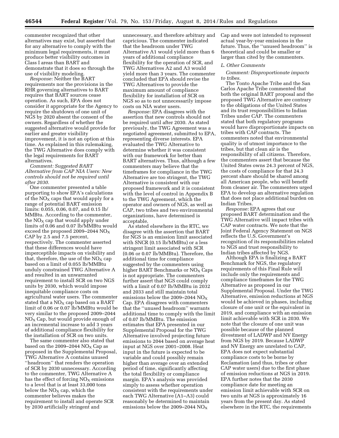commenter recognized that other alternatives may exist, but asserted that for any alternative to comply with the minimum legal requirements, it must produce better visibility outcomes in Class I areas than BART and demonstrate that it does so through the use of visibility modeling.

*Response:* Neither the BART requirements nor the provisions in the RHR governing alternatives to BART requires that BART sources cease operation. As such, EPA does not consider it appropriate for the Agency to require the shutdown of one unit of NGS by 2020 absent the consent of the owners. Regardless of whether the suggested alternative would provide for earlier and greater visibility improvement, it is not an option at this time. As explained in this rulemaking, the TWG Alternative does comply with the legal requirements for BART alternatives.

#### *Comment: Suggested BART Alternative from CAP NIA Users: New controls should not be required until after 2030.*

One commenter presented a table purporting to show EPA's calculations of the  $NO<sub>X</sub>$  caps that would apply for a range of potential BART emission limits: 0.055, 0.06, 0.07, and 0.15 lb/ MMBtu. According to the commenter, the  $NO<sub>x</sub>$  cap that would apply under limits of 0.06 and 0.07 lb/MMBtu would exceed the proposed 2009–2044  $NO<sub>X</sub>$ CAP by 2.5 and 7.5 percent, respectively. The commenter asserted that these differences would have imperceptible impacts on visibility and that, therefore, the use of the  $NO<sub>X</sub>$  cap based on a limit of 0.055 lb/MMBtu unduly constrained TWG Alternative A and resulted in an unwarranted requirement to install SCR on two NGS units by 2030, which would impose inequitable compliance costs on agricultural water users. The commenter stated that a  $NO<sub>X</sub>$  cap based on a BART limit of 0.06 or 0.07 lb/MMBtu would be very similar to the proposed 2009–2044  $NO<sub>X</sub>$  Cap, but would provide enough of an incremental increase to add 3 years of additional compliance flexibility for the installation of SCR on two units.

The same commenter also stated that based on the 2009–2044  $NO<sub>X</sub>$  Cap as proposed in the Supplemental Proposal, TWG Alternative A contains unused ''headroom'' that renders the operation of SCR by 2030 unnecessary. According to the commenter, TWG Alternative A has the effect of forcing  $NO<sub>X</sub>$  emissions to a level that is at least 33,000 tons below the  $NO<sub>X</sub>$  cap, which the commenter believes makes the requirement to install and operate SCR by 2030 artificially stringent and

unnecessary, and therefore arbitrary and capricious. The commenter indicated that the headroom under TWG Alternative A1 would yield more than 6 years of additional compliance flexibility for the operation of SCR, and TWG Alternatives A2 and A3 would yield more than 3 years. The commenter concluded that EPA should revise the TWG Alternatives to provide the maximum amount of compliance flexibility for installation of SCR on NGS so as to not unnecessarily impose costs on NIA water users.

*Response:* EPA disagrees with the assertion that new controls should not be required until after 2030. As stated previously, the TWG Agreement was a negotiated agreement, submitted to EPA, representing diverse interests. EPA evaluated the TWG Alternative to determine whether it was consistent with our framework for better than BART alternatives. Thus, although a few commenters may believe that the timeframes for compliance in the TWG Alternative are too stringent, the TWG Alternative is consistent with our proposed framework and it is consistent with the level of control in Appendix B to the TWG Agreement, which the operator and owners of NGS, as well as CAP, two tribes and two environmental organizations, have determined is acceptable.

As stated elsewhere in the RTC, we disagree with the assertion that BART for NGS is an emission limit associated with SNCR (0.15 lb/MMBtu) or a less stringent limit associated with SCR (0.06 or 0.07 lb/MMBtu). Therefore, the additional time for compliance suggested by the commenters using higher BART Benchmarks or  $NO<sub>x</sub>$  Caps is not appropriate. The commenters further assert that NGS could comply with a limit of 0.07 lb/MMBtu in 2032 and 2033 and still maintain total emissions below the 2009–2044  $NO<sub>x</sub>$ Cap. EPA disagrees with commenters that the ''unused headroom'' warrants additional time to comply with the limit of 0.07 lb/MMBtu. The emission estimates that EPA presented in our Supplemental Proposal for the TWG Alternative involved projecting future emissions to 2044 based on average heat input at NGS over 2001–2008. Heat input in the future is expected to be variable and could possibly remain higher than average over an extended period of time, significantly affecting the total flexibility or compliance margin. EPA's analysis was provided simply to assess whether operation consistent with the requirements under each TWG Alternative (A1–A3) could reasonably be determined to maintain emissions below the 2009–2044 NOX

Cap and were not intended to represent actual year-by-year emissions in the future. Thus, the ''unused headroom'' is theoretical and could be smaller or larger than cited by the commenters.

#### *L. Other Comments*

# *Comment: Disproportionate impacts to tribes*.

The Tonto Apache Tribe and the San Carlos Apache Tribe commented that both the original BART proposal and the proposed TWG Alternative are contrary to the obligations of the United States and its trust responsibilities to Indian Tribes under CAP. The commenters stated that both regulatory programs would have disproportionate impacts on tribes with CAP contracts. The commenters noted that environmental quality is of utmost importance to the tribes, but that clean air is the responsibility of all citizens. Therefore, the commenters assert that because the United States owns 24.3 percent of NGS, the costs of compliance for that 24.3 percent share should be shared among all American people, who will benefit from cleaner air. The commenters urged EPA to develop an alternative regulation that does not place additional burden on Indian Tribes.

*Response:* EPA agrees that our proposed BART determination and the TWG Alternative will impact tribes with CAP water contracts. We note that the Joint Federal Agency Statement on NGS reflects the U.S. Government's recognition of its responsibilities related to NGS and trust responsibility to Indian tribes affected by NGS.

Although EPA is finalizing a BART Benchmark for NGS, the regulatory requirements of this Final Rule will include only the requirements and compliance timeframes for the TWG Alternative as proposed in our Supplemental Proposal. Under the TWG Alternative, emission reductions at NGS would be achieved in phases, including closure of one unit or the equivalent in 2019, and compliance with an emission limit achievable with SCR in 2030. We note that the closure of one unit was possible because of the planned divestment of LADWP and NV Energy from NGS by 2019. Because LADWP and NV Energy are unrelated to CAP, EPA does not expect substantial compliance costs to be borne by Reclamation (and thus, tribes or other CAP water users) due to the first phase of emission reductions at NGS in 2019. EPA further notes that the 2030 compliance date for meeting an emission limit achievable with SCR on two units at NGS is approximately 16 years from the present day. As stated elsewhere in the RTC, the requirements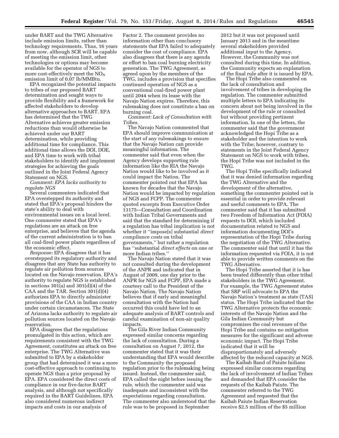under BART and the TWG Alternative include emission limits, rather than technology requirements. Thus, 16 years from now, although SCR will be capable of meeting the emission limit, other technologies or options may become available for the operator of NGS to more cost-effectively meet the  $NO<sub>x</sub>$ emission limit of 0.07 lb/MMBtu.

EPA recognized the potential impacts to tribes of our proposed BART determination and sought ways to provide flexibility and a framework for affected stakeholders to develop alternative approaches to BART. EPA has determined that the TWG Alternative achieves greater emission reductions than would otherwise be achieved under our BART determination, while providing additional time for compliance. This additional time allows the DOI, DOE, and EPA time to work with tribal stakeholders to identify and implement strategies for achieving the goals outlined in the Joint Federal Agency Statement on NGS.

*Comment: EPA lacks authority to regulate NGS* 

Several commenters indicated that EPA overstepped its authority and stated that EPA's proposal hinders the state's ability to deal with environmental issues on a local level. One commenter stated that EPA's regulations are an attack on free enterprise, and believes that the agenda of the current administration is to ban all coal-fired power plants regardless of the economic effect.

*Response:* EPA disagrees that it has overstepped its regulatory authority and disagrees that any State has authority to regulate air pollution from sources located on the Navajo reservation. EPA's authority to regulate NGS is established in sections  $301(a)$  and  $301(d)(4)$  of the CAA and the TAR. Section 301(d)(4) authorizes EPA to directly administer provisions of the CAA in Indian country under certain circumstances. The State of Arizona lacks authority to regulate air pollution sources located on the Navajo reservation.

EPA disagrees that the regulations promulgated in this action, which are requirements consistent with the TWG Agreement, constitutes an attack on free enterprise. The TWG Alternative was submitted to EPA by a stakeholder group that had determined it was a more cost-effective approach to continuing to operate NGS than a prior proposal by EPA. EPA considered the direct costs of compliance in our five-factor BART analysis, and although not specifically required in the BART Guidelines, EPA also considered numerous indirect impacts and costs in our analysis of

Factor 2. The comment provides no information other than conclusory statements that EPA failed to adequately consider the cost of compliance. EPA also disagrees that there is any agenda or effort to ban coal burning electricity generation. The TWG Agreement, as agreed upon by the members of the TWG, includes a provision that specifies continued operation of NGS as a conventional coal-fired power plant until 2044 when its lease with the Navajo Nation expires. Therefore, this rulemaking does not constitute a ban on burning coal.

*Comment: Lack of Consultation with Tribes*.

The Navajo Nation commented that EPA should improve communication at the start of any rulemakings to ensure that the Navajo Nation can provide meaningful information. The commenter said that even when the Agency develops supporting rule information like the RIA the Navajo Nation would like to be involved as it could impact the Nation. The commenter pointed out that EPA has known for decades that the Navajo Nation would be impacted by regulation of NGS and FCPP. The commenter quoted excerpts from Executive Order 13175—Consultation and Coordination with Indian Tribal Governments and said that the standard for determining if a regulation has tribal implication is not whether it ''impose[s] substantial *direct compliance costs* on tribal governments,'' but rather a regulation has ''substantial *direct effects* on one or more Indian tribes.''

The Navajo Nation stated that it was not consulted during the development of the ANPR and indicated that in August of 2009, one day prior to the ANPR for NGS and FCPP, EPA made a courtesy call to the President of the Navajo Nation. The Navajo Nation believes that if early and meaningful consultation with the Nation had occurred this could have led to an adequate analysis of BART controls and careful examination of non-air quality impacts.

The Gila River Indian Community expressed similar concerns regarding the lack of consultation. During a consultation on August 7, 2012, the commenter stated that it was their understanding that EPA would describe to the Community the proposed regulation prior to the rulemaking being issued. Instead, the commenter said, EPA called the night before issuing the rule, which the commenter said was inadequate and inconsistent with the expectations regarding consultation. The commenter also understood that the rule was to be proposed in September

2012 but it was not proposed until January 2013 and in the meantime several stakeholders provided additional input to the Agency. However, the Community was not consulted during this time. In addition, the Community expects an explanation of the final rule after it is issued by EPA.

The Hopi Tribe also commented on the lack of consultation and involvement of tribes in developing the regulation. The commenter submitted multiple letters to EPA indicating its concern about not being involved in the development of the rule or consulted but without providing pertinent information. In one of the letters, the commenter said that the government acknowledged the Hopi Tribe as a stakeholder and the intention to work with the Tribe; however, contrary to statements in the Joint Federal Agency Statement on NGS to work with tribes, the Hopi Tribe was not included in the TWG.

The Hopi Tribe specifically indicated that it was denied information regarding the TWG Alternative and the development of the alternative, something the commenter pointed out is essential in order to provide relevant and useful comments to EPA. The commenter said that it has submitted two Freedom of Information Act (FOIA) requests to DOI, which included documentation related to NGS and information documenting DOI's representation of the Hopi Tribe during the negotiation of the TWG Alternative. The commenter said that until it has the information requested via FOIA, it is not able to provide written comments on the TWG Alternative.

The Hopi Tribe asserted that it is has been treated differently than other tribal stakeholders in the TWG Agreement. For example, the TWG Agreement states that SRP will advocate to EPA the Navajo Nation's treatment as state (TAS) status. The Hopi Tribe indicated that the TWG Alternative protects the economic interests of the Navajo Nation and the Gila Indian Community but compromises the coal revenues of the Hopi Tribe and contains no mitigation measures for the significant and adverse economic impact. The Hopi Tribe indicated that it will be disproportionately and adversely affected by the reduced capacity at NGS.

The Kaibab Band of Paiute Indians expressed similar concerns regarding the lack of involvement of Indian Tribes and demanded that EPA consider the requests of the Kaibab Paiute. The commenter referred to the TWG Agreement and requested that the Kaibab Paiute Indian Reservation receive \$2.5 million of the \$5 million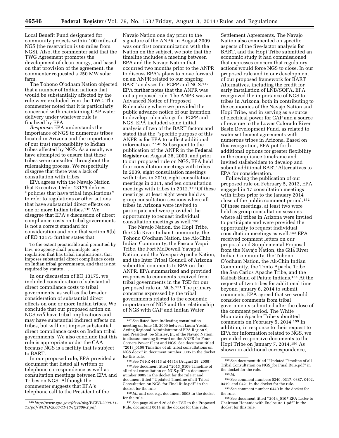Local Benefit Fund designated for community projects within 100 miles of NGS (the reservation is 60 miles from NGS). Also, the commenter said that the TWG Agreement promotes the development of clean energy, and based on that provision of the agreement, the commenter requested a 250 MW solar farm.

The Tohono O'odham Nation objected that a number of Indian nations that would be substantially affected by the rule were excluded from the TWG. The commenter noted that it is particularly concerned with maintaining CAP water delivery under whatever rule is finalized by EPA.

*Response:* EPA understands the importance of NGS to numerous tribes located in Arizona and the importance of our trust responsibility to Indian tribes affected by NGS. As a result, we have attempted to ensure that these tribes were consulted throughout the rulemaking process. We respectfully disagree that there was a lack of consultation with tribes.

EPA agrees with the Navajo Nation that Executive Order 13175 defines ''policies that have tribal implications'' to refer to regulations or other actions that have substantial direct effects on one or more Indian tribes.146 We disagree that EPA's discussion of direct compliance costs on tribal governments is not a correct standard for consideration and note that section 5(b) of EO 13175 further states that

To the extent practicable and permitted by law, no agency shall promulgate any regulation that has tribal implications, that imposes substantial direct compliance costs on Indian tribal governments, and that is not required by statute . . .

In our discussion of EO 13175, we included consideration of substantial direct compliance costs to tribal governments, as well as the broader consideration of substantial direct effects on one or more Indian tribes. We conclude that our proposed action on NGS *will* have tribal implications and may have substantial indirect effects on tribes, but will not impose substantial direct compliance costs on Indian tribal governments. We also conclude that this rule is appropriate under the CAA because NGS is a facility that is subject to BART.

In our proposed rule, EPA provided a document that listed all written or telephone correspondence as well as consultation meetings between EPA and Tribes on NGS. Although the commenter suggests that EPA's telephone call to the President of the

Navajo Nation one day prior to the signature of the ANPR in August 2009 was our first communication with the Nation on the subject, we note that the timeline includes a meeting between EPA and the Navajo Nation that occurred two months prior to the ANPR to discuss EPA's plans to move forward on an ANPR related to our ongoing BART analyses for FCPP and NGS.147 EPA further notes that the ANPR was not a proposed rule. The ANPR was an Advanced Notice of Proposed Rulemaking where we provided the public advance notice of our intention to develop rulemakings for FCPP and NGS. EPA included some initial analysis of two of the BART factors and stated that the ''specific purpose of this ANPR is for EPA to collect additional information.'' 148 Subsequent to the publication of the ANPR in the **Federal Register** on August 28, 2009, and prior to our proposed rule on NGS, EPA held four consultation meetings with tribes in 2009, eight consultation meetings with tribes in 2010, eight consultation meetings in 2011, and ten consultation meetings with tribes in 2012.149 Of these meetings, at least eight were held as group consultation sessions where all tribes in Arizona were invited to participate and were provided the opportunity to request individual consultation meetings as well.150

The Navajo Nation, the Hopi Tribe, the Gila River Indian Community, the Tohono O'odham Nation, the Ak-Chin Indian Community, the Pascua Yaqui Tribe, the Fort McDowell Yavapai Nation, and the Yavapai-Apache Nation, and the Inter Tribal Council of Arizona submitted comments to EPA on the ANPR. EPA summarized and provided responses to comments received from tribal governments in the TSD for our proposed rule on NGS.151 The primary concerns expressed by the tribal governments related to the economic importance of NGS and the relationship of NGS with CAP and Indian Water

148See 74 FR 44313 at 44314 (August 28, 2009).

149See document titled ''2013\_0109 Timeline of all tribal consultation on NGS.pdf'' in document number 0005 in the docket for the rule at and document titled ''Updated Timeline of all Tribal Consultation on NGS\_for Final Rule.pdf'' in the docket for the rule.

 $^{150}\,Id.,$  and see, e.g., document  $0008$  in the docket for the rule.

151See page 25 and 26 of the TSD to the Proposed Rule, document 0014 in the docket for this rule.

Settlement Agreements. The Navajo Nation also commented on specific aspects of the five-factor analysis for BART, and the Hopi Tribe submitted an economic study it had commissioned that expresses concern that regulatory actions would force NGS to close. In our proposed rule and in our development of our proposed framework for BART Alternatives, including the credit for early installation of LNB/SOFA, EPA recognized the importance of NGS to tribes in Arizona, both in contributing to the economies of the Navajo Nation and Hopi Tribe, and in serving as a source of electrical power for CAP and a source of revenue to the Lower Colorado River Basin Development Fund, as related to water settlement agreements with numerous tribes in Arizona. Based on this recognition, EPA put forth additional options for greater flexibility in the compliance timeframe and invited stakeholders to develop and submit additional BART Alternatives to EPA for consideration.

Following the publication of our proposed rule on February 5, 2013, EPA engaged in 17 consultation meetings with tribes prior to the January 2014 close of the public comment period.152 Of these meetings, at least two were held as group consultation sessions where all tribes in Arizona were invited to participate and were provided the opportunity to request individual consultation meetings as well.153 EPA received comment letters on our proposal and Supplemental Proposal from the Navajo Nation, the Gila River Indian Community, the Tohono O'odham Nation, the Ak-Chin Indian Community, the Tonto Apache Tribe, the San Carlos Apache Tribe, and the Kaibab Band of Paiute Indians.154 At the request of two tribes for additional time beyond January 6, 2014 to submit comments, EPA agreed that we would consider comments from tribal governments submitted after the close of the comment period. The White Mountain Apache Tribe submitted comments on February 5, 2014.155 In addition, in response to their request to EPA for information related to NGS, we provided responsive documents to the Hopi Tribe on January 7, 2014.156 As shown in additional correspondence,

<sup>146</sup>*[http://www.gpo.gov/fdsys/pkg/WCPD-2000-11-](http://www.gpo.gov/fdsys/pkg/WCPD-2000-11-13/pdf/WCPD-2000-11-13-Pg2806-2.pdf)  [13/pdf/WCPD-2000-11-13-Pg2806-2.pdf](http://www.gpo.gov/fdsys/pkg/WCPD-2000-11-13/pdf/WCPD-2000-11-13-Pg2806-2.pdf)*.

<sup>147</sup>See listed item indicating consultation meeting on June 10, 2009 between Laura Yoshii, Acting Regional Administrator of EPA Region 9, and President Joe Shirley, Jr., of the Navajo Nation, to discuss moving forward on the ANPR for Four Corners Power Plant and NGS. See document titled ''2013\_0109 Timeline of all tribal consultations on NGS.docx'' in document number 0005 in the docket for this rule.

<sup>152</sup>See document titled ''Updated Timeline of all Tribal Consultation on NGS\_for Final Rule.pdf'' in the docket for the rule.

<sup>153</sup> *Id.* 

<sup>154</sup>See comment numbers 0340, 0317, 0387, 0402, 0419, and 0421 in the docket for the rule.

<sup>155</sup>See comment number 0440 in the docket for the rule.

<sup>156</sup>See document titled ''2014\_0107 EPA Letter to Chairman Honanie with Enclosure 1.pdf'' in the docket for this rule.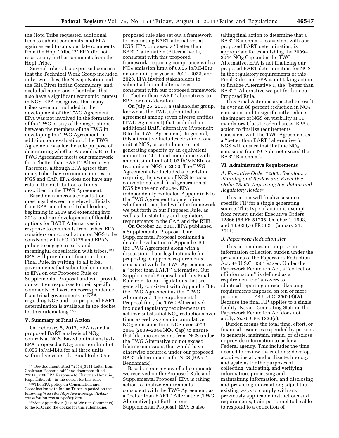the Hopi Tribe requested additional time to submit comments, and EPA again agreed to consider late comments from the Hopi Tribe.157 EPA did not receive any further comments from the Hopi Tribe.

Several tribes also expressed concern that the Technical Work Group included only two tribes, the Navajo Nation and the Gila River Indian Community, and excluded numerous other tribes that also have a significant economic interest in NGS. EPA recognizes that many tribes were not included in the development of the TWG Agreement. EPA was not involved in the formation of the TWG or any of the negotiations between the members of the TWG in developing the TWG Agreement. In addition, our evaluation of the TWG Agreement was for the sole purpose of determining whether Appendix B to the TWG Agreement meets our framework for a ''better than BART'' Alternative. Therefore, although EPA agrees that many tribes have economic interest in NGS and CAP, EPA does not have any role in the distribution of funds described in the TWG Agreement.

Based on numerous consultation meetings between high-level officials from EPA and elected tribal leaders, beginning in 2009 and extending into 2013, and our development of flexible options for BART Alternatives in response to comments from tribes, EPA considers our consultation on NGS to be consistent with EO 13175 and EPA's policy to engage in early and meaningful consultation with tribes.158 EPA will provide notification of our Final Rule, in writing, to all tribal governments that submitted comments to EPA on our Proposed Rule or Supplemental Proposal and will provide our written responses to their specific comments. All written correspondence from tribal governments to EPA regarding NGS and our proposed BART determination is available in the docket for this rulemaking.159

#### **V. Summary of Final Action**

On February 5, 2013, EPA issued a proposed BART analysis of  $NO<sub>X</sub>$ controls at NGS. Based on that analysis, EPA proposed a  $NO<sub>X</sub>$  emission limit of 0.055 lb/MMBtu for all three units within five years of a Final Rule. Our

proposed rule also set out a framework for evaluating BART alternatives at NGS. EPA proposed a ''better than BART'' alternative (Alternative 1), consistent with this proposed framework, requiring compliance with a  $NO<sub>X</sub>$  emission limit of 0.055 lb/MMBtu on one unit per year in 2021, 2022, and 2023. EPA invited stakeholders to submit additional alternatives, consistent with our proposed framework for ''better than BART'' alternatives, to EPA for consideration.

On July 26, 2013, a stakeholder group, known as the TWG, submitted an agreement among seven diverse entities (TWG Agreement) that included an additional BART alternative (Appendix B to the TWG Agreement). In general, this alternative includes closure of one unit at NGS, or curtailment of net generating capacity by an equivalent amount, in 2019 and compliance with an emission limit of 0.07 lb/MMBtu on two units at NGS in 2030. The TWG Agreement also included a provision requiring the owners of NGS to cease conventional coal-fired generation at NGS by the end of 2044. EPA independently evaluated Appendix B to the TWG Agreement to determine whether it complied with the framework we put forth in our Proposed Rule, as well as the statutory and regulatory requirements in the CAA and the RHR.

On October 22, 2013, EPA published a Supplemental Proposal. Our Supplemental Proposal contained a detailed evaluation of Appendix B to the TWG Agreement along with a discussion of our legal rationale for proposing to approve requirements consistent with the TWG Agreement as a ''better than BART'' alternative. Our Supplemental Proposal and this Final Rule refer to our regulations that are generally consistent with Appendix B to the TWG Agreement as the ''TWG Alternative.'' The Supplemental Proposal (i.e., the TWG Alternative) included regulatory requirements to achieve substantial  $NO<sub>X</sub>$  reductions over time, as well as a cap in cumulative  $NO<sub>X</sub>$  emissions from NGS over 2009– 2044 (2009–2044  $NO<sub>X</sub> Cap$ ) to ensure that lifetime emissions from NGS under the TWG Alternative do not exceed lifetime emissions that would have otherwise occurred under our proposed BART determination for NGS (BART Benchmark).

Based on our review of all comments we received on the Proposed Rule and Supplemental Proposal, EPA is taking action to finalize requirements consistent with the TWG Agreement, as a ''better than BART'' Alternative (TWG Alternative) put forth in our Supplemental Proposal. EPA is also

taking final action to determine that a BART Benchmark, consistent with our proposed BART determination, is appropriate for establishing the 2009– 2044  $NO<sub>x</sub>$  Cap under the TWG Alternative. EPA is not finalizing our proposed BART determination for NGS in the regulatory requirements of this Final Rule, and EPA is not taking action to finalize Alternative 1, the ''better than BART'' Alternative we put forth in our Proposed Rule.

This Final Action is expected to result in over an 80 percent reduction in  $NO<sub>X</sub>$ emissions and to significantly reduce the impact of NGS on visibility at 11 mandatory Class I Federal areas. EPA's action to finalize requirements consistent with the TWG Agreement as a ''better than BART'' alternative for NGS will ensure that lifetime  $NO<sub>x</sub>$ emissions from NGS do not exceed the BART Benchmark.

#### **VI. Administrative Requirements**

*A. Executive Order 12866: Regulatory Planning and Review and Executive Order 13563: Improving Regulation and Regulatory Review* 

This action will finalize a sourcespecific FIP for a single generating source. This type of action is exempt from review under Executive Orders 12866 (58 FR 51735, October 4, 1993) and 13563 (76 FR 3821, January 21, 2011).

#### *B. Paperwork Reduction Act*

This action does not impose an information collection burden under the provisions of the Paperwork Reduction Act, 44 U.S.C. 3501 *et seq.* Under the Paperwork Reduction Act, a ''collection of information'' is defined as a requirement for ''answers to . . . identical reporting or recordkeeping requirements imposed on ten or more persons. . . .'' 44 U.S.C. 3502(3)(A). Because the final FIP applies to a single facility, Navajo Generating Station, the Paperwork Reduction Act does not apply. *See* 5 CFR 1320(c).

Burden means the total time, effort, or financial resources expended by persons to generate, maintain, retain, or disclose or provide information to or for a Federal agency. This includes the time needed to review instructions; develop, acquire, install, and utilize technology and systems for the purposes of collecting, validating, and verifying information, processing and maintaining information, and disclosing and providing information; adjust the existing ways to comply with any previously applicable instructions and requirements; train personnel to be able to respond to a collection of

<sup>157</sup>See document titled ''2014\_0131 Letter from Chairman Honanie.pdf'' and document titled ''2014\_0206 EPA Response to Chairman Honanie\_ Hopi Tribe.pdf'' in the docket for this rule.

<sup>158</sup>The EPA policy on Consultation and Coordination with Indian Tribes is posted on the following Web site: *[http://www.epa.gov/tribal/](http://www.epa.gov/tribal/consultation/consult-policy.htm) [consultation/consult-policy.htm](http://www.epa.gov/tribal/consultation/consult-policy.htm)*.

<sup>159</sup>See Appendix A (List of Written Comments) to the RTC and the docket for this rulemaking.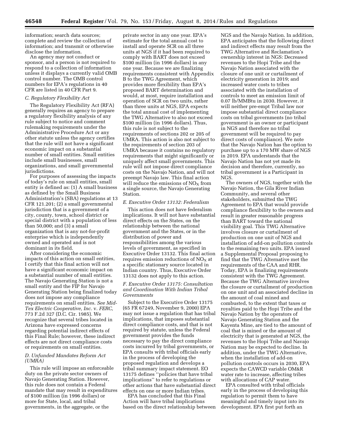information; search data sources; complete and review the collection of information; and transmit or otherwise disclose the information.

An agency may not conduct or sponsor, and a person is not required to respond to a collection of information unless it displays a currently valid OMB control number. The OMB control numbers for EPA's regulations in 40 CFR are listed in 40 CFR Part 9.

#### *C. Regulatory Flexibility Act*

The Regulatory Flexibility Act (RFA) generally requires an agency to prepare a regulatory flexibility analysis of any rule subject to notice and comment rulemaking requirements under the Administrative Procedure Act or any other statute unless the agency certifies that the rule will not have a significant economic impact on a substantial number of small entities. Small entities include small businesses, small organizations, and small governmental jurisdictions.

For purposes of assessing the impacts of today's rule on small entities, small entity is defined as: (1) A small business as defined by the Small Business Administration's (SBA) regulations at 13 CFR 121.201; (2) a small governmental jurisdiction that is a government of a city, county, town, school district or special district with a population of less than 50,000; and (3) a small organization that is any not-for-profit enterprise which is independently owned and operated and is not dominant in its field.

After considering the economic impacts of this action on small entities, I certify that this final action will not have a significant economic impact on a substantial number of small entities. The Navajo Generating Station is not a small entity and the FIP for Navajo Generating Station being finalized today does not impose any compliance requirements on small entities. *See Mid-Tex Electric Cooperative, Inc.* v. *FERC,*  773 F.2d 327 (D.C. Cir. 1985). We recognize that several tribes located in Arizona have expressed concerns regarding potential indirect effects of this Final Rule; however, these indirect effects are not direct compliance costs or requirements on small entities.

# *D. Unfunded Mandates Reform Act (UMRA)*

This rule will impose an enforceable duty on the private sector owners of Navajo Generating Station. However, this rule does not contain a Federal mandate that may result in expenditures of \$100 million (in 1996 dollars) or more for State, local, and tribal governments, in the aggregate, or the

private sector in any one year. EPA's estimate for the total annual cost to install and operate SCR on all three units at NGS if it had been required to comply with BART does not exceed \$100 million (in 1996 dollars) in any one year. Because we are finalizing requirements consistent with Appendix B to the TWG Agreement, which provides more flexibility than EPA's proposed BART determination and would, at most, require installation and operation of SCR on two units, rather than three units at NGS, EPA expects the total annual cost of implementing the TWG Alternative to also not exceed \$100 million (in 1996 dollars). Thus, this rule is not subject to the requirements of sections 202 or 205 of UMRA. This action is also not subject to the requirements of section 203 of UMRA because it contains no regulatory requirements that might significantly or uniquely affect small governments. This rule will not impose direct compliance costs on the Navajo Nation, and will not preempt Navajo law. This final action will reduce the emissions of  $NO_X$  from a single source, the Navajo Generating Station.

#### *E. Executive Order 13132: Federalism*

This action does not have federalism implications. It will not have substantial direct effects on the States, on the relationship between the national government and the States, or in the distribution of power and responsibilities among the various levels of government, as specified in Executive Order 13132. This final action requires emission reductions of  $NO<sub>x</sub>$  at a specific stationary source located in Indian country. Thus, Executive Order 13132 does not apply to this action.

#### *F. Executive Order 13175: Consultation and Coordination With Indian Tribal Governments*

Subject to the Executive Order 13175 (65 FR 67249, November 9, 2000) EPA may not issue a regulation that has tribal implications, that imposes substantial direct compliance costs, and that is not required by statute, unless the Federal government provides the funds necessary to pay the direct compliance costs incurred by tribal governments, or EPA consults with tribal officials early in the process of developing the proposed regulation and develops a tribal summary impact statement. EO 13175 defines ''policies that have tribal implications'' to refer to regulations or other actions that have substantial direct effects on one or more Indian tribes.

EPA has concluded that this Final Action will have tribal implications based on the direct relationship between

NGS and the Navajo Nation. In addition, EPA anticipates that the following direct and indirect effects may result from the TWG Alternative and Reclamation's ownership interest in NGS: Decreased revenues to the Hopi Tribe and the Navajo Nation associated with the closure of one unit or curtailment of electricity generation in 2019; and increased water costs to tribes associated with the installation of controls to meet an emission limit of 0.07 lb/MMBtu in 2030. However, it will neither pre-empt Tribal law nor impose substantial direct compliance costs on tribal governments (no tribal government is an owner or participant in NGS and therefore no tribal government will be required to pay direct costs of compliance). We note that the Navajo Nation has the option to purchase up to a 170 MW share of NGS in 2019. EPA understands that the Navajo Nation has not yet made its decision and therefore, currently, no tribal government is a Participant in NGS.

The owners of NGS, together with the Navajo Nation, the Gila River Indian Community, and several other stakeholders, submitted the TWG Agreement to EPA that would provide compliance flexibility to the owners and result in greater reasonable progress than BART toward the national visibility goal. This TWG Alternative involves closure or curtailment of production on one unit of NGS and installation of add-on pollution controls to the remaining two units. EPA issued a Supplemental Proposal proposing to find that the TWG Alternative met the requirements of the CAA and RHR. Today, EPA is finalizing requirements consistent with the TWG Agreement. Because the TWG Alternative involves the closure or curtailment of production on one unit and an associated decline in the amount of coal mined and combusted, to the extent that taxes or royalties paid to the Hopi Tribe and the Navajo Nation by the operators of Navajo Generating Station and the Kayenta Mine, are tied to the amount of coal that is mined or the amount of electricity that is generated at NGS, the revenues to the Hopi Tribe and Navajo Nation may be expected to decline. In addition, under the TWG Alternative, when the installation of add-on pollution controls occurs in 2030, EPA expects the CAWCD variable OM&R water rate to increase, affecting tribes with allocations of CAP water.

EPA consulted with tribal officials early in the process of developing this regulation to permit them to have meaningful and timely input into its development. EPA first put forth an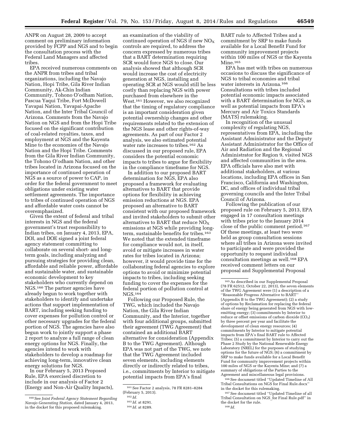ANPR on August 28, 2009 to accept comment on preliminary information provided by FCPP and NGS and to begin the consultation process with the Federal Land Managers and affected tribes.

EPA received numerous comments on the ANPR from tribes and tribal organizations, including the Navajo Nation, Hopi Tribe, Gila River Indian Community, Ak-Chin Indian Community, Tohono O'odham Nation, Pascua Yaqui Tribe, Fort McDowell Yavapai Nation, Yavapai-Apache Nation, and the Inter Tribal Council of Arizona. Comments from the Navajo Nation on NGS and from the Hopi Tribe focused on the significant contribution of coal-related royalties, taxes, and employment at NGS and the Kayenta Mine to the economies of the Navajo Nation and the Hopi Tribe. Comments from the Gila River Indian Community, the Tohono O'odham Nation, and other tribes located in Arizona focused on the importance of continued operation of NGS as a source of power to CAP, in order for the federal government to meet obligations under existing water settlement agreements. The importance to tribes of continued operation of NGS and affordable water costs cannot be overemphasized.

Given the extent of federal and tribal interests in NGS and the federal government's trust responsibility to Indian tribes, on January 4, 2013, EPA, DOI, and DOE signed a joint federal agency statement committing to collaborate on several short- and longterm goals, including analyzing and pursuing strategies for providing clean, affordable and reliable power, affordable and sustainable water, and sustainable economic development to key stakeholders who currently depend on NGS.160 The partner agencies have already begun to work together with stakeholders to identify and undertake actions that support implementation of BART, including seeking funding to cover expenses for pollution control or other necessary upgrades for the federal portion of NGS. The agencies have also begun work to jointly support a phase 2 report to analyze a full range of clean energy options for NGS. Finally, the agencies intend to work with stakeholders to develop a roadmap for achieving long-term, innovative clean energy solutions for NGS.

In our February 5, 2013 Proposed Rule, EPA exercised discretion to include in our analysis of Factor 2 (Energy and Non-Air Quality Impacts),

an examination of the viability of continued operation of NGS if new  $NO<sub>X</sub>$ controls are required, to address the concern expressed by numerous tribes that a BART determination requiring SCR would force NGS to close. Our analysis showed that although SCR would increase the cost of electricity generation at NGS, installing and operating SCR at NGS would still be less costly than replacing NGS with power purchased from elsewhere in the West.161 However, we also recognized that the timing of regulatory compliance is an important consideration given potential ownership changes and other requirements related to the extension of the NGS lease and other rights-of-way agreements. As part of our Factor 2 analysis, we also estimated potential water rate increases to tribes.162 As discussed in our proposed rule, EPA considers the potential economic impacts to tribes to argue for flexibility in the compliance timeframe for NGS.

In addition to our proposed BART determination for NGS, EPA also proposed a framework for evaluating alternatives to BART that provide options for flexibility in achieving emission reductions at NGS. EPA proposed an alternative to BART consistent with our proposed framework and invited stakeholders to submit other alternatives to BART that reduce  $NO<sub>X</sub>$ emissions at NGS while providing longterm, sustainable benefits for tribes.163 We noted that the extended timeframe for compliance would not, in itself, avoid or mitigate increases in water rates for tribes located in Arizona; however, it would provide time for the collaborating federal agencies to explore options to avoid or minimize potential impacts to tribes, including seeking funding to cover the expenses for the federal portion of pollution control at NGS.164

Following our Proposed Rule, the TWG, which included the Navajo Nation, the Gila River Indian Community, and the Interior, together with four additional groups, submitted their agreement (TWG Agreement) that contained an additional BART alternative for consideration (Appendix B to the TWG Agreement). Although EPA was not part of the TWG, we note that the TWG Agreement included seven elements, including elements directly or indirectly related to tribes, i.e., commitments by Interior to mitigate potential impacts from EPA's final

BART rule to Affected Tribes and a commitment by SRP to make funds available for a Local Benefit Fund for community improvement projects within 100 miles of NGS or the Kayenta Mine.<sup>165</sup>

EPA has met with tribes on numerous occasions to discuss the significance of NGS to tribal economies and tribal water interests in Arizona.166 Consultations with tribes included potential economic impacts associated with a BART determination for NGS, as well as potential impacts from EPA's Mercury and Air Toxics Standards (MATS) rulemaking.

In recognition of the unusual complexity of regulating NGS, representatives from EPA, including the Assistant Administrator and the Deputy Assistant Administrator for the Office of Air and Radiation and the Regional Administrator for Region 9, visited NGS and affected communities in the area. EPA officials have also met with additional stakeholders, at various locations, including EPA offices in San Francisco, California and Washington, DC, and offices of individual tribal governing councils and the Inter Tribal Council of Arizona.

Following the publication of our proposed rule on February 5, 2013, EPA engaged in 17 consultation meetings with tribes prior to the January 2014 close of the public comment period.167 Of these meetings, at least two were held as group consultation sessions where all tribes in Arizona were invited to participate and were provided the opportunity to request individual consultation meetings as well.168 EPA received comment letters on our proposal and Supplemental Proposal

167See document titled ''Updated Timeline of all Tribal Consultation on NGS\_for Final Rule.pdf'' in the docket for the rule. 168 *Id.* 

<sup>160</sup>See *Joint Federal Agency Statement Regarding Navajo Generating Station,* dated January 4, 2013, in the docket for this proposed rulemaking.

<sup>161</sup>See Factor 2 analysis, 78 FR 8281–8284 (February 5, 2013).

<sup>162</sup> *Id.* 

<sup>163</sup> *Id.* at 8291.

<sup>164</sup> *Id.* at 8289.

<sup>165</sup>As described in our Supplemental Proposal (78 FR 62512, October 22, 2013), the seven elements of the TWG Agreement were (1) a description of a 'Reasonable Progress Alternative to BART' (Appendix B to the TWG Agreement); (2) a study of options by Reclamation for replacing the federal share of energy being generated from NGS with lowemitting energy; (3) commitments by Interior to reduce or offset emissions of carbon dioxide  $(CO<sub>2</sub>)$ by three percent per year and facilitate the development of clean energy resources; (4) commitments by Interior to mitigate potential impacts from EPA's final BART rule to Affected Tribes; (5) a commitment by Interior to carry out the Phase 2 Study by the National Renewable Energy Laboratory (NREL) for the purposes of studying options for the future of NGS; (6) a commitment by SRP to make funds available for a Local Benefit Fund for community improvement projects within 100 miles of NGS or the Kayenta Mine; and (7) a summary of obligations of the Parties to the Agreement and miscellaneous legal provisions.

<sup>166</sup>See document titled ''Updated Timeline of All Tribal Consultations on NGS for Final Rule.docx'' in the docket for this rulemaking.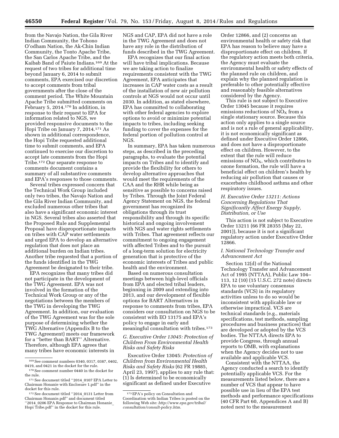from the Navajo Nation, the Gila River Indian Community, the Tohono O'odham Nation, the Ak-Chin Indian Community, the Tonto Apache Tribe, the San Carlos Apache Tribe, and the Kaibab Band of Paiute Indians.169 At the request of two tribes for additional time beyond January 6, 2014 to submit comments, EPA exercised our discretion to accept comments from tribal governments after the close of the comment period. The White Mountain Apache Tribe submitted comments on February 5, 2014.170 In addition, in response to their request to EPA for information related to NGS, we provided responsive documents to the Hopi Tribe on January 7, 2014.171 As shown in additional correspondence, the Hopi Tribe requested additional time to submit comments, and EPA continued to exercise our discretion to accept late comments from the Hopi Tribe.172 Our separate response to comments document contains a summary of all substantive comments and EPA's responses to those comments.

Several tribes expressed concern that the Technical Work Group included only two tribes, the Navajo Nation and the Gila River Indian Community, and excluded numerous other tribes that also have a significant economic interest in NGS. Several tribes also asserted that the Proposed Rule and Supplemental Proposal have disproportionate impacts on tribes with CAP water settlements and urged EPA to develop an alternative regulation that does not place an additional burden on Indian tribes. Another tribe requested that a portion of the funds identified in the TWG Agreement be designated to their tribe.

EPA recognizes that many tribes did not participate in the development of the TWG Agreement. EPA was not involved in the formation of the Technical Work Group or any of the negotiations between the members of the TWG in developing the TWG Agreement. In addition, our evaluation of the TWG Agreement was for the sole purpose of determining whether the TWG Alternative (Appendix B to the TWG Agreement) meets our framework for a ''better than BART'' Alternative. Therefore, although EPA agrees that many tribes have economic interests in NGS and CAP, EPA did not have a role in the TWG Agreement and does not have any role in the distribution of funds described in the TWG Agreement.

EPA recognizes that our final action will have tribal implications. Because we are taking action to finalize requirements consistent with the TWG Agreement, EPA anticipates that increases in CAP water costs as a result of the installation of new air pollution controls at NGS would not occur until 2030. In addition, as stated elsewhere, EPA has committed to collaborating with other federal agencies to explore options to avoid or minimize potential impacts to tribes, including seeking funding to cover the expenses for the federal portion of pollution control at NGS.

In summary, EPA has taken numerous steps, as described in the preceding paragraphs, to evaluate the potential impacts on Tribes and to identify and provide the flexibility for others to develop alternative approaches that would meet the requirements of the CAA and the RHR while being as sensitive as possible to concerns raised by Tribes. Through the Joint Federal Agency Statement on NGS, the federal government has recognized its obligations through its trust responsibility and through its specific historical and ongoing involvement with NGS and water rights settlements with Tribes. That agreement reflects our commitment to ongoing engagement with affected Tribes and to the pursuit of a long-term solution for electricity generation that is protective of the economic interests of Tribes and public health and the environment.

Based on numerous consultation meetings between high-level officials from EPA and elected tribal leaders, beginning in 2009 and extending into 2013, and our development of flexible options for BART Alternatives in response to comments from tribes, EPA considers our consultation on NGS to be consistent with EO 13175 and EPA's policy to engage in early and meaningful consultation with tribes.173

# *G. Executive Order 13045: Protection of Children From Environmental Health Risks and Safety Risks*

Executive Order 13045: *Protection of Children from Environmental Health Risks and Safety Risks* (62 FR 19885, April 23, 1997), applies to any rule that: (1) Is determined to be economically significant as defined under Executive

Order 12866, and (2) concerns an environmental health or safety risk that EPA has reason to believe may have a disproportionate effect on children. If the regulatory action meets both criteria, the Agency must evaluate the environmental health or safety effects of the planned rule on children, and explain why the planned regulation is preferable to other potentially effective and reasonably feasible alternatives considered by the Agency.

This rule is not subject to Executive Order 13045 because it requires emissions reductions of  $NO<sub>x</sub>$  from a single stationary source. Because this action only applies to a single source and is not a rule of general applicability, it is not economically significant as defined under Executive Order 12866, and does not have a disproportionate effect on children. However, to the extent that the rule will reduce emissions of  $NO<sub>X</sub>$ , which contributes to ozone formation, the rule will have a beneficial effect on children's health by reducing air pollution that causes or exacerbates childhood asthma and other respiratory issues.

# *H. Executive Order 13211: Actions Concerning Regulations That Significantly Affect Energy Supply, Distribution, or Use*

This action is not subject to Executive Order 13211 (66 FR 28355 (May 22, 2001)), because it is not a significant regulatory action under Executive Order 12866.

#### *I. National Technology Transfer and Advancement Act*

Section 12(d) of the National Technology Transfer and Advancement Act of 1995 (NTTAA), Public Law 104– 113, 12 (10) (15 U.S.C. 272 note) directs EPA to use voluntary consensus standards (VCS) in its regulatory activities unless to do so would be inconsistent with applicable law or otherwise impractical. VCS are technical standards (e.g., materials specifications, test methods, sampling procedures and business practices) that are developed or adopted by the VCS bodies. The NTTAA directs EPA to provide Congress, through annual reports to OMB, with explanations when the Agency decides not to use available and applicable VCS.

Consistent with the NTTAA, the Agency conducted a search to identify potentially applicable VCS. For the measurements listed below, there are a number of VCS that appear to have possible use in lieu of the EPA test methods and performance specifications (40 CFR Part 60, Appendices A and B) noted next to the measurement

<sup>169</sup>See comment numbers 0340, 0317, 0387, 0402, 0419, and 0421 in the docket for the rule.

<sup>170</sup>See comment number 0440 in the docket for the rule.

<sup>171</sup>See document titled ''2014\_0107 EPA Letter to Chairman Honanie with Enclosure 1.pdf'' in the docket for this rule.

<sup>172</sup>See document titled ''2014\_0131 Letter from Chairman Honanie.pdf'' and document titled '2014\_0206 EPA Response to Chairman Honanie Hopi Tribe.pdf'' in the docket for this rule.

<sup>173</sup>EPA's policy on Consultation and Coordination with Indian Tribes is posted on the following Web site: *[http://www.epa.gov/tribal/](http://www.epa.gov/tribal/consultation/consult-policy.htm) [consultation/consult-policy.htm.](http://www.epa.gov/tribal/consultation/consult-policy.htm)*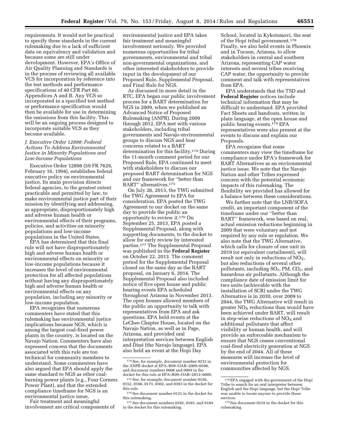requirements. It would not be practical to specify these standards in the current rulemaking due to a lack of sufficient data on equivalency and validation and because some are still under development. However, EPA's Office of Air Quality Planning and Standards is in the process of reviewing all available VCS for incorporation by reference into the test methods and performance specifications of 40 CFR Part 60, Appendices A and B. Any VCS so incorporated in a specified test method or performance specification would then be available for use in determining the emissions from this facility. This will be an ongoing process designed to incorporate suitable VCS as they become available.

# *J. Executive Order 12898: Federal Actions To Address Environmental Justice in Minority Populations and Low-Income Populations*

Executive Order 12898 (59 FR 7629, February 16, 1994), establishes federal executive policy on environmental justice. Its main provision directs federal agencies, to the greatest extent practicable and permitted by law, to make environmental justice part of their mission by identifying and addressing, as appropriate, disproportionately high and adverse human health or environmental effects of their programs, policies, and activities on minority populations and low-income populations in the United States.

EPA has determined that this final rule will not have disproportionately high and adverse human health or environmental effects on minority or low-income populations because it increases the level of environmental protection for all affected populations without having any disproportionately high and adverse human health or environmental effects on any population, including any minority or low-income population.

EPA recognizes that numerous commenters have stated that this rulemaking has environmental justice implications because NGS, which is among the largest coal-fired power plants in the country, is located on the Navajo Nation. Commenters have also expressed concern that the documents associated with this rule are too technical for community members to understand. Some commenters have also argued that EPA should apply the same standard to NGS as other coalburning power plants (e.g., Four Corners Power Plant), and that the extended compliance timeframe for NGS is an environmental justice issue.

Fair treatment and meaningful involvement are critical components of

environmental justice and EPA takes fair treatment and meaningful involvement seriously. We provided numerous opportunities for tribal governments, environmental and tribal non-governmental organizations, and other interested stakeholders to provide input in the development of our Proposed Rule, Supplemental Proposal, and Final Rule for NGS.

As discussed in more detail in the RTC, EPA began our public involvement process for a BART determination for NGS in 2009, when we published an Advanced Notice of Proposed Rulemaking (ANPR). During 2009 through 2012, EPA met with various stakeholders, including tribal governments and Navajo environmental groups to discuss NGS and hear concerns related to a BART determination for this facility.174 During the 11-month comment period for our Proposed Rule, EPA continued to meet with stakeholders to discuss our proposed BART determination for NGS and our framework for ''better than BART'' alternatives.175

On July 26, 2013, the TWG submitted the TWG Agreement to EPA for consideration. EPA posted the TWG Agreement to our docket on the same day to provide the public an opportunity to review it.176 On September 25, 2013, EPA posted a Supplemental Proposal, along with supporting documents, to the docket to allow for early review by interested parties.177 The Supplemental Proposal was published in the **Federal Register**  on October 22, 2013. The comment period for the Supplemental Proposal closed on the same day as the BART proposal, on January 6, 2014. The Supplemental Proposal also included notice of five open house and public hearing events EPA scheduled throughout Arizona in November 2013. The open houses allowed members of the public an opportunity to talk with representatives from EPA and ask questions. EPA held events at the LeChee Chapter House, located on the Navajo Nation, as well as in Page, Arizona, and provided oral interpretation services between English and Dine´ (the Navajo language). EPA also held an event at the Hopi Day

School, located in Kykotsmovi, the seat of the Hopi tribal government.178 Finally, we also held events in Phoenix and in Tucson, Arizona, to allow stakeholders in central and southern Arizona, representing CAP water interests and several tribes receiving CAP water, the opportunity to provide comment and talk with representatives from EPA.

EPA understands that the TSD and **Federal Register** notices include technical information that may be difficult to understand. EPA provided Fact Sheets and handouts, written in plain language, at the open house and public hearing events.179 EPA representatives were also present at the events to discuss and explain our Proposals.

EPA recognizes that some commenters may view the timeframe for compliance under EPA's framework for BART Alternatives as an environmental justice issue. We note that the Navajo Nation and other Tribes expressed concern with the potential economic impacts of this rulemaking. The flexibility we provided has allowed for a balance between these considerations.

We further note that the LNB/SOFA credit, an important component of the timeframe under our ''better than BART'' framework, was based on real, actual emission reductions beginning in 2009 that were voluntary and not required by any rule or regulation. We also note that the TWG Alternative, which calls for closure of one unit in 2019 (or equivalent curtailment), will result not only in reductions of  $NO<sub>X</sub>$ , but also reductions of several other pollutants, including  $SO_2$ , PM,  $CO_2$ , and hazardous air pollutants. Although the compliance date of emission limit for two units (achievable with the installation of SCR) under the TWG Alternative is in 2030, over 2009 to 2044, the TWG Alternative will result in greater  $NO<sub>X</sub>$  reductions than would have been achieved under BART, will result in step-wise reductions of  $NO<sub>x</sub>$  and additional pollutants that affect visibility or human health, and will provide an enforceable mechanism to ensure that NGS ceases conventional coal-fired electricity generation at NGS by the end of 2044. All of these measures will increase the level of environmental protection for communities affected by NGS.

<sup>174</sup>See, for example, document number 0232 in the ANPR docket at EPA–R09–OAR–2009–0598, and document numbers 0008 and 0009 in the docket for this rule at EPA–R09–OAR–2013–0009.

<sup>175</sup>See, for example, document number 0150, 0152, 0166, 0173, 0302, and 0303 in the docket for this rule.

 $^{176}\!\, \mathrm{See}$  document number 0122 in the docket for this rulemaking.

<sup>177</sup>See document numbers 0182, 0183, and 0184 in the docket for this rulemaking.

<sup>178</sup>EPA engaged with the government of the Hopi Tribe to search for an oral interpreter between English and the Hopi language, but the Hopi Tribe was unable to locate anyone to provide those services.

<sup>179</sup>See document 0219 in the docket for this rulemaking.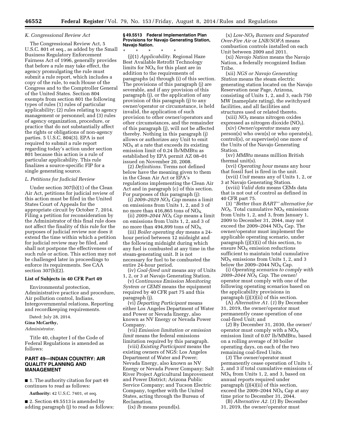#### *K. Congressional Review Act*

The Congressional Review Act, 5 U.S.C. 801 et seq., as added by the Small Business Regulatory Enforcement Fairness Act of 1996, generally provides that before a rule may take effect, the agency promulgating the rule must submit a rule report, which includes a copy of the rule, to each House of the Congress and to the Comptroller General of the United States. Section 804 exempts from section 801 the following types of rules (1) rules of particular applicability; (2) rules relating to agency management or personnel; and (3) rules of agency organization, procedure, or practice that do not substantially affect the rights or obligations of non-agency parties. 5 U.S.C. 804(3). EPA is not required to submit a rule report regarding today's action under section 801 because this action is a rule of particular applicability. This rule finalizes a source-specific FIP for a single generating source.

#### *L. Petitions for Judicial Review*

Under section 307(b)(1) of the Clean Air Act, petitions for judicial review of this action must be filed in the United States Court of Appeals for the appropriate circuit by October 7, 2014. Filing a petition for reconsideration by the Administrator of this final rule does not affect the finality of this rule for the purposes of judicial review nor does it extend the time within which a petition for judicial review may be filed, and shall not postpone the effectiveness of such rule or action. This action may not be challenged later in proceedings to enforce its requirements. See CAA section  $307(b)(2)$ .

#### **List of Subjects in 40 CFR Part 49**

Environmental protection, Administrative practice and procedure, Air pollution control, Indians, Intergovernmental relations, Reporting and recordkeeping requirements.

Dated: July 28, 2014.

**Gina McCarthy,** 

*Administrator.* 

Title 40, chapter I of the Code of Federal Regulations is amended as follows:

# **PART 49—INDIAN COUNTRY: AIR QUALITY PLANNING AND MANAGEMENT**

■ 1. The authority citation for part 49 continues to read as follows:

**Authority:** 42 U.S.C. 7401, et seq.

■ 2. Section 49.5513 is amended by adding paragraph (j) to read as follows:

#### **§ 49.5513 Federal Implementation Plan Provisions for Navajo Generating Station, Navajo Nation.**

\* \* \* \* \* (j)(1) *Applicability.* Regional Haze Best Available Retrofit Technology limits for  $NO<sub>x</sub>$  for this plant are in addition to the requirements of paragraphs (a) through (i) of this section. The provisions of this paragraph (j) are severable, and if any provision of this paragraph (j), or the application of any provision of this paragraph (j) to any owner/operator or circumstance, is held invalid, the application of such provision to other owner/operators and other circumstances, and the remainder of this paragraph (j), will not be affected thereby. Nothing in this paragraph (j) allows or authorizes any Unit to emit  $NO<sub>X</sub>$  at a rate that exceeds its existing emission limit of 0.24 lb/MMBtu as established by EPA permit AZ 08–01 issued on November 20, 2008.

(2) *Definitions.* Terms not defined below have the meaning given to them in the Clean Air Act or EPA's regulations implementing the Clean Air Act and in paragraph (c) of this section. For purposes of this paragraph (j):

(i) *2009–2029 NOX Cap* means a limit on emissions from Units 1, 2, and 3 of no more than 416,865 tons of  $NO<sub>x</sub>$ .

(ii) *2009–2044 NOX Cap* means a limit on emissions from Units 1, 2, and 3 of no more than 494,899 tons of  $NO<sub>x</sub>$ .

(iii) *Boiler operating day* means a 24 hour period between 12 midnight and the following midnight during which any fuel is combusted at any time in the steam-generating unit. It is not necessary for fuel to be combusted the entire 24-hour period.

(iv) *Coal-fired unit* means any of Units 1, 2, or 3 at Navajo Generating Station.

(v) *Continuous Emission Monitoring System or CEMS* means the equipment required by 40 CFR part 75 and this paragraph (j).

(vi) *Departing Participant* means either Los Angeles Department of Water and Power or Nevada Energy, also known as NV Energy or Nevada Power Company.

(vii) *Emission limitation or emission limit* means the federal emissions limitation required by this paragraph.

(viii) *Existing Participant* means the existing owners of NGS: Los Angeles Department of Water and Power; Nevada Energy, also known as NV Energy or Nevada Power Company; Salt River Project Agricultural Improvement and Power District; Arizona Public Service Company; and Tucson Electric Company, together with the United States, acting through the Bureau of Reclamation.

(ix) *lb* means pound(s).

(x) *Low-NOX Burners and Separated Over-Fire Air* or *LNB/SOFA* means combustion controls installed on each Unit between 2009 and 2011.

(xi) *Navajo Nation* means the Navajo Nation, a federally recognized Indian Tribe.

(xii) *NGS or Navajo Generating Station* means the steam electric generating station located on the Navajo Reservation near Page, Arizona, consisting of Units 1, 2, and 3, each 750 MW (nameplate rating), the switchyard facilities, and all facilities and structures used or related thereto.

(xiii) *NOX* means nitrogen oxides expressed as nitrogen dioxide  $NO<sub>2</sub>$ ).

(xiv) *Owner/operator* means any person(s) who own(s) or who operate(s), control(s), or supervise(s) one more of the Units of the Navajo Generating Station.

(xv) *MMBtu* means million British thermal unit(s).

(xvi) *Operating hour* means any hour that fossil fuel is fired in the unit.

(xvii) *Unit* means any of Units 1, 2, or 3 at Navajo Generating Station.

(xviii) *Valid data* means CEMs data that is not out of control as defined in 40 CFR part 75.

(3) *''Better than BART'' alternative for*   $NO<sub>X</sub>$ . Total cumulative  $NO<sub>X</sub>$  emissions from Units 1, 2, and 3, from January 1, 2009 to December 31, 2044, may not exceed the 2009–2044  $NO<sub>X</sub>$  Cap. The owner/operator must implement the applicable operating scenario, under paragraph  $(j)(3)(i)$  of this section, to ensure  $NO<sub>x</sub>$  emission reductions sufficient to maintain total cumulative  $NO<sub>X</sub>$  emissions from Units 1, 2, and 3 below the 2009–2044  $NO<sub>x</sub> Cap.$ 

(i) *Operating scenarios to comply with 2009–2044 NO*X *Cap.* The owner/ operator must comply with one of the following operating scenarios based on the applicability provisions in paragraph (j)(3)(ii) of this section.

(A) *Alternative A1.* (*1*) By December 31, 2019, the owner/operator must permanently cease operation of one coal-fired Unit; and

(*2*) By December 31, 2030, the owner/ operator must comply with a  $NO<sub>x</sub>$ emission limit of 0.07 lb/MMBtu, based on a rolling average of 30 boiler operating days, on each of the two remaining coal-fired Units.

(*3*) The owner/operator must permanently cease operation of Units 1, 2, and 3 if total cumulative emissions of  $NO<sub>X</sub>$  from Units 1, 2, and 3, based on annual reports required under paragraph (j)(4)(ii) of this section, exceed the 2009–2044  $NO<sub>x</sub>$  Cap at any time prior to December 31, 2044.

(B) *Alternative A2.* (*1*) By December 31, 2019, the owner/operator must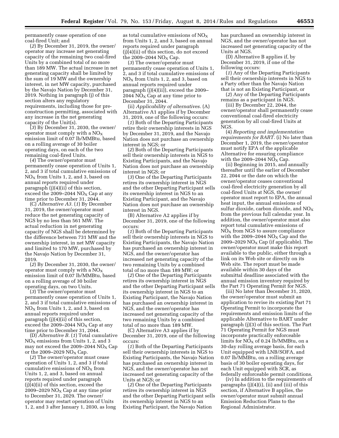permanently cease operation of one coal-fired Unit; and

(*2*) By December 31, 2019, the owner/ operator may increase net generating capacity of the remaining two coal-fired Units by a combined total of no more than 189 MW. The actual increase in net generating capacity shall be limited by the sum of 19 MW and the ownership interest, in net MW capacity, purchased by the Navajo Nation by December 31, 2019. Nothing in paragraph (j) of this section alters any regulatory requirements, including those for preconstruction permitting, associated with any increase in the net generating capacity of the Unit(s).

(*3*) By December 31, 2030, the owner/ operator must comply with a  $NO<sub>x</sub>$ emission limit of 0.07 lb/MMBtu, based on a rolling average of 30 boiler operating days, on each of the two remaining coal-fired Units.

(*4*) The owner/operator must permanently cease operation of Units 1, 2, and 3 if total cumulative emissions of  $NO<sub>X</sub>$  from Units 1, 2, and 3, based on annual reports required under paragraph (j)(4)(ii) of this section, exceed the 2009–2044  $NO<sub>x</sub>$  Cap at any time prior to December 31, 2044.

(C) *Alternative A3.* (*1*) By December 31, 2019, the owner/operator must reduce the net generating capacity of NGS by no less than 561 MW. The actual reduction in net generating capacity of NGS shall be determined by the difference between 731 MW and the ownership interest, in net MW capacity and limited to 170 MW, purchased by the Navajo Nation by December 31, 2019.

(*2*) By December 31, 2030, the owner/ operator must comply with a  $NO<sub>x</sub>$ emission limit of 0.07 lb/MMBtu, based on a rolling average of 30 boiler operating days, on two Units.

(*3*) The owner/operator must permanently cease operation of Units 1, 2, and 3 if total cumulative emissions of  $NO<sub>X</sub>$  from Units 1, 2, and 3, based on annual reports required under paragraph (j)(4)(ii) of this section, exceed the 2009–2044  $NO<sub>X</sub>$  Cap at any time prior to December 31, 2044.

(D) *Alternative B.* (*1*) Total cumulative  $NO<sub>X</sub>$  emissions from Units 1, 2, and 3 may not exceed the 2009–2044  $NO<sub>x</sub>$  Cap or the 2009–2029  $NO<sub>x</sub> Cap.$ 

(*2*) The owner/operator must cease operation of Units 1, 2, and 3 if total cumulative emissions of  $NO<sub>x</sub>$  from Units 1, 2, and 3, based on annual reports required under paragraph (j)(4)(ii) of this section, exceed the 2009–2029  $NO<sub>X</sub>$  Cap at any time prior to December 31, 2029. The owner/ operator may restart operation of Units 1, 2, and 3 after January 1, 2030, as long

as total cumulative emissions of  $NO<sub>x</sub>$ from Units 1, 2, and 3, based on annual reports required under paragraph (j)(4)(ii) of this section, do not exceed the 2009–2044  $NO<sub>x</sub> Cap$ .

(*3*) The owner/operator must permanently cease operation of Units 1, 2, and 3 if total cumulative emissions of  $NO<sub>X</sub>$  from Units 1, 2, and 3, based on annual reports required under paragraph (j)(4)(ii)), exceed the 2009– 2044  $NO<sub>x</sub>$  Cap at any time prior to December 31, 2044.

(ii) *Applicability of alternatives.* (A) Alternative A1 applies if by December 31, 2019, one of the following occurs:

(*1*) Both of the Departing Participants retire their ownership interests in NGS by December 31, 2019, and the Navajo Nation does not purchase an ownership interest in NGS; or

(*2*) Both of the Departing Participants sell their ownership interests in NGS to Existing Participants, and the Navajo Nation does not purchase an ownership interest in NGS; or

(*3*) One of the Departing Participants retires its ownership interest in NGS and the other Departing Participant sells its ownership interest in NGS to an Existing Participant, and the Navajo Nation does not purchase an ownership interest in NGS.

(B) Alternative A2 applies if by December 31, 2019, one of the following occurs:

(*1*) Both of the Departing Participants sell their ownership interests in NGS to Existing Participants, the Navajo Nation has purchased an ownership interest in NGS, and the owner/operator has increased net generating capacity of the two remaining Units by a combined total of no more than 189 MW; or

(*2*) One of the Departing Participants retires its ownership interest in NGS and the other Departing Participant sells its ownership interest in NGS to an Existing Participant, the Navajo Nation has purchased an ownership interest in NGS, and the owner/operator has increased net generating capacity of the two remaining Units by a combined total of no more than 189 MW.

(C) Alternative A3 applies if by December 31, 2019, one of the following occurs:

(*1*) Both of the Departing Participants sell their ownership interests in NGS to Existing Participants, the Navajo Nation has purchased an ownership interest in NGS, and the owner/operator has not increased net generating capacity of the Units at NGS; or

(*2*) One of the Departing Participants retires its ownership interest in NGS and the other Departing Participant sells its ownership interest in NGS to an Existing Participant, the Navajo Nation

has purchased an ownership interest in NGS, and the owner/operator has not increased net generating capacity of the Units at NGS.

(D) Alternative B applies if, by December 31, 2019, if one of the following occurs:

(*1*) Any of the Departing Participants sell their ownership interests in NGS to a Party other than the Navajo Nation that is not an Existing Participant, or

(*2*) Any of the Departing Participants remains as a participant in NGS.

(iii) By December 22, 2044, the owner/operator shall permanently cease conventional coal-fired electricity generation by all coal-fired Units at **NGS** 

(4) *Reporting and implementation requirements for BART.* (i) No later than December 1, 2019, the owner/operator must notify EPA of the applicable Alternative for ensuring compliance with the 2009–2044  $NO<sub>X</sub> Cap.$ 

(ii) Beginning in 2015, and annually thereafter until the earlier of December 22, 2044 or the date on which the owner/operator ceases conventional coal-fired electricity generation by all coal-fired Units at NGS, the owner/ operator must report to EPA, the annual heat input, the annual emissions of sulfur dioxide, carbon dioxide, and  $NO<sub>x</sub>$ from the previous full calendar year. In addition, the owner/operator must also report total cumulative emissions of  $N\overline{O}_X$  from NGS to assure compliance with the 2009–2044  $NO<sub>x</sub>$  Cap and the 2009–2029 NO<sub>X</sub> Cap (if applicable). The owner/operator must make this report available to the public, either through a link on its Web site or directly on its Web site. The report must be made available within 30 days of the submittal deadline associated with the annual emission inventory required by the Part 71 Operating Permit for NGS.

(iii) No later than December 31, 2020, the owner/operator must submit an application to revise its existing Part 71 Operating Permit to incorporate the requirements and emission limits of the applicable Alternative to BART under paragraph (j)(3) of this section. The Part 71 Operating Permit for NGS must incorporate practically enforceable limits for  $NO<sub>X</sub>$  of 0.24 lb/MMBtu, on a 30-day rolling average basis, for each Unit equipped with LNB/SOFA, and 0.07 lb/MMBtu, on a rolling average basis of 30 boiler operating days, for each Unit equipped with SCR, as federally enforceable permit conditions.

(iv) In addition to the requirements of paragraphs (j)(4)(i), (ii) and (iii) of this section, if Alternative B applies, the owner/operator must submit annual Emission Reduction Plans to the Regional Administrator.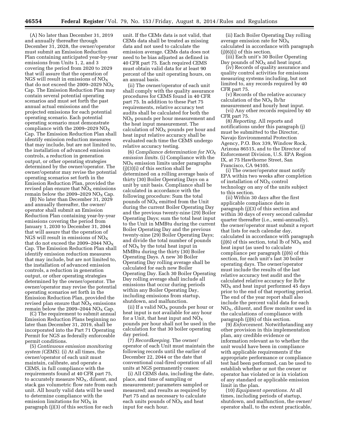(A) No later than December 31, 2019 and annually thereafter through December 31, 2028, the owner/operator must submit an Emission Reduction Plan containing anticipated year-by-year emissions from Units 1, 2, and 3 covering the period from 2020 to 2029 that will assure that the operation of NGS will result in emissions of  $NO<sub>x</sub>$ that do not exceed the 2009–2029  $NO<sub>x</sub>$ Cap. The Emission Reduction Plan may contain several potential operating scenarios and must set forth the past annual actual emissions and the projected emissions for each potential operating scenario. Each potential operating scenario must demonstrate compliance with the 2009–2029  $NO<sub>x</sub>$ Cap. The Emission Reduction Plan shall identify emission reduction measures that may include, but are not limited to, the installation of advanced emission controls, a reduction in generation output, or other operating strategies determined by the owner/operator. The owner/operator may revise the potential operating scenarios set forth in the Emission Reduction Plan, provided the revised plan ensure that  $NO<sub>x</sub>$  emissions remain below the 2009–2029 NO<sub>x</sub> Cap.

(B) No later than December 31, 2029 and annually thereafter, the owner/ operator shall submit an Emission Reduction Plan containing year-by-year emissions covering the period from January 1, 2030 to December 31, 2044 that will assure that the operation of NGS will result in emissions of  $NO<sub>x</sub>$ that do not exceed the 2009–2044  $\rm NO_X$ Cap. The Emission Reduction Plan shall identify emission reduction measures that may include, but are not limited to, the installation of advanced emission controls, a reduction in generation output, or other operating strategies determined by the owner/operator. The owner/operator may revise the potential operating scenarios set forth in the Emission Reduction Plan, provided the revised plan ensure that  $NO<sub>x</sub>$  emissions remain below the 2009–2044  $NO<sub>X</sub>$  Cap.

(C) The requirement to submit annual Emission Reduction Plans beginning no later than December 31, 2019, shall be incorporated into the Part 71 Operating Permit for NGS as federally enforceable permit conditions.

(5) *Continuous emission monitoring system (CEMS).* (i) At all times, the owner/operator of each unit must maintain, calibrate, and operate a CEMS, in full compliance with the requirements found at 40 CFR part 75, to accurately measure  $NO<sub>X</sub>$ , diluent, and stack gas volumetric flow rate from each unit. All hourly valid data will be used to determine compliance with the emission limitations for  $NO<sub>x</sub>$  in paragraph (j)(3) of this section for each

unit. If the CEMs data is not valid, that CEMs data shall be treated as missing data and not used to calculate the emission average. CEMs data does not need to be bias adjusted as defined in 40 CFR part 75. Each required CEMS must obtain valid data for at least 90 percent of the unit operating hours, on an annual basis.

(ii) The owner/operator of each unit shall comply with the quality assurance procedures for CEMS found in 40 CFR part 75. In addition to these Part 75 requirements, relative accuracy test audits shall be calculated for both the NO<sub>X</sub> pounds per hour measurement and the heat input measurement. The calculation of  $NO<sub>X</sub>$  pounds per hour and heat input relative accuracy shall be evaluated each time the CEMS undergo relative accuracy testing.

(6) *Compliance determination for NOX emission limits.* (i) Compliance with the  $NO<sub>x</sub>$  emission limits under paragraphs (j)(3)(i) of this section shall be determined on a rolling average basis of thirty (30) Boiler Operating Days on a unit by unit basis. Compliance shall be calculated in accordance with the following procedure: Sum the total pounds of  $NO<sub>X</sub>$  emitted from the Unit during the current Boiler Operating Day and the previous twenty-nine (29) Boiler Operating Days; sum the total heat input to the Unit in MMBtu during the current Boiler Operating Day and the previous twenty-nine (29) Boiler Operating Days; and divide the total number of pounds of  $NO<sub>x</sub>$  by the total heat input in MMBtu during the thirty (30) Boiler Operating Days. A new 30 Boiler Operating Day rolling average shall be calculated for each new Boiler Operating Day. Each 30 Boiler Operating Day rolling average shall include all emissions that occur during periods within any Boiler Operating Day, including emissions from startup, shutdown, and malfunction.

(ii) If a valid  $NO<sub>x</sub>$  pounds per hour or heat input is not available for any hour for a Unit, that heat input and  $NO<sub>x</sub>$ pounds per hour shall not be used in the calculation for that 30 boiler operating day period.

(7) *Recordkeeping.* The owner/ operator of each Unit must maintain the following records until the earlier of December 22, 2044 or the date that conventional coal-fired operation of all units at NGS permanently ceases:

(i) All CEMS data, including the date, place, and time of sampling or measurement; parameters sampled or measured; and results as required by Part 75 and as necessary to calculate each units pounds of  $NO<sub>x</sub>$  and heat input for each hour.

(ii) Each Boiler Operating Day rolling average emission rate for  $NO<sub>x</sub>$ calculated in accordance with paragraph  $(j)(6)(i)$  of this section.

(iii) Each unit's 30 Boiler Operating Day pounds of  $NO<sub>x</sub>$  and heat input.

(iv) Records of quality assurance and quality control activities for emissions measuring systems including, but not limited to, any records required by 40 CFR part 75.

(v) Records of the relative accuracy calculation of the  $NO<sub>x</sub>$  lb/hr measurement and hourly heat input.

(vi) Any other records required by 40 CFR part 75.

(8) *Reporting.* All reports and notifications under this paragraph (j) must be submitted to the Director, Navajo Environmental Protection Agency, P.O. Box 339, Window Rock, Arizona 86515, and to the Director of Enforcement Division, U.S. EPA Region IX, at 75 Hawthorne Street, San Francisco, CA 94105.

(i) The owner/operator must notify EPA within two weeks after completion of installation of  $NO<sub>x</sub>$  control technology on any of the units subject to this section.

(ii) Within 30 days after the first applicable compliance date in paragraph (j)(3) of this section and within 30 days of every second calendar quarter thereafter (i.e., semi-annually), the owner/operator must submit a report that lists for each calendar day, calculated in accordance with paragraph (i)(6) of this section, total lb of  $NO<sub>X</sub>$  and heat input (as used to calculate compliance per paragraph (j)(6) of this section, for each unit's last 30 boiler operating days. The owner/operator must include the results of the last relative accuracy test audit and the calculated relative accuracy for lb/hr  $NO<sub>X</sub>$  and heat input performed 45 days prior to the end of that reporting period. The end of the year report shall also include the percent valid data for each  $NO<sub>X</sub>$ , diluent, and flow monitor used in the calculations of compliance with paragraph (j)(6) of this section.

(9) *Enforcement.* Notwithstanding any other provision in this implementation plan, any credible evidence or information relevant as to whether the unit would have been in compliance with applicable requirements if the appropriate performance or compliance test had been performed, can be used to establish whether or not the owner or operator has violated or is in violation of any standard or applicable emission limit in the plan.

(10) *Equipment operations.* At all times, including periods of startup, shutdown, and malfunction, the owner/ operator shall, to the extent practicable,